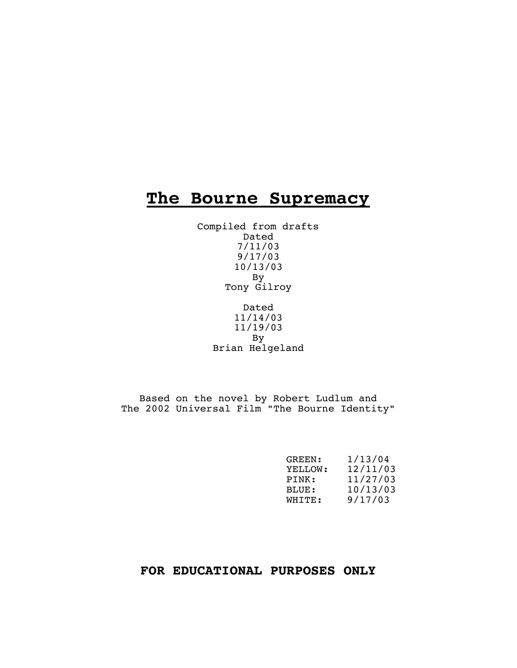# **The Bourne Supremacy**

Compiled from drafts Dated 7/11/03 9/17/03 10/13/03 By Tony Gilroy

> Dated 11/14/03 11/19/03 By Brian Helgeland

Based on the novel by Robert Ludlum and The 2002 Universal Film "The Bourne Identity"

| GREEN:  | 1/13/04  |
|---------|----------|
| YELLOW: | 12/11/03 |
| PTNK:   | 11/27/03 |
| BLUE:   | 10/13/03 |
| WHITE:  | 9/17/03  |

# **FOR EDUCATIONAL PURPOSES ONLY**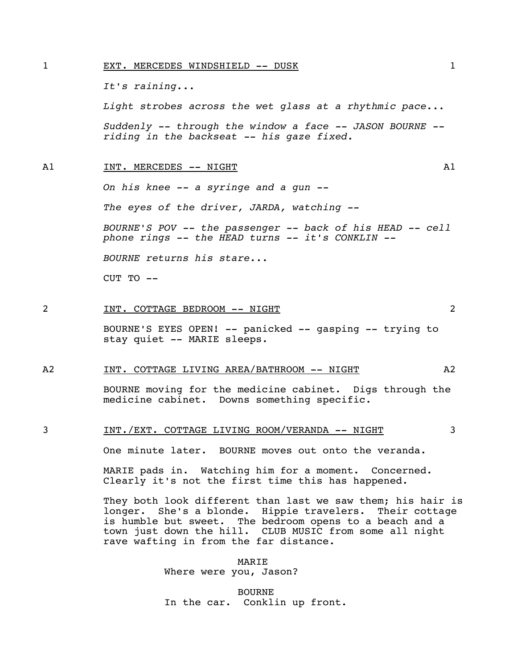#### 1 EXT. MERCEDES WINDSHIELD -- DUSK 1

*It's raining...* 

 *Light strobes across the wet glass at a rhythmic pace...* 

 *Suddenly -- through the window a face -- JASON BOURNE - riding in the backseat -- his gaze fixed.* 

#### A1 INT. MERCEDES -- NIGHT A1

*On his knee -- a syringe and a gun --* 

 *The eyes of the driver, JARDA, watching --* 

 *BOURNE'S POV -- the passenger -- back of his HEAD -- cell phone rings -- the HEAD turns -- it's CONKLIN --* 

 *BOURNE returns his stare...*

CUT TO --

#### 2 1NT. COTTAGE BEDROOM -- NIGHT 2

 BOURNE'S EYES OPEN! -- panicked -- gasping -- trying to stay quiet -- MARIE sleeps.

#### A2 INT. COTTAGE LIVING AREA/BATHROOM -- NIGHT A2

 BOURNE moving for the medicine cabinet. Digs through the medicine cabinet. Downs something specific.

### 3 INT./EXT. COTTAGE LIVING ROOM/VERANDA -- NIGHT 3

One minute later. BOURNE moves out onto the veranda.

 MARIE pads in. Watching him for a moment. Concerned. Clearly it's not the first time this has happened.

They both look different than last we saw them; his hair is longer. She's a blonde. Hippie travelers. Their cottage is humble but sweet. The bedroom opens to a beach and a town just down the hill. CLUB MUSIC from some all night rave wafting in from the far distance.

> MARIE Where were you, Jason?

 BOURNE In the car. Conklin up front.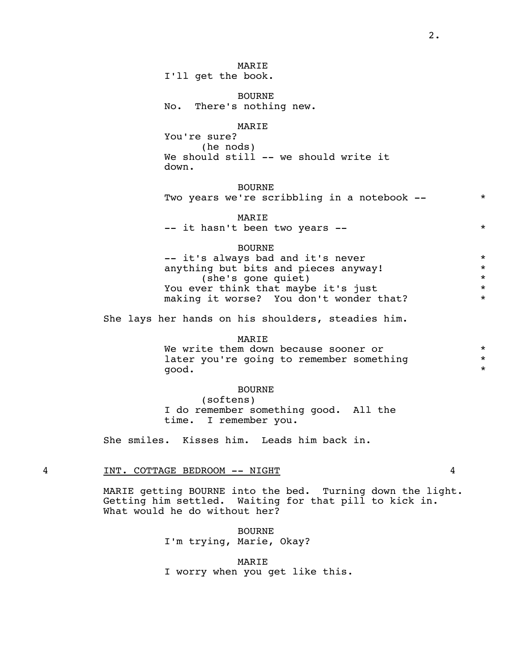I'll get the book.

 BOURNE No. There's nothing new.

### MARIE

 You're sure? (he nods) We should still -- we should write it down.

### BOURNE

|  |  | Two years we're scribbling in a notebook -- |  |  |
|--|--|---------------------------------------------|--|--|
|--|--|---------------------------------------------|--|--|

MARIE

|  |  | -- it hasn't been two years --<br>$\mathbf{r}$ |  |  |  |  |  |
|--|--|------------------------------------------------|--|--|--|--|--|
|--|--|------------------------------------------------|--|--|--|--|--|

#### BOURNE

-- it's always bad and it's never  $*$ anything but bits and pieces anyway!<br>
she's gone quiet) (she's gone quiet) \* You ever think that maybe it's just<br>making it worse? You don't wonder that? \* \* making it worse? You don't wonder that?

She lays her hands on his shoulders, steadies him.

### MARIE

We write them down because sooner or  $*$ <br>later you're going to remember something  $*$ later you're going to remember something good. \*

#### BOURNE

 (softens) I do remember something good. All the time. I remember you.

She smiles. Kisses him. Leads him back in.

#### 4 INT. COTTAGE BEDROOM -- NIGHT 4

 MARIE getting BOURNE into the bed. Turning down the light. Getting him settled. Waiting for that pill to kick in. What would he do without her?

> BOURNE I'm trying, Marie, Okay?

 MARIE I worry when you get like this.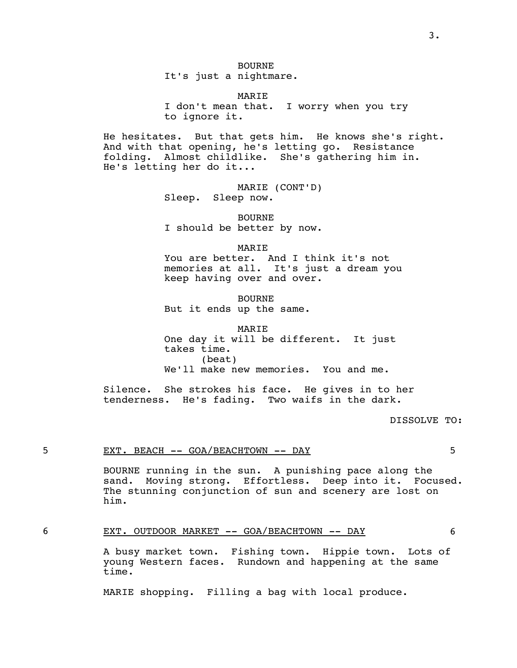It's just a nightmare.

### MARIE

 I don't mean that. I worry when you try to ignore it.

 He hesitates. But that gets him. He knows she's right. And with that opening, he's letting go. Resistance folding. Almost childlike. She's gathering him in. He's letting her do it...

> MARIE (CONT'D) Sleep. Sleep now.

 BOURNE I should be better by now.

MARIE

You are better. And I think it's not memories at all. It's just a dream you keep having over and over.

> BOURNE But it ends up the same.

 MARIE One day it will be different. It just takes time. (beat) We'll make new memories. You and me.

 Silence. She strokes his face. He gives in to her tenderness. He's fading. Two waifs in the dark.

#### DISSOLVE TO:

### 5 EXT. BEACH -- GOA/BEACHTOWN -- DAY 5

 BOURNE running in the sun. A punishing pace along the sand. Moving strong. Effortless. Deep into it. Focused. The stunning conjunction of sun and scenery are lost on him.

#### 6 EXT. OUTDOOR MARKET -- GOA/BEACHTOWN -- DAY 6

 A busy market town. Fishing town. Hippie town. Lots of young Western faces. Rundown and happening at the same time.

MARIE shopping. Filling a bag with local produce.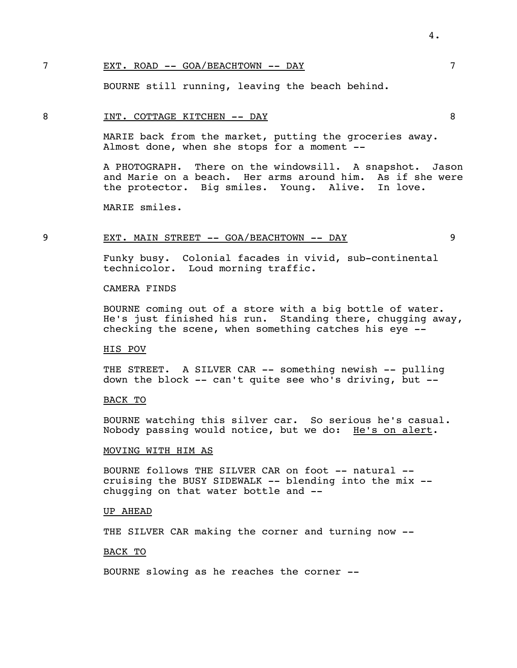### 7 EXT. ROAD -- GOA/BEACHTOWN -- DAY 7

BOURNE still running, leaving the beach behind.

### 8 INT. COTTAGE KITCHEN -- DAY 8

 MARIE back from the market, putting the groceries away. Almost done, when she stops for a moment --

 A PHOTOGRAPH. There on the windowsill. A snapshot. Jason and Marie on a beach. Her arms around him. As if she were the protector. Big smiles. Young. Alive. In love.

MARIE smiles.

### 9 EXT. MAIN STREET -- GOA/BEACHTOWN -- DAY 9

 Funky busy. Colonial facades in vivid, sub-continental technicolor. Loud morning traffic.

CAMERA FINDS

 BOURNE coming out of a store with a big bottle of water. He's just finished his run. Standing there, chugging away, checking the scene, when something catches his eye --

#### HIS POV

 THE STREET. A SILVER CAR -- something newish -- pulling down the block -- can't quite see who's driving, but --

### BACK TO

 BOURNE watching this silver car. So serious he's casual. Nobody passing would notice, but we do: He's on alert.

#### MOVING WITH HIM AS

 BOURNE follows THE SILVER CAR on foot -- natural - cruising the BUSY SIDEWALK -- blending into the mix - chugging on that water bottle and --

#### UP AHEAD

THE SILVER CAR making the corner and turning now --

### BACK TO

BOURNE slowing as he reaches the corner --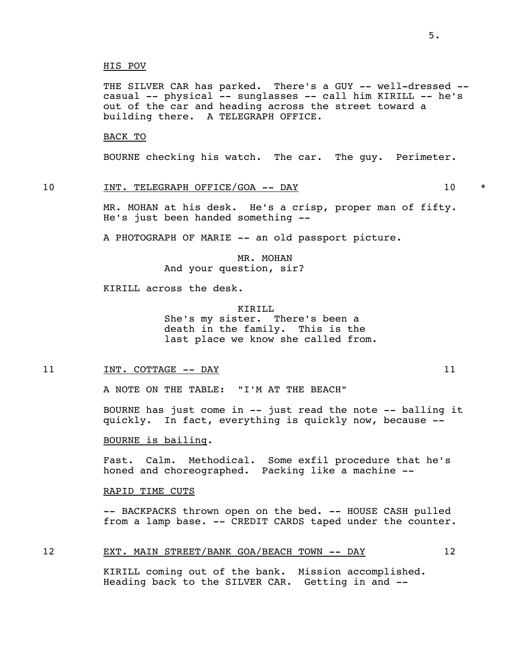THE SILVER CAR has parked. There's a GUY -- well-dressed - casual -- physical -- sunglasses -- call him KIRILL -- he's out of the car and heading across the street toward a building there. A TELEGRAPH OFFICE.

### BACK TO

BOURNE checking his watch. The car. The guy. Perimeter.

### 10 INT. TELEGRAPH OFFICE/GOA -- DAY 10 \*

 MR. MOHAN at his desk. He's a crisp, proper man of fifty. He's just been handed something --

A PHOTOGRAPH OF MARIE -- an old passport picture.

 MR. MOHAN And your question, sir?

KIRILL across the desk.

 KIRILL She's my sister. There's been a death in the family. This is the last place we know she called from.

#### 11 11 INT. COTTAGE -- DAY 11

A NOTE ON THE TABLE: "I'M AT THE BEACH"

 BOURNE has just come in -- just read the note -- balling it quickly. In fact, everything is quickly now, because --

BOURNE is bailing.

 Fast. Calm. Methodical. Some exfil procedure that he's honed and choreographed. Packing like a machine --

#### RAPID TIME CUTS

-- BACKPACKS thrown open on the bed. -- HOUSE CASH pulled from a lamp base. -- CREDIT CARDS taped under the counter.

#### 12 EXT. MAIN STREET/BANK GOA/BEACH TOWN -- DAY 12

 KIRILL coming out of the bank. Mission accomplished. Heading back to the SILVER CAR. Getting in and --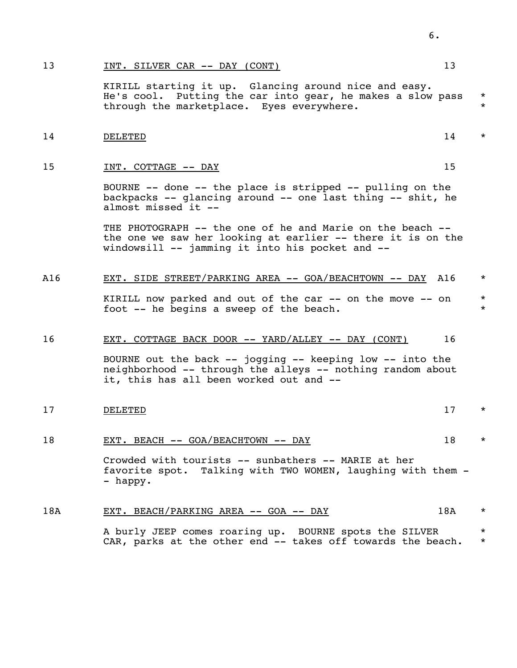#### 13 INT. SILVER CAR -- DAY (CONT) 13

 KIRILL starting it up. Glancing around nice and easy. He's cool. Putting the car into gear, he makes a slow pass \* through the marketplace. Eyes everywhere. \* \* \* \*

### 14 believed by Delawight and the set of the set of the set of the set of the set of the set of the set of the set of the set of the set of the set of the set of the set of the set of the set of the set of the set of the se

#### 15 19 INT. COTTAGE  $--$  DAY 15

 BOURNE -- done -- the place is stripped -- pulling on the backpacks -- glancing around -- one last thing -- shit, he almost missed it --

 THE PHOTOGRAPH -- the one of he and Marie on the beach - the one we saw her looking at earlier -- there it is on the windowsill -- jamming it into his pocket and --

#### A16 EXT. SIDE STREET/PARKING AREA -- GOA/BEACHTOWN -- DAY A16 \*

KIRILL now parked and out of the car -- on the move -- on \* foot  $-$ - he begins a sweep of the beach.

### 16 EXT. COTTAGE BACK DOOR -- YARD/ALLEY -- DAY (CONT) 16

 BOURNE out the back -- jogging -- keeping low -- into the neighborhood -- through the alleys -- nothing random about it, this has all been worked out and --

## 17 believed by the contract of the contract of the contract of the contract of the contract of the contract of the contract of the contract of the contract of the contract of the contract of the contract of the contract of

### 18 EXT. BEACH -- GOA/BEACHTOWN -- DAY 18 \*

 Crowded with tourists -- sunbathers -- MARIE at her favorite spot. Talking with TWO WOMEN, laughing with them - - happy.

#### 18A EXT. BEACH/PARKING AREA -- GOA -- DAY 18A \*

A burly JEEP comes roaring up. BOURNE spots the SILVER \* CAR, parks at the other end  $--$  takes off towards the beach.  $*$ 

6.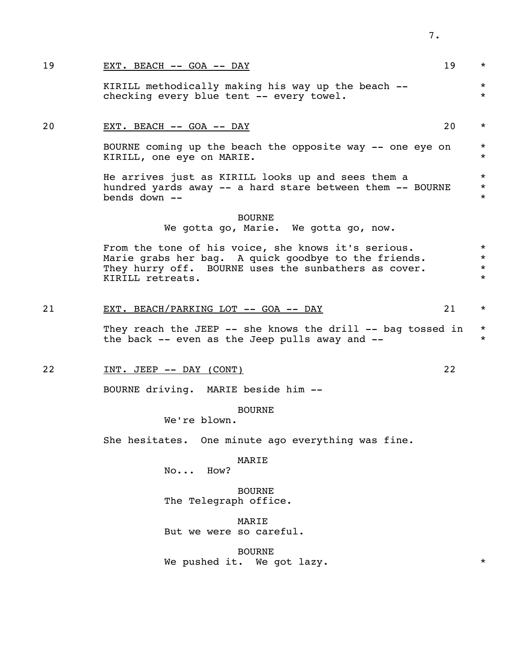| 19 | EXT. BEACH -- GOA -- DAY                                                                                                                                                                | 19 | $\star$                                  |
|----|-----------------------------------------------------------------------------------------------------------------------------------------------------------------------------------------|----|------------------------------------------|
|    | KIRILL methodically making his way up the beach --<br>checking every blue tent -- every towel.                                                                                          |    | $\star$<br>$\star$                       |
| 20 | EXT. BEACH -- GOA -- DAY                                                                                                                                                                | 20 | $\star$                                  |
|    | BOURNE coming up the beach the opposite way -- one eye on<br>KIRILL, one eye on MARIE.                                                                                                  |    | $\star$<br>$\star$                       |
|    | He arrives just as KIRILL looks up and sees them a<br>hundred yards away -- a hard stare between them -- BOURNE<br>bends down --                                                        |    | $\star$<br>$\star$<br>$\star$            |
|    | <b>BOURNE</b><br>We gotta go, Marie. We gotta go, now.                                                                                                                                  |    |                                          |
|    | From the tone of his voice, she knows it's serious.<br>Marie grabs her bag. A quick goodbye to the friends.<br>They hurry off. BOURNE uses the sunbathers as cover.<br>KIRILL retreats. |    | $\star$<br>$\star$<br>$\star$<br>$\star$ |
| 21 | EXT. BEACH/PARKING LOT -- GOA -- DAY                                                                                                                                                    | 21 | $\star$                                  |
|    | They reach the JEEP -- she knows the drill -- bag tossed in<br>the back $--$ even as the Jeep pulls away and $--$                                                                       |    | $\star$<br>$\star$                       |
| 22 | INT. JEEP -- DAY (CONT)                                                                                                                                                                 | 22 |                                          |
|    | BOURNE driving. MARIE beside him --                                                                                                                                                     |    |                                          |
|    | <b>BOURNE</b><br>We're blown.                                                                                                                                                           |    |                                          |
|    | She hesitates. One minute ago everything was fine.                                                                                                                                      |    |                                          |
|    | MARIE<br>How?<br>No                                                                                                                                                                     |    |                                          |
|    | <b>BOURNE</b><br>The Telegraph office.                                                                                                                                                  |    |                                          |
|    | MARIE<br>But we were so careful.                                                                                                                                                        |    |                                          |

**BOURNE** We pushed it. We got lazy.  $*$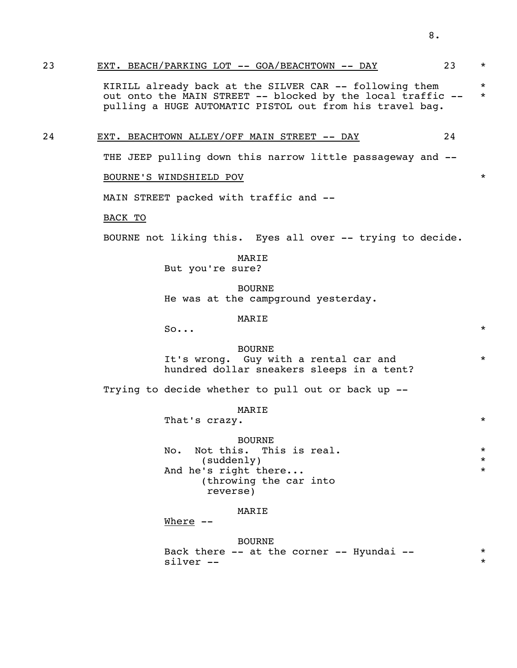KIRILL already back at the SILVER CAR -- following them  $*$ out onto the MAIN STREET -- blocked by the local traffic -- \* pulling a HUGE AUTOMATIC PISTOL out from his travel bag.

24 EXT. BEACHTOWN ALLEY/OFF MAIN STREET -- DAY 24

THE JEEP pulling down this narrow little passageway and --

BOURNE'S WINDSHIELD POV \*

MAIN STREET packed with traffic and --

BACK TO

BOURNE not liking this. Eyes all over -- trying to decide.

MARIE

But you're sure?

 BOURNE He was at the campground yesterday.

MARIE

 $\mathsf{So...}$  \*

 BOURNE It's wrong. Guy with a rental car and hundred dollar sneakers sleeps in a tent?

Trying to decide whether to pull out or back up --

MARIE

That's crazy.  $\star$ 

 BOURNE No. Not this. This is real.  $*$  (suddenly) \* And he's right there... (throwing the car into reverse)

#### MARIE

Where --

#### BOURNE

|           |  |  | Back there $--$ at the corner $--$ Hyundai $--$ |  |
|-----------|--|--|-------------------------------------------------|--|
| silver -- |  |  |                                                 |  |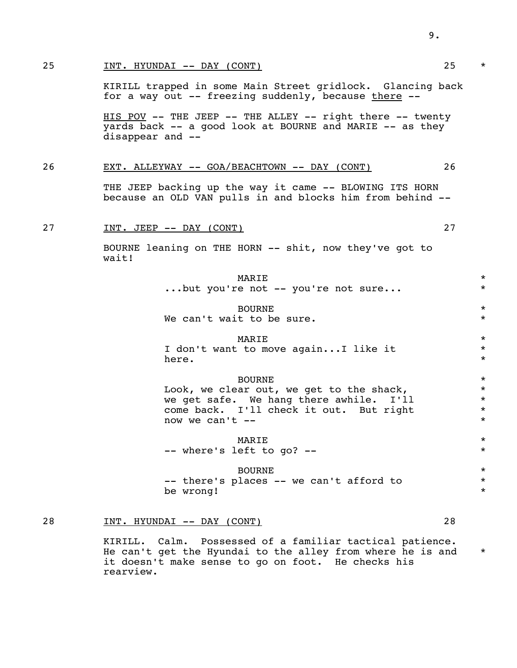### 25 INT. HYUNDAI -- DAY (CONT) 25 \*

 KIRILL trapped in some Main Street gridlock. Glancing back for a way out  $-$ - freezing suddenly, because there  $-$ -

 HIS POV -- THE JEEP -- THE ALLEY -- right there -- twenty yards back -- a good look at BOURNE and MARIE -- as they disappear and --

#### 26 EXT. ALLEYWAY -- GOA/BEACHTOWN -- DAY (CONT) 26

THE JEEP backing up the way it came -- BLOWING ITS HORN because an OLD VAN pulls in and blocks him from behind --

### 27 1NT. JEEP -- DAY (CONT) 27

 BOURNE leaning on THE HORN -- shit, now they've got to wait!

| MARIE                             |  |  |  |  |
|-----------------------------------|--|--|--|--|
| but you're not -- you're not sure |  |  |  |  |

BOURNE \*

We can't wait to be sure.  $*$ 

### where  $\star$

I don't want to move again...I like it  $*$ here.  $\star$ 

### BOURNE \*

Look, we clear out, we get to the shack,  $*$ <br>we get safe. We hang there awhile. I'll we get safe. We hang there awhile. I'll come back. I'll check it out. But right  $\star$ <br>now we can't -now we can't  $-$ 

where  $\star$ -- where's left to go? --  $*$ 

### BOURNE \*

-- there's places -- we can't afford to \* be wrong!  $\star$ 

#### 28 INT. HYUNDAI -- DAY (CONT) 28

 KIRILL. Calm. Possessed of a familiar tactical patience. He can't get the Hyundai to the alley from where he is and \* it doesn't make sense to go on foot. He checks his rearview.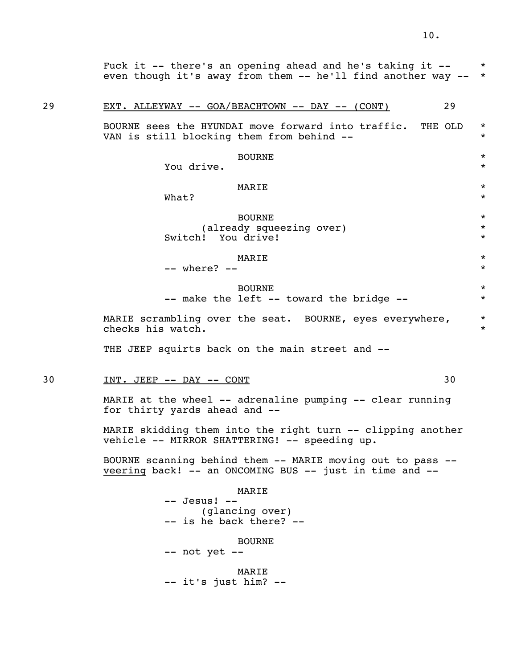Fuck it  $--$  there's an opening ahead and he's taking it  $--$  \* even though it's away from them -- he'll find another way -- \*

### 29 EXT. ALLEYWAY -- GOA/BEACHTOWN -- DAY -- (CONT) 29

BOURNE sees the HYUNDAI move forward into traffic. THE OLD  $*$ VAN is still blocking them from behind --  $*$ 

### BOURNE \*

You drive.  $\star$ 

### where  $\star$

what?  $\star$ 

 BOURNE \* (already squeezing over) \* Switch! You drive! \*

### where  $\star$

 $---$  where?  $---$ 

### BOURNE \* -- make the left -- toward the bridge --  $*$

MARIE scrambling over the seat. BOURNE, eyes everywhere,  $*$ checks his watch.

THE JEEP squirts back on the main street and --

### 30 INT. JEEP -- DAY -- CONT 30

 MARIE at the wheel -- adrenaline pumping -- clear running for thirty yards ahead and --

MARIE skidding them into the right turn -- clipping another vehicle -- MIRROR SHATTERING! -- speeding up.

 BOURNE scanning behind them -- MARIE moving out to pass - veering back! -- an ONCOMING BUS -- just in time and --

#### MARIE

 -- Jesus! -- (glancing over) -- is he back there? --

### BOURNE

- -- not yet --
- MARIE -- it's just him? --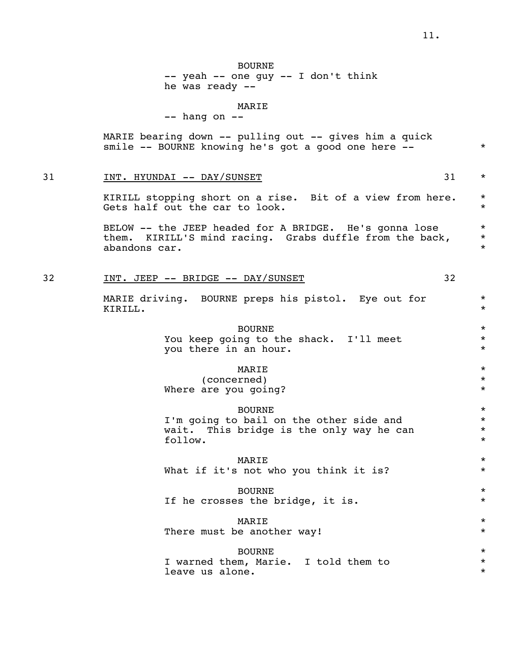### BOURNE -- yeah -- one guy -- I don't think he was ready --

#### MARIE

 $--$  hang on  $--$ 

 MARIE bearing down -- pulling out -- gives him a quick smile -- BOURNE knowing he's got a good one here -- \*

### 31 INT. HYUNDAI -- DAY/SUNSET 31 \*

KIRILL stopping short on a rise. Bit of a view from here.  $*$ Gets half out the car to look.  $\star$ 

BELOW -- the JEEP headed for A BRIDGE. He's gonna lose \* them. KIRILL'S mind racing. Grabs duffle from the back,  $*$ abandons car. \*

#### 32 INT. JEEP -- BRIDGE -- DAY/SUNSET 32

MARIE driving. BOURNE preps his pistol. Eye out for  $*$ KIRILL. \*

### BOURNE \*

You keep going to the shack. I'll meet  $*$ you there in an hour.  $\star$ 

### where  $\star$

 (concerned) \* Where are you going?  $*$ 

 BOURNE \* I'm going to bail on the other side and  $*$ wait. This bridge is the only way he can  $*$  follow. follow.  $\star$ 

### where  $\star$

What if it's not who you think it is?  $*$ 

# BOURNE \*

If he crosses the bridge, it is.  $*$ 

### where  $\star$

There must be another way!  $*$ 

### BOURNE \* I warned them, Marie. I told them to \* leave us alone.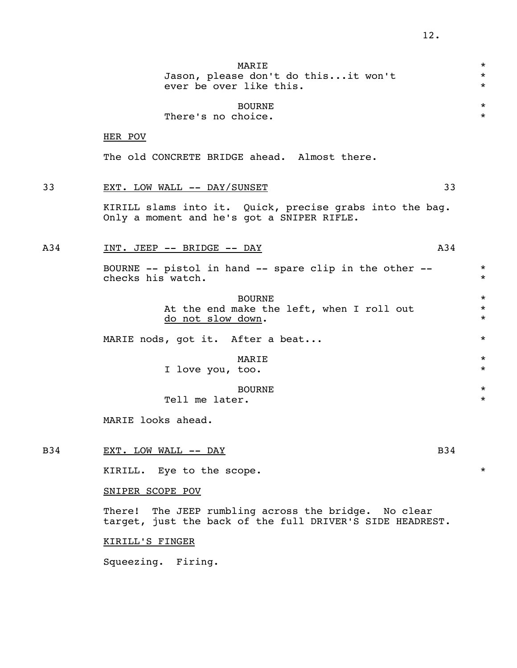|     | MARIE<br>Jason, please don't do thisit won't<br>ever be over like this.                                              | $\star$<br>$\star$<br>$\star$ |
|-----|----------------------------------------------------------------------------------------------------------------------|-------------------------------|
|     | <b>BOURNE</b><br>There's no choice.                                                                                  | $\star$<br>$\star$            |
|     | HER POV                                                                                                              |                               |
|     | The old CONCRETE BRIDGE ahead. Almost there.                                                                         |                               |
| 33  | 33<br>EXT. LOW WALL -- DAY/SUNSET                                                                                    |                               |
|     | KIRILL slams into it. Quick, precise grabs into the bag.<br>Only a moment and he's got a SNIPER RIFLE.               |                               |
| A34 | A34<br>INT. JEEP -- BRIDGE -- DAY                                                                                    |                               |
|     | BOURNE -- pistol in hand -- spare clip in the other --<br>checks his watch.                                          | $\star$<br>$\star$            |
|     | <b>BOURNE</b><br>At the end make the left, when I roll out<br>do not slow down.                                      | $\star$<br>$\star$<br>$\star$ |
|     | MARIE nods, got it. After a beat                                                                                     | $\star$                       |
|     | MARIE<br>I love you, too.                                                                                            | $\star$<br>$\star$            |
|     | <b>BOURNE</b><br>Tell me later.                                                                                      | $\star$<br>$\star$            |
|     | MARIE looks ahead.                                                                                                   |                               |
| B34 | B34<br>EXT. LOW WALL -- DAY                                                                                          |                               |
|     | KIRILL. Eye to the scope.                                                                                            | $\star$                       |
|     | SNIPER SCOPE POV                                                                                                     |                               |
|     | The JEEP rumbling across the bridge. No clear<br>There!<br>target, just the back of the full DRIVER'S SIDE HEADREST. |                               |
|     | <b>KIRILL'S FINGER</b>                                                                                               |                               |

Squeezing. Firing.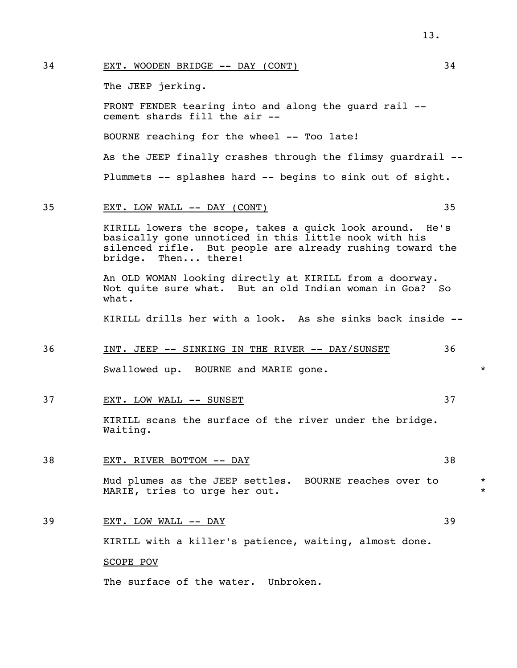### 34 EXT. WOODEN BRIDGE -- DAY (CONT) 34

The JEEP jerking.

 FRONT FENDER tearing into and along the guard rail - cement shards fill the air --

BOURNE reaching for the wheel -- Too late!

 As the JEEP finally crashes through the flimsy guardrail -- Plummets -- splashes hard -- begins to sink out of sight.

### 35 EXT. LOW WALL -- DAY (CONT) 35

 KIRILL lowers the scope, takes a quick look around. He's basically gone unnoticed in this little nook with his silenced rifle. But people are already rushing toward the bridge. Then... there!

 An OLD WOMAN looking directly at KIRILL from a doorway. Not quite sure what. But an old Indian woman in Goa? So what.

KIRILL drills her with a look. As she sinks back inside --

#### 36 INT. JEEP -- SINKING IN THE RIVER -- DAY/SUNSET 36

Swallowed up. BOURNE and MARIE gone.  $\ast$ 

37 EXT. LOW WALL -- SUNSET SALL AND THE SOLUTION OF STRING AND THE STRING OF STRING AND THE STRING OF STRING AND THE STRING OF STRING AND THE STRING OF STRING OF STRING OF STRING AND THE STRING OF STRING OF STRING OF STRIN

 KIRILL scans the surface of the river under the bridge. Waiting.

#### 38 EXT. RIVER BOTTOM -- DAY 38

Mud plumes as the JEEP settles. BOURNE reaches over to  $*$ MARIE, tries to urge her out.

### 39 EXT. LOW WALL -- DAY 39

KIRILL with a killer's patience, waiting, almost done.

#### SCOPE POV

The surface of the water. Unbroken.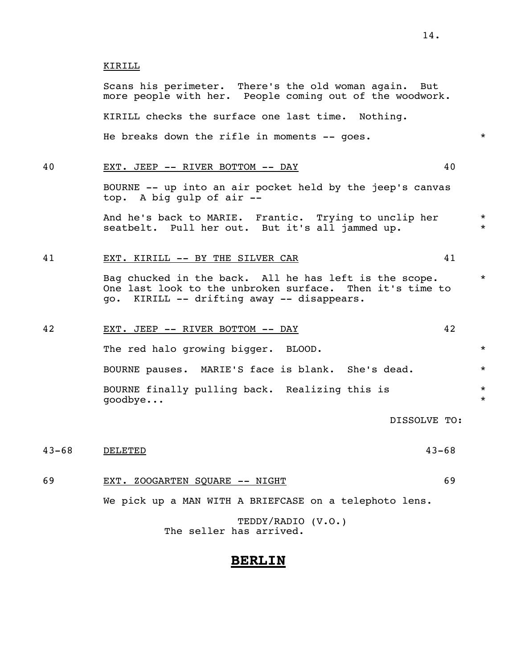#### KIRILL

 Scans his perimeter. There's the old woman again. But more people with her. People coming out of the woodwork. KIRILL checks the surface one last time. Nothing. He breaks down the rifle in moments -- goes.  $*$ 

### 40 EXT. JEEP -- RIVER BOTTOM -- DAY 40

 BOURNE -- up into an air pocket held by the jeep's canvas top. A big gulp of air --

And he's back to MARIE. Frantic. Trying to unclip her \* seatbelt. Pull her out. But it's all jammed up.

#### 41 EXT. KIRILL -- BY THE SILVER CAR 41

Bag chucked in the back. All he has left is the scope.  $*$  One last look to the unbroken surface. Then it's time to go. KIRILL -- drifting away -- disappears.

### 42 EXT. JEEP -- RIVER BOTTOM -- DAY 42

The red halo growing bigger. BLOOD.  $*$  BOURNE pauses. MARIE'S face is blank. She's dead. \* BOURNE finally pulling back. Realizing this is  $*$ qoodbye...

DISSOLVE TO:

### 43-68 DELETED 43-68

### 69 EXT. ZOOGARTEN SQUARE -- NIGHT 69

We pick up a MAN WITH A BRIEFCASE on a telephoto lens.

 TEDDY/RADIO (V.O.) The seller has arrived.

### **BERLIN**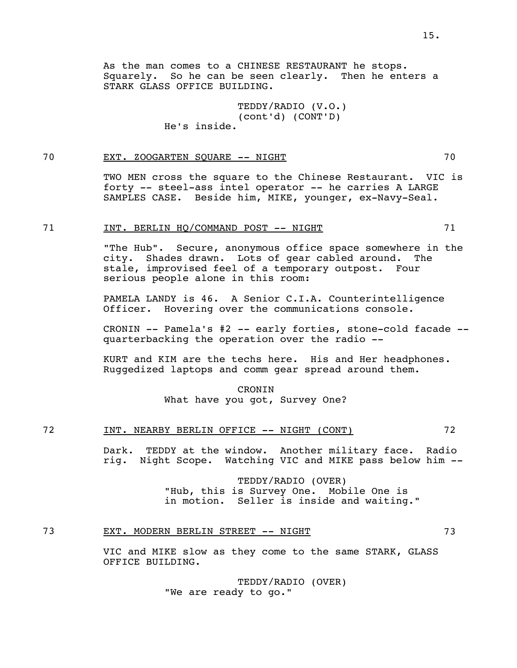As the man comes to a CHINESE RESTAURANT he stops. Squarely. So he can be seen clearly. Then he enters a STARK GLASS OFFICE BUILDING.

> TEDDY/RADIO (V.O.) (cont'd) (CONT'D) He's inside.

### 70 EXT. ZOOGARTEN SQUARE -- NIGHT 70

 TWO MEN cross the square to the Chinese Restaurant. VIC is forty -- steel-ass intel operator -- he carries A LARGE SAMPLES CASE. Beside him, MIKE, younger, ex-Navy-Seal.

#### 71 INT. BERLIN HO/COMMAND POST -- NIGHT 71

 "The Hub". Secure, anonymous office space somewhere in the city. Shades drawn. Lots of gear cabled around. The stale, improvised feel of a temporary outpost. Four serious people alone in this room:

 PAMELA LANDY is 46. A Senior C.I.A. Counterintelligence Officer. Hovering over the communications console.

 CRONIN -- Pamela's #2 -- early forties, stone-cold facade - quarterbacking the operation over the radio --

 KURT and KIM are the techs here. His and Her headphones. Ruggedized laptops and comm gear spread around them.

#### CRONIN

What have you got, Survey One?

### 72 INT. NEARBY BERLIN OFFICE -- NIGHT (CONT) 72

 Dark. TEDDY at the window. Another military face. Radio rig. Night Scope. Watching VIC and MIKE pass below him --

> TEDDY/RADIO (OVER) "Hub, this is Survey One. Mobile One is in motion. Seller is inside and waiting."

### 73 EXT. MODERN BERLIN STREET -- NIGHT 73

 VIC and MIKE slow as they come to the same STARK, GLASS OFFICE BUILDING.

> TEDDY/RADIO (OVER) "We are ready to go."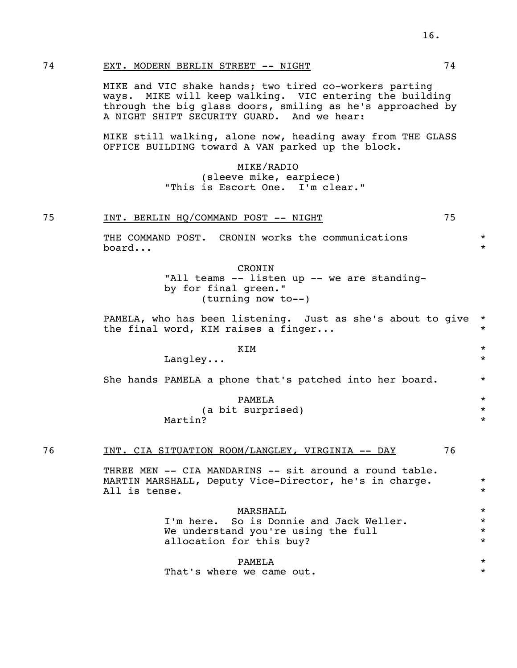### 74 EXT. MODERN BERLIN STREET -- NIGHT 74

 MIKE and VIC shake hands; two tired co-workers parting ways. MIKE will keep walking. VIC entering the building through the big glass doors, smiling as he's approached by A NIGHT SHIFT SECURITY GUARD. And we hear:

 MIKE still walking, alone now, heading away from THE GLASS OFFICE BUILDING toward A VAN parked up the block.

### MIKE/RADIO (sleeve mike, earpiece) "This is Escort One. I'm clear."

|  | BERLIN HO/COMMAND POST<br>' -- NIGHT<br>INT. |  |
|--|----------------------------------------------|--|
|--|----------------------------------------------|--|

 THE COMMAND POST. CRONIN works the communications \* board...  $\star$ 

> CRONIN "All teams -- listen up -- we are standing by for final green." (turning now to--)

PAMELA, who has been listening. Just as she's about to give \* the final word, KIM raises a finger...  $*$ 

 $KIM$  \* Langley...  $*$ 

She hands PAMELA a phone that's patched into her board.  $*$ 

PAMELA \*

(a bit surprised) \*

Martin?  $*$ 

### 76 INT. CIA SITUATION ROOM/LANGLEY, VIRGINIA -- DAY 76

THREE MEN -- CIA MANDARINS -- sit around a round table. MARTIN MARSHALL, Deputy Vice-Director, he's in charge. \*\* All is tense.  $\star$ 

 $MARSHALL$ 

 I'm here. So is Donnie and Jack Weller. \* We understand you're using the full allocation for this buy?  $*$ 

 PAMELA \* That's where we came out.  $*$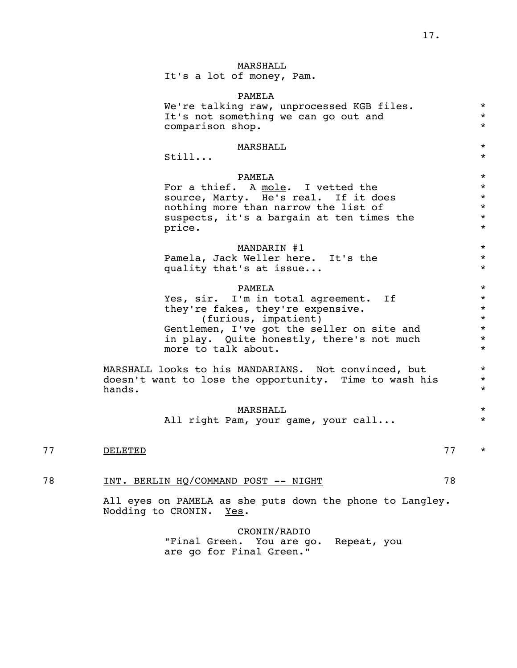### MARSHALL

It's a lot of money, Pam.

 PAMELA We're talking raw, unprocessed KGB files.  $*$ <br>Tt's not something we can go out and  $*$ It's not something we can go out and  $*$ <br>comparison shop comparison shop. \*  $MARSHALL$ still...  $\star$  PAMELA \* For a thief. A mole. I vetted the  $*$ source, Marty. He's real. If it does  $*$ nothing more than narrow the list of  $*$ <br>suspects, it's a bargain at ten times the  $*$ suspects, it's a bargain at ten times the  $*$ <br>price. price.  $*$ MANDARIN #1  $*$  Pamela, Jack Weller here. It's the \* quality that's at issue...  $*$  PAMELA \* Yes, sir. I'm in total agreement. If  $*$ <br>they're fakes, they're expensive. they're fakes, they're expensive. \* (furious, impatient) \* Gentlemen, I've got the seller on site and  $*$ <br>in play. Ouite honestly, there's not much  $*$ in play. Quite honestly, there's not much  $*$ <br>more to talk about more to talk about. MARSHALL looks to his MANDARIANS. Not convinced, but \* doesn't want to lose the opportunity. Time to wash his  $*$  hands. \*  $MARSHALL$ All right Pam, your game, your call... \* 77 DELETED 77 \*

### 78 INT. BERLIN HQ/COMMAND POST -- NIGHT 78

 All eyes on PAMELA as she puts down the phone to Langley. Nodding to CRONIN. Yes.

> CRONIN/RADIO "Final Green. You are go. Repeat, you are go for Final Green."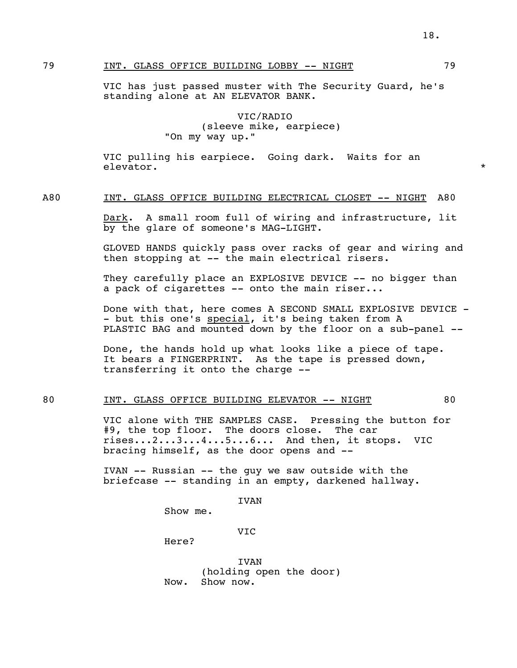VIC has just passed muster with The Security Guard, he's standing alone at AN ELEVATOR BANK.

### VIC/RADIO (sleeve mike, earpiece) "On my way up."

 VIC pulling his earpiece. Going dark. Waits for an elevator.  $\star$ 

#### A80 INT. GLASS OFFICE BUILDING ELECTRICAL CLOSET -- NIGHT A80

 Dark. A small room full of wiring and infrastructure, lit by the glare of someone's MAG-LIGHT.

 GLOVED HANDS quickly pass over racks of gear and wiring and then stopping at -- the main electrical risers.

They carefully place an EXPLOSIVE DEVICE -- no bigger than a pack of cigarettes -- onto the main riser...

Done with that, here comes A SECOND SMALL EXPLOSIVE DEVICE -- but this one's special, it's being taken from A PLASTIC BAG and mounted down by the floor on a sub-panel --

 Done, the hands hold up what looks like a piece of tape. It bears a FINGERPRINT. As the tape is pressed down, transferring it onto the charge --

### 80 INT. GLASS OFFICE BUILDING ELEVATOR -- NIGHT 80

 VIC alone with THE SAMPLES CASE. Pressing the button for #9, the top floor. The doors close. The car rises...2...3...4...5...6... And then, it stops. VIC bracing himself, as the door opens and --

 IVAN -- Russian -- the guy we saw outside with the briefcase -- standing in an empty, darkened hallway.

IVAN

Show me.

VIC

Here?

 IVAN (holding open the door) Now. Show now.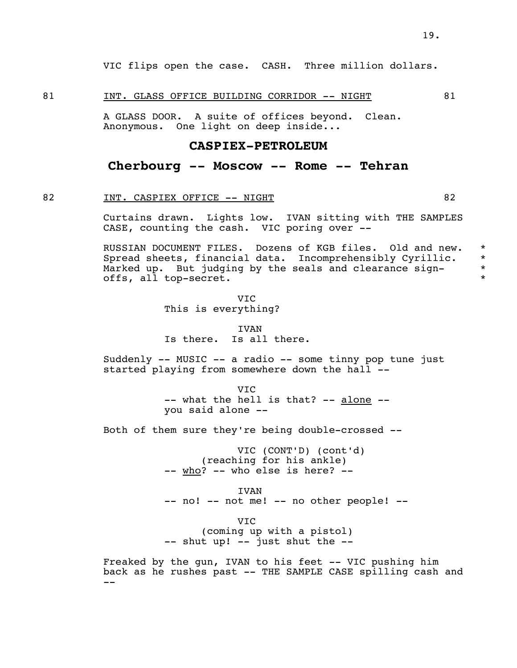VIC flips open the case. CASH. Three million dollars.

#### 81 INT. GLASS OFFICE BUILDING CORRIDOR -- NIGHT 81

 A GLASS DOOR. A suite of offices beyond. Clean. Anonymous. One light on deep inside...

### **CASPIEX-PETROLEUM**

### **Cherbourg -- Moscow -- Rome -- Tehran**

#### 82 INT. CASPIEX OFFICE -- NIGHT 82

 Curtains drawn. Lights low. IVAN sitting with THE SAMPLES CASE, counting the cash. VIC poring over --

 RUSSIAN DOCUMENT FILES. Dozens of KGB files. Old and new. \* Spread sheets, financial data. Incomprehensibly Cyrillic. \* Marked up. But judging by the seals and clearance sign-<br>offs all ten secret offs, all top-secret. \*

 VIC This is everything?

 IVAN Is there. Is all there.

> Suddenly -- MUSIC -- a radio -- some tinny pop tune just started playing from somewhere down the hall --

 VIC -- what the hell is that? -- alone --<br>you said alone --

Both of them sure they're being double-crossed --

 VIC (CONT'D) (cont'd) (reaching for his ankle) -- who? -- who else is here? --

 IVAN -- no! -- not me! -- no other people! --

 VIC (coming up with a pistol) -- shut up! -- just shut the --

 Freaked by the gun, IVAN to his feet -- VIC pushing him back as he rushes past -- THE SAMPLE CASE spilling cash and --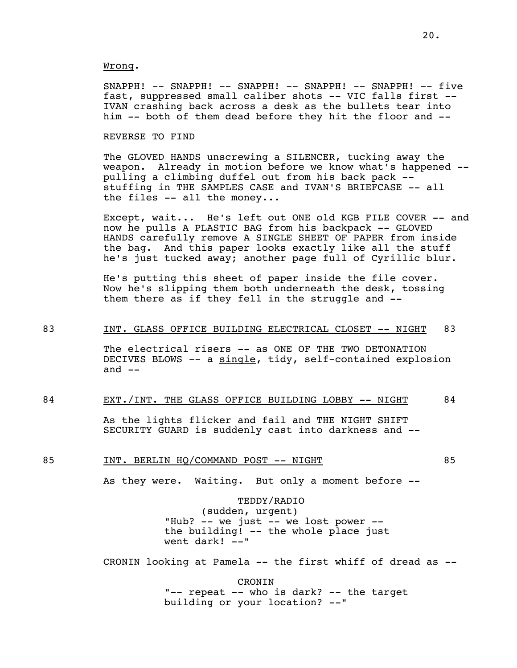#### Wrong.

 SNAPPH! -- SNAPPH! -- SNAPPH! -- SNAPPH! -- SNAPPH! -- five fast, suppressed small caliber shots -- VIC falls first -- IVAN crashing back across a desk as the bullets tear into him -- both of them dead before they hit the floor and --

#### REVERSE TO FIND

 The GLOVED HANDS unscrewing a SILENCER, tucking away the weapon. Already in motion before we know what's happened - pulling a climbing duffel out from his back pack - stuffing in THE SAMPLES CASE and IVAN'S BRIEFCASE -- all the files -- all the money...

 Except, wait... He's left out ONE old KGB FILE COVER -- and now he pulls A PLASTIC BAG from his backpack -- GLOVED HANDS carefully remove A SINGLE SHEET OF PAPER from inside the bag. And this paper looks exactly like all the stuff he's just tucked away; another page full of Cyrillic blur.

 He's putting this sheet of paper inside the file cover. Now he's slipping them both underneath the desk, tossing them there as if they fell in the struggle and --

### 83 INT. GLASS OFFICE BUILDING ELECTRICAL CLOSET -- NIGHT 83

 The electrical risers -- as ONE OF THE TWO DETONATION DECIVES BLOWS -- a single, tidy, self-contained explosion and  $--$ 

### 84 EXT./INT. THE GLASS OFFICE BUILDING LOBBY -- NIGHT 84

 As the lights flicker and fail and THE NIGHT SHIFT SECURITY GUARD is suddenly cast into darkness and --

### 85 INT. BERLIN HO/COMMAND POST -- NIGHT 85

As they were. Waiting. But only a moment before --

### TEDDY/RADIO

 (sudden, urgent) "Hub? -- we just -- we lost power - the building! -- the whole place just went dark! --"

CRONIN looking at Pamela -- the first whiff of dread as --

 CRONIN "-- repeat -- who is dark? -- the target building or your location? --"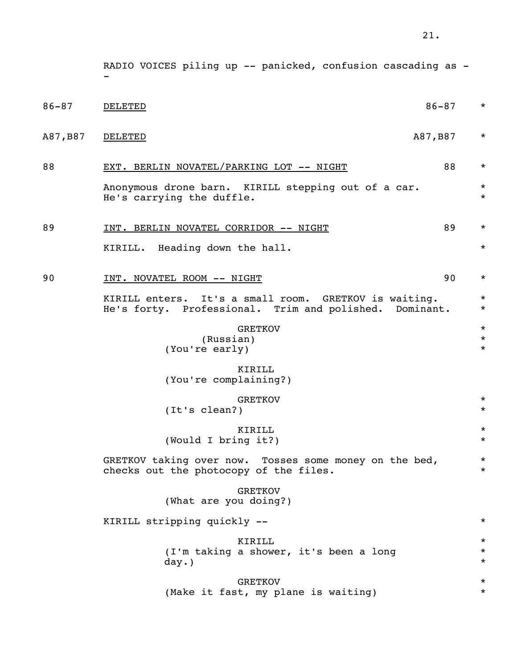|           | RADIO VOICES piling up -- panicked, confusion cascading as -                                                    |                                |
|-----------|-----------------------------------------------------------------------------------------------------------------|--------------------------------|
| $86 - 87$ | $86 - 87$<br><b>DELETED</b>                                                                                     | $\star$                        |
| A87, B87  | A87, B87<br><b>DELETED</b>                                                                                      | $\star$                        |
| 88        | 88<br>EXT. BERLIN NOVATEL/PARKING LOT -- NIGHT                                                                  | $\star$                        |
|           | Anonymous drone barn. KIRILL stepping out of a car.<br>He's carrying the duffle.                                | $\star$<br>$\star$             |
| 89        | 89<br>INT. BERLIN NOVATEL CORRIDOR -- NIGHT                                                                     | $\star$                        |
|           | KIRILL. Heading down the hall.                                                                                  | $\star$                        |
| 90        | 90<br>INT. NOVATEL ROOM -- NIGHT                                                                                | $\star$                        |
|           | KIRILL enters. It's a small room. GRETKOV is waiting.<br>He's forty. Professional. Trim and polished. Dominant. | $\star$<br>$^\star$            |
|           | <b>GRETKOV</b><br>(Russian)<br>(You're early)                                                                   | $^\star$<br>$\star$<br>$\star$ |
|           | KIRILL<br>(You're complaining?)                                                                                 |                                |
|           | <b>GRETKOV</b><br>(It's clean?)                                                                                 | $\star$<br>$^\star$            |
|           | KIRILL<br>(Would I bring it?)                                                                                   | $^\star$<br>$\ast$             |
|           | GRETKOV taking over now. Tosses some money on the bed,<br>checks out the photocopy of the files.                | $\star$<br>$\star$             |
|           | <b>GRETKOV</b><br>(What are you doing?)                                                                         |                                |
|           | KIRILL stripping quickly --                                                                                     | $\star$                        |
|           | KIRILL<br>(I'm taking a shower, it's been a long<br>day.)                                                       | $\star$<br>$\star$<br>$^\star$ |
|           | <b>GRETKOV</b><br>(Make it fast, my plane is waiting)                                                           | $^\star$<br>$^\star$           |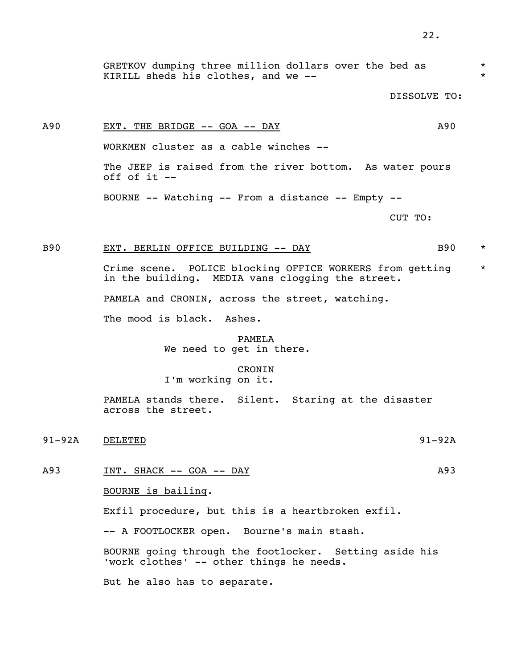GRETKOV dumping three million dollars over the bed as  $*$ KIRILL sheds his clothes, and we  $-$ -

DISSOLVE TO:

# A90 EXT. THE BRIDGE -- GOA -- DAY A90 WORKMEN cluster as a cable winches -- The JEEP is raised from the river bottom. As water pours off of it --

BOURNE -- Watching -- From a distance -- Empty --

CUT TO:

### B90 EXT. BERLIN OFFICE BUILDING -- DAY B90 \*

 Crime scene. POLICE blocking OFFICE WORKERS from getting \* in the building. MEDIA vans clogging the street.

PAMELA and CRONIN, across the street, watching.

The mood is black. Ashes.

## PAMELA

We need to get in there.

### CRONIN

I'm working on it.

 PAMELA stands there. Silent. Staring at the disaster across the street.

91-92A DELETED 91-92A

A93 INT. SHACK -- GOA -- DAY

BOURNE is bailing.

Exfil procedure, but this is a heartbroken exfil.

-- A FOOTLOCKER open. Bourne's main stash.

 BOURNE going through the footlocker. Setting aside his 'work clothes' -- other things he needs.

But he also has to separate.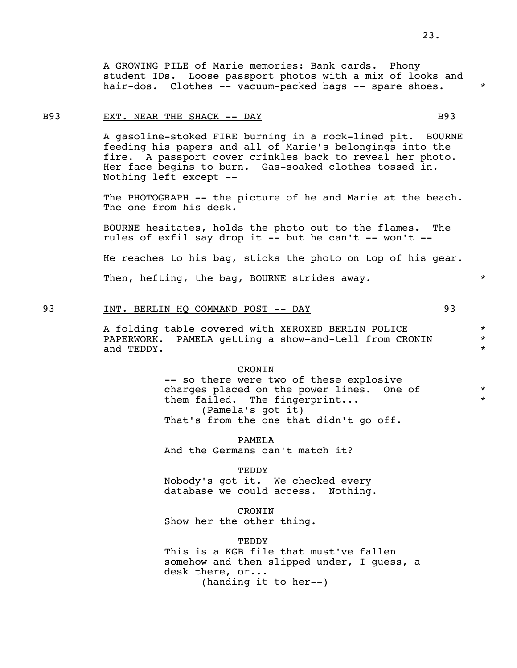A GROWING PILE of Marie memories: Bank cards. Phony student IDs. Loose passport photos with a mix of looks and hair-dos. Clothes -- vacuum-packed bags -- spare shoes. \*

#### B93 EXT. NEAR THE SHACK -- DAY B93

 A gasoline-stoked FIRE burning in a rock-lined pit. BOURNE feeding his papers and all of Marie's belongings into the fire. A passport cover crinkles back to reveal her photo. Her face begins to burn. Gas-soaked clothes tossed in. Nothing left except --

The PHOTOGRAPH -- the picture of he and Marie at the beach. The one from his desk.

 BOURNE hesitates, holds the photo out to the flames. The rules of exfil say drop it  $-$ - but he can't  $-$ - won't  $-$ -

He reaches to his bag, sticks the photo on top of his gear.

Then, hefting, the bag, BOURNE strides away.  $*$ 

### 93 INT. BERLIN HO COMMAND POST -- DAY 93

 A folding table covered with XEROXED BERLIN POLICE \* PAPERWORK. PAMELA getting a show-and-tell from CRONIN and TEDDY. \*

#### CRONIN

 -- so there were two of these explosive charges placed on the power lines. One of \* them failed. The fingerprint... (Pamela's got it) That's from the one that didn't go off.

 PAMELA And the Germans can't match it?

TEDDY

 Nobody's got it. We checked every database we could access. Nothing.

 CRONIN Show her the other thing.

**TEDDY** 

 This is a KGB file that must've fallen somehow and then slipped under, I quess, a desk there, or... (handing it to her--)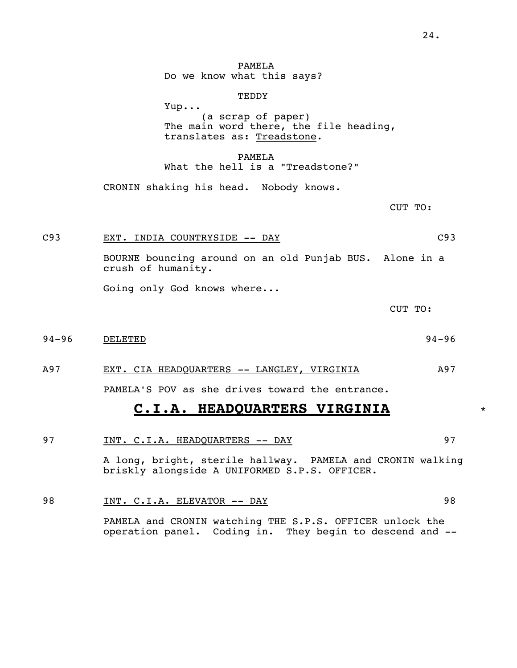PAMELA Do we know what this says?

#### **TEDDY**

 Yup... (a scrap of paper) The main word there, the file heading, translates as: Treadstone.

 PAMELA What the hell is a "Treadstone?"

CRONIN shaking his head. Nobody knows.

CUT TO:

### C93 EXT. INDIA COUNTRYSIDE -- DAY C93

 BOURNE bouncing around on an old Punjab BUS. Alone in a crush of humanity.

Going only God knows where...

CUT TO:

94-96 DELETED 94-96

### A97 EXT. CIA HEADQUARTERS -- LANGLEY, VIRGINIA A97

PAMELA'S POV as she drives toward the entrance.

## **C.I.A. HEADQUARTERS VIRGINIA** \*

# 97 1NT. C.I.A. HEADQUARTERS -- DAY 97

 A long, bright, sterile hallway. PAMELA and CRONIN walking briskly alongside A UNIFORMED S.P.S. OFFICER.

# 98 INT. C.I.A. ELEVATOR -- DAY 98

 PAMELA and CRONIN watching THE S.P.S. OFFICER unlock the operation panel. Coding in. They begin to descend and --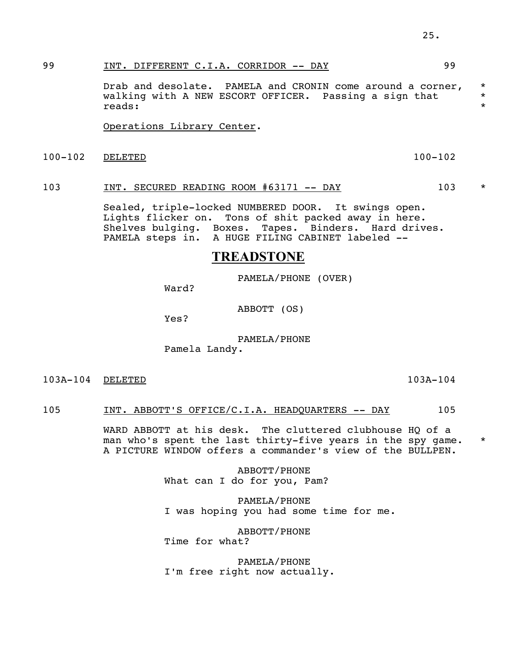## 99 INT. DIFFERENT C.I.A. CORRIDOR -- DAY 99

Drab and desolate. PAMELA and CRONIN come around a corner,  $*$ walking with A NEW ESCORT OFFICER. Passing a sign that  $*$  reads: reads: \*

Operations Library Center.

100-102 DELETED 100-102

### 103 INT. SECURED READING ROOM #63171 -- DAY 103 \*

 Sealed, triple-locked NUMBERED DOOR. It swings open. Lights flicker on. Tons of shit packed away in here. Shelves bulging. Boxes. Tapes. Binders. Hard drives. PAMELA steps in. A HUGE FILING CABINET labeled --

# **TREADSTONE**

PAMELA/PHONE (OVER)

Ward?

ABBOTT (OS)

Yes?

 PAMELA/PHONE Pamela Landy.

103A-104 DELETED 103A-104

### 105 INT. ABBOTT'S OFFICE/C.I.A. HEADQUARTERS -- DAY 105

WARD ABBOTT at his desk. The cluttered clubhouse HQ of a man who's spent the last thirty-five years in the spy game. \* A PICTURE WINDOW offers a commander's view of the BULLPEN.

> ABBOTT/PHONE What can I do for you, Pam?

 PAMELA/PHONE I was hoping you had some time for me.

 ABBOTT/PHONE Time for what?

 PAMELA/PHONE I'm free right now actually.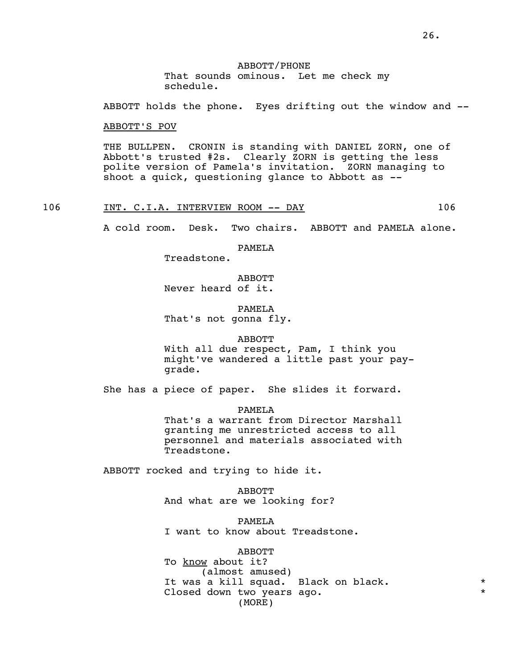ABBOTT holds the phone. Eyes drifting out the window and --

ABBOTT'S POV

 THE BULLPEN. CRONIN is standing with DANIEL ZORN, one of Abbott's trusted #2s. Clearly ZORN is getting the less polite version of Pamela's invitation. ZORN managing to shoot a quick, questioning glance to Abbott as --

106 INT. C.I.A. INTERVIEW ROOM -- DAY 106

A cold room. Desk. Two chairs. ABBOTT and PAMELA alone.

PAMELA

Treadstone.

 ABBOTT Never heard of it.

 PAMELA That's not gonna fly.

### ABBOTT

 With all due respect, Pam, I think you might've wandered a little past your pay grade.

She has a piece of paper. She slides it forward.

 PAMELA That's a warrant from Director Marshall granting me unrestricted access to all personnel and materials associated with Treadstone.

ABBOTT rocked and trying to hide it.

 ABBOTT And what are we looking for?

 PAMELA I want to know about Treadstone.

 ABBOTT To know about it? (almost amused) It was a kill squad. Black on black.  $*$ Closed down two years ago. (MORE)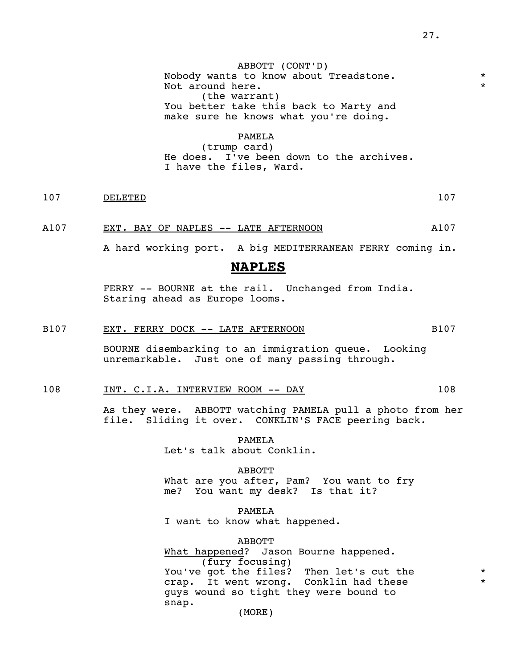ABBOTT (CONT'D) Nobody wants to know about Treadstone. Not around here. (the warrant) You better take this back to Marty and make sure he knows what you're doing.

### PAMELA

 (trump card) He does. I've been down to the archives. I have the files, Ward.

107 DELETED 107

A107 EXT. BAY OF NAPLES -- LATE AFTERNOON A107

A hard working port. A big MEDITERRANEAN FERRY coming in.

### **NAPLES**

 FERRY -- BOURNE at the rail. Unchanged from India. Staring ahead as Europe looms.

### B107 EXT. FERRY DOCK -- LATE AFTERNOON B107

 BOURNE disembarking to an immigration queue. Looking unremarkable. Just one of many passing through.

### 108 INT. C.I.A. INTERVIEW ROOM -- DAY 108

 As they were. ABBOTT watching PAMELA pull a photo from her file. Sliding it over. CONKLIN'S FACE peering back.

> PAMELA Let's talk about Conklin.

 ABBOTT What are you after, Pam? You want to fry me? You want my desk? Is that it?

> PAMELA I want to know what happened.

 ABBOTT What happened? Jason Bourne happened. (fury focusing) You've got the files? Then let's cut the \* crap. It went wrong. Conklin had these \* guys wound so tight they were bound to snap. (MORE)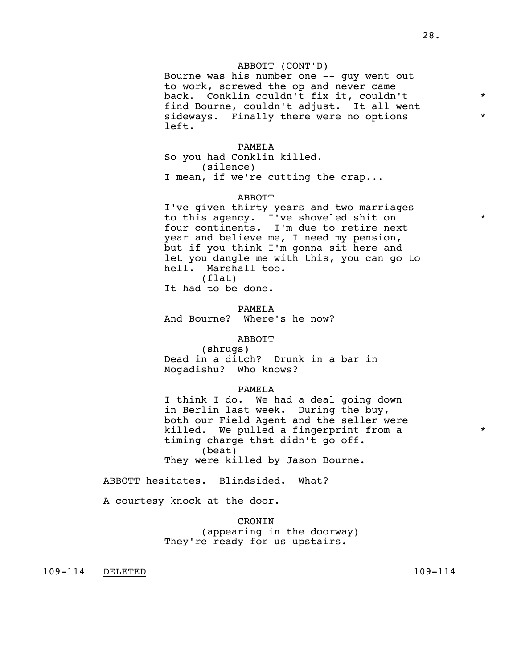#### ABBOTT (CONT'D)

 Bourne was his number one -- guy went out to work, screwed the op and never came back. Conklin couldn't fix it, couldn't \* find Bourne, couldn't adjust. It all went sideways. Finally there were no options  $*$ left.

#### PAMELA

 So you had Conklin killed. (silence) I mean, if we're cutting the crap...

#### ABBOTT

 I've given thirty years and two marriages to this agency. I've shoveled shit on \* four continents. I'm due to retire next year and believe me, I need my pension, but if you think I'm gonna sit here and let you dangle me with this, you can go to hell. Marshall too.

 (flat) It had to be done.

#### PAMELA

And Bourne? Where's he now?

#### ABBOTT

 (shrugs) Dead in a ditch? Drunk in a bar in Mogadishu? Who knows?

#### PAMELA

 I think I do. We had a deal going down in Berlin last week. During the buy, both our Field Agent and the seller were killed. We pulled a fingerprint from a  $*$  timing charge that didn't go off. (beat) They were killed by Jason Bourne.

ABBOTT hesitates. Blindsided. What?

A courtesy knock at the door.

**CRONTN**  (appearing in the doorway) They're ready for us upstairs.

109-114 DELETED 109-114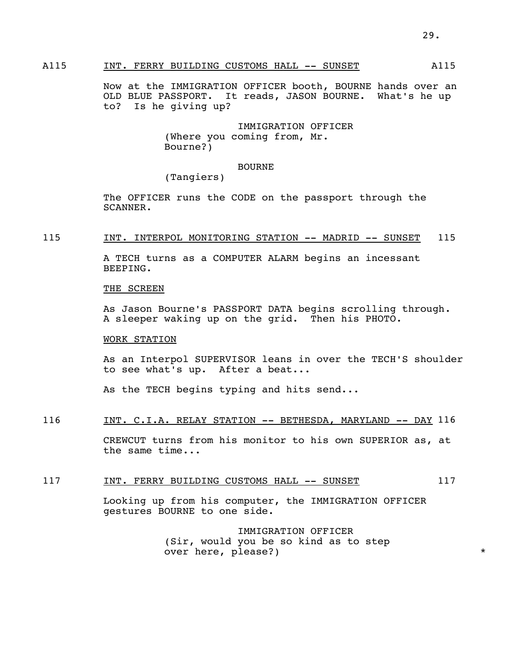### A115 INT. FERRY BUILDING CUSTOMS HALL -- SUNSET A115

 Now at the IMMIGRATION OFFICER booth, BOURNE hands over an OLD BLUE PASSPORT. It reads, JASON BOURNE. What's he up to? Is he giving up?

> IMMIGRATION OFFICER (Where you coming from, Mr. Bourne?)

### BOURNE

(Tangiers)

 The OFFICER runs the CODE on the passport through the SCANNER.

### 115 INT. INTERPOL MONITORING STATION -- MADRID -- SUNSET 115

 A TECH turns as a COMPUTER ALARM begins an incessant BEEPING.

### THE SCREEN

 As Jason Bourne's PASSPORT DATA begins scrolling through. A sleeper waking up on the grid. Then his PHOTO.

### WORK STATION

 As an Interpol SUPERVISOR leans in over the TECH'S shoulder to see what's up. After a beat...

As the TECH begins typing and hits send...

### 116 INT. C.I.A. RELAY STATION -- BETHESDA, MARYLAND -- DAY 116

 CREWCUT turns from his monitor to his own SUPERIOR as, at the same time...

#### 117 INT. FERRY BUILDING CUSTOMS HALL -- SUNSET 117

 Looking up from his computer, the IMMIGRATION OFFICER gestures BOURNE to one side.

> IMMIGRATION OFFICER (Sir, would you be so kind as to step over here, please?)  $*$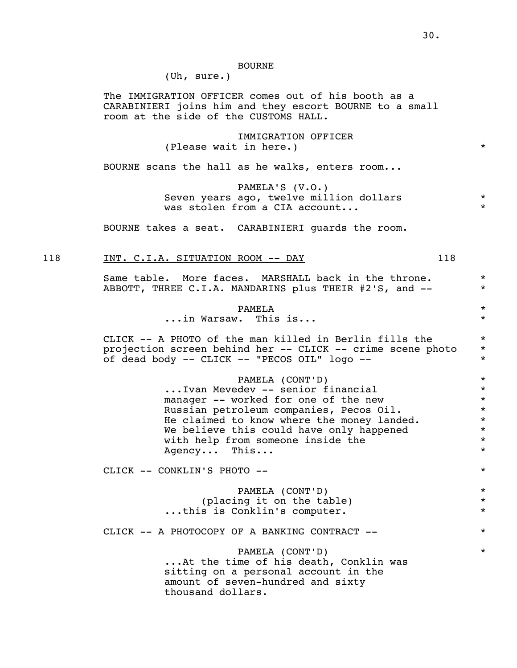#### BOURNE

(Uh, sure.)

 The IMMIGRATION OFFICER comes out of his booth as a CARABINIERI joins him and they escort BOURNE to a small room at the side of the CUSTOMS HALL.

> IMMIGRATION OFFICER (Please wait in here.)  $\star$

BOURNE scans the hall as he walks, enters room...

 PAMELA'S (V.O.) Seven years ago, twelve million dollars \*\*\* was stolen from a CIA account...

BOURNE takes a seat. CARABINIERI guards the room.

#### 118 INT. C.I.A. SITUATION ROOM -- DAY 118

Same table. More faces. MARSHALL back in the throne.  $*$ ABBOTT, THREE C.I.A. MANDARINS plus THEIR #2'S, and -- \*

### PAMELA \*

...in Warsaw. This is... \*

 CLICK -- A PHOTO of the man killed in Berlin fills the \* projection screen behind her -- CLICK -- crime scene photo \* of dead body -- CLICK -- "PECOS OIL" logo -- \*

> PAMELA (CONT'D) \*<br>dev -- senior financial \* \* ...Ivan Mevedev -- senior financial \* manager -- worked for one of the new  $*$ <br>Russian petroleum companies. Pecos Oil.  $*$ Russian petroleum companies, Pecos Oil.<br>He claimed to know where the money landed. He claimed to know where the money landed. We believe this could have only happened \* with help from someone inside the \* Agency... This...  $\star$

CLICK -- CONKLIN'S PHOTO -- \*

 PAMELA (CONT'D) \* (placing it on the table)  $*$ ...this is Conklin's computer. \*

CLICK -- A PHOTOCOPY OF A BANKING CONTRACT --  $*$ 

 PAMELA (CONT'D) \* ...At the time of his death, Conklin was sitting on a personal account in the amount of seven-hundred and sixty thousand dollars.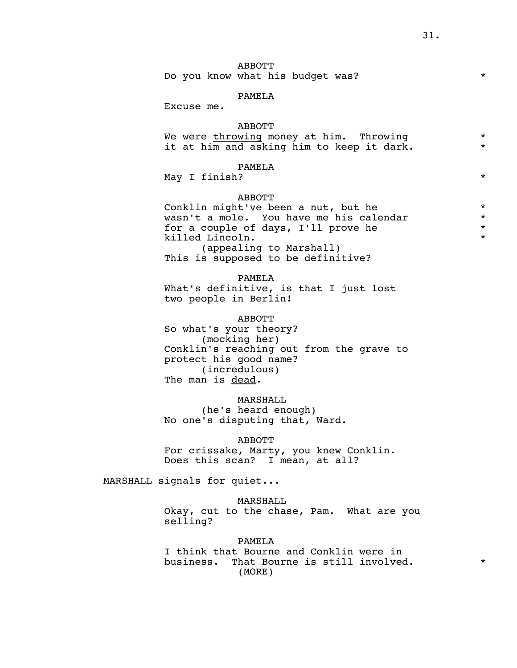### ABBOTT

Do you know what his budget was?

### PAMELA

Excuse me.

### ABBOTT

| We were throwing money at him. Throwing   |  |
|-------------------------------------------|--|
| it at him and asking him to keep it dark. |  |

### PAMELA

May I finish? \*

#### ABBOTT

 Conklin might've been a nut, but he \* wasn't a mole. You have me his calendar \* for a couple of days, I'll prove he  $*$ <br>  $*$ killed Lincoln. (appealing to Marshall) This is supposed to be definitive?

PAMELA

 What's definitive, is that I just lost two people in Berlin!

### ABBOTT

So what's your theory? (mocking her) Conklin's reaching out from the grave to protect his good name? (incredulous) The man is dead.

### MARSHALL

 (he's heard enough) No one's disputing that, Ward.

#### ABBOTT

 For crissake, Marty, you knew Conklin. Does this scan? I mean, at all?

MARSHALL signals for quiet...

### MARSHALL

 Okay, cut to the chase, Pam. What are you selling?

#### PAMELA

 I think that Bourne and Conklin were in business. That Bourne is still involved.  $*$ (MORE)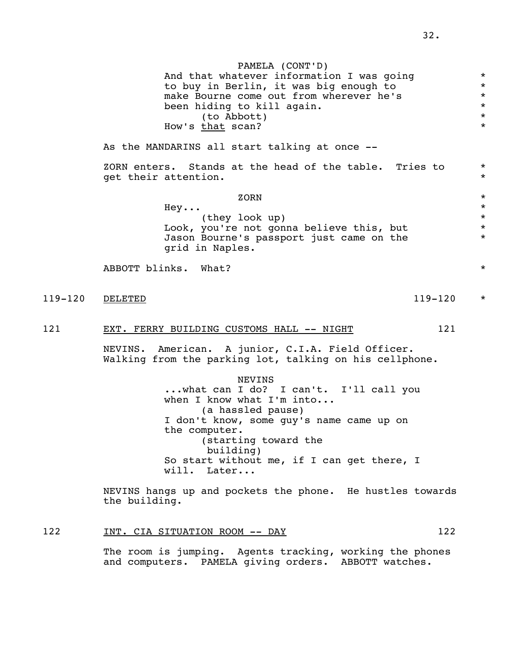PAMELA (CONT'D) And that whatever information I was going<br>
to buy in Berlin, it was big enough to to buy in Berlin, it was big enough to \* make Bourne come out from wherever he's  $*$ <br>been hiding to kill again. been hiding to kill again. \*  $*(\text{to } \text{Abbott})$  \* How's that scan? As the MANDARINS all start talking at once -- ZORN enters. Stands at the head of the table. Tries to  $*$ <br>set their attention get their attention. zorn  $\star$  $\text{Hey}\ldots$  \* (they look up)  $\star$ <br>you're not gonna believe this, but  $\star$ Look, you're not gonna believe this, but  $*$ <br>Jason Bourne's passport just came on the  $*$  Jason Bourne's passport just came on the \* grid in Naples. ABBOTT blinks. What? \* 119-120 <u>DELETED</u> \* 121 EXT. FERRY BUILDING CUSTOMS HALL -- NIGHT 121 NEVINS. American. A junior, C.I.A. Field Officer. Walking from the parking lot, talking on his cellphone. NEVINS ...what can I do? I can't. I'll call you when I know what I'm into... (a hassled pause) I don't know, some guy's name came up on the computer. (starting toward the building) So start without me, if I can get there, I will. Later... NEVINS hangs up and pockets the phone. He hustles towards the building. 122 INT. CIA SITUATION ROOM -- DAY 122

> The room is jumping. Agents tracking, working the phones and computers. PAMELA giving orders. ABBOTT watches.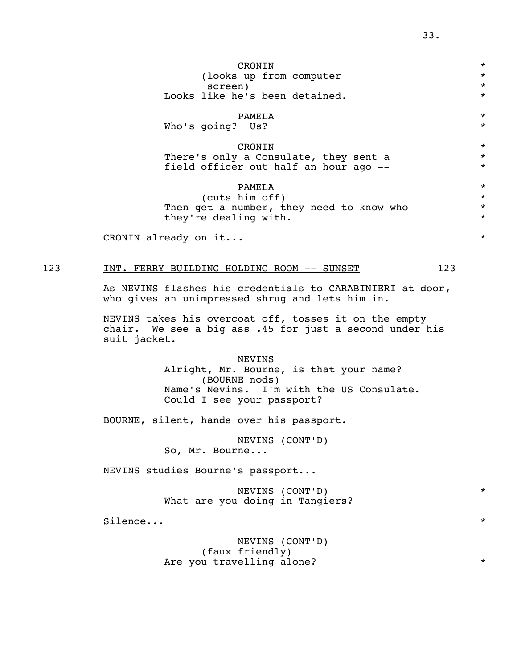| CRONIN                                                   | $\star$<br>$\star$<br>$\star$ |
|----------------------------------------------------------|-------------------------------|
|                                                          |                               |
| (looks up from computer                                  |                               |
| screen)                                                  |                               |
| Looks like he's been detained.                           | $\star$                       |
|                                                          | $\star$                       |
| PAMELA                                                   |                               |
| Who's going? Us?                                         | $\star$                       |
| CRONIN                                                   | $\star$                       |
|                                                          | $\star$                       |
| There's only a Consulate, they sent a                    | $\star$                       |
| field officer out half an hour ago --                    |                               |
| PAMELA                                                   | $\star$                       |
| (cuts him off)                                           | $\star$                       |
| Then get a number, they need to know who                 | $\star$                       |
| they're dealing with.                                    | $\star$                       |
|                                                          |                               |
| CRONIN already on it                                     | $\star$                       |
|                                                          |                               |
|                                                          |                               |
| 123<br>123<br>INT. FERRY BUILDING HOLDING ROOM -- SUNSET |                               |

 As NEVINS flashes his credentials to CARABINIERI at door, who gives an unimpressed shrug and lets him in.

 NEVINS takes his overcoat off, tosses it on the empty chair. We see a big ass .45 for just a second under his suit jacket.

> NEVINS Alright, Mr. Bourne, is that your name? (BOURNE nods) Name's Nevins. I'm with the US Consulate. Could I see your passport?

BOURNE, silent, hands over his passport.

 NEVINS (CONT'D) So, Mr. Bourne...

NEVINS studies Bourne's passport...

 NEVINS (CONT'D) \* What are you doing in Tangiers?

Silence...

 NEVINS (CONT'D) (faux friendly) Are you travelling alone?  $*$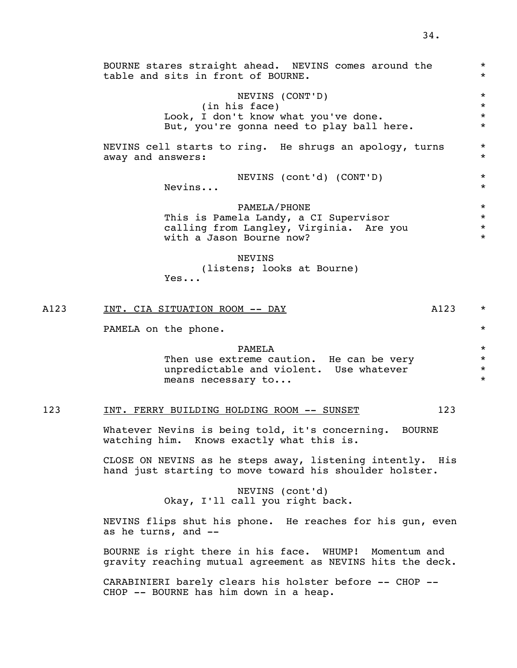|      | BOURNE stares straight ahead. NEVINS comes around the<br>table and sits in front of BOURNE.                                  | $\star$<br>$\star$                        |
|------|------------------------------------------------------------------------------------------------------------------------------|-------------------------------------------|
|      | NEVINS (CONT'D)<br>(in his face)<br>Look, I don't know what you've done.<br>But, you're gonna need to play ball here.        | $^\star$<br>$\star$<br>$\star$<br>$\star$ |
|      | NEVINS cell starts to ring. He shrugs an apology, turns<br>away and answers:                                                 | $^\star$<br>$\star$                       |
|      | NEVINS (cont'd) (CONT'D)<br>Nevins                                                                                           | $^\star$<br>$\star$                       |
|      | PAMELA/PHONE<br>This is Pamela Landy, a CI Supervisor<br>calling from Langley, Virginia. Are you<br>with a Jason Bourne now? | $\star$<br>$\star$<br>$\star$<br>$\star$  |
|      | <b>NEVINS</b><br>(listens; looks at Bourne)<br>Yes                                                                           |                                           |
| A123 | A123<br>INT. CIA SITUATION ROOM -- DAY                                                                                       | $^\star$                                  |
|      | PAMELA on the phone.                                                                                                         | $\star$                                   |
|      | PAMELA<br>Then use extreme caution. He can be very<br>unpredictable and violent. Use whatever<br>means necessary to          | $\star$<br>$\star$<br>$\star$<br>$\star$  |
| 123  | 123<br>INT. FERRY BUILDING HOLDING ROOM -- SUNSET                                                                            |                                           |
|      | Whatever Nevins is being told, it's concerning. BOURNE<br>watching him. Knows exactly what this is.                          |                                           |
|      | CLOSE ON NEVINS as he steps away, listening intently. His<br>hand just starting to move toward his shoulder holster.         |                                           |
|      | NEVINS (cont'd)<br>Okay, I'll call you right back.                                                                           |                                           |

 NEVINS flips shut his phone. He reaches for his gun, even as he turns, and --

 BOURNE is right there in his face. WHUMP! Momentum and gravity reaching mutual agreement as NEVINS hits the deck.

 CARABINIERI barely clears his holster before -- CHOP -- CHOP -- BOURNE has him down in a heap.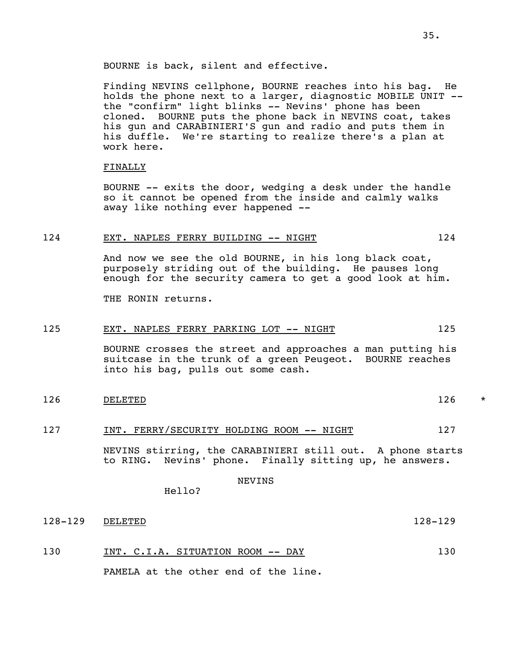BOURNE is back, silent and effective.

 Finding NEVINS cellphone, BOURNE reaches into his bag. He holds the phone next to a larger, diagnostic MOBILE UNIT - the "confirm" light blinks -- Nevins' phone has been cloned. BOURNE puts the phone back in NEVINS coat, takes his gun and CARABINIERI'S gun and radio and puts them in his duffle. We're starting to realize there's a plan at work here.

#### FINALLY

 BOURNE -- exits the door, wedging a desk under the handle so it cannot be opened from the inside and calmly walks away like nothing ever happened --

### 124 EXT. NAPLES FERRY BUILDING -- NIGHT 124 124

 And now we see the old BOURNE, in his long black coat, purposely striding out of the building. He pauses long enough for the security camera to get a good look at him.

THE RONIN returns.

### 125 EXT. NAPLES FERRY PARKING LOT -- NIGHT 125

 BOURNE crosses the street and approaches a man putting his suitcase in the trunk of a green Peugeot. BOURNE reaches into his bag, pulls out some cash.

126 DELETED 126 \*

#### 127 INT. FERRY/SECURITY HOLDING ROOM -- NIGHT 127

 NEVINS stirring, the CARABINIERI still out. A phone starts to RING. Nevins' phone. Finally sitting up, he answers.

NEVINS

128-129 DELETED 128-129

130 INT. C.I.A. SITUATION ROOM -- DAY 130

PAMELA at the other end of the line.

Hello?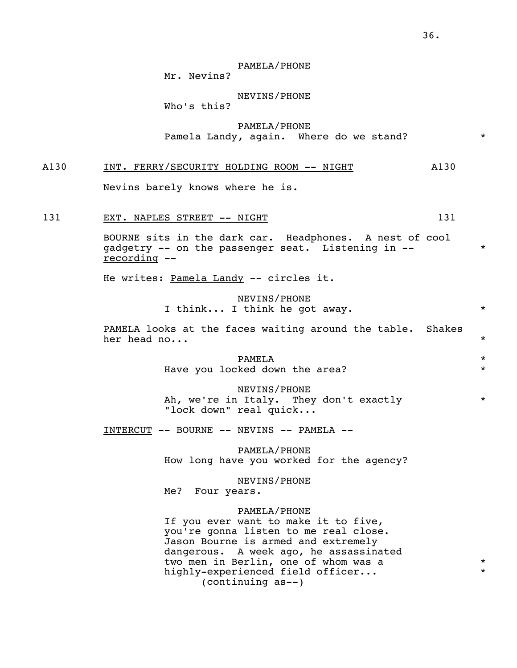## PAMELA/PHONE

Mr. Nevins?

## NEVINS/PHONE

Who's this?

 PAMELA/PHONE Pamela Landy, again. Where do we stand? \*

## A130 INT. FERRY/SECURITY HOLDING ROOM -- NIGHT A130

Nevins barely knows where he is.

## 131 EXT. NAPLES STREET -- NIGHT 131

 BOURNE sits in the dark car. Headphones. A nest of cool gadgetry -- on the passenger seat. Listening in -- \* recording --

He writes: Pamela Landy -- circles it.

 NEVINS/PHONE I think... I think he got away.  $*$ 

 PAMELA looks at the faces waiting around the table. Shakes her head no...  $\star$ 

 PAMELA \* Have you locked down the area? \*

> NEVINS/PHONE Ah, we're in Italy. They don't exactly \* "lock down" real quick...

INTERCUT -- BOURNE -- NEVINS -- PAMELA --

 PAMELA/PHONE How long have you worked for the agency?

 NEVINS/PHONE Me? Four years.

#### PAMELA/PHONE

 If you ever want to make it to five, you're gonna listen to me real close. Jason Bourne is armed and extremely dangerous. A week ago, he assassinated two men in Berlin, one of whom was a  $*$ highly-experienced field officer...  $*$ (continuing as--)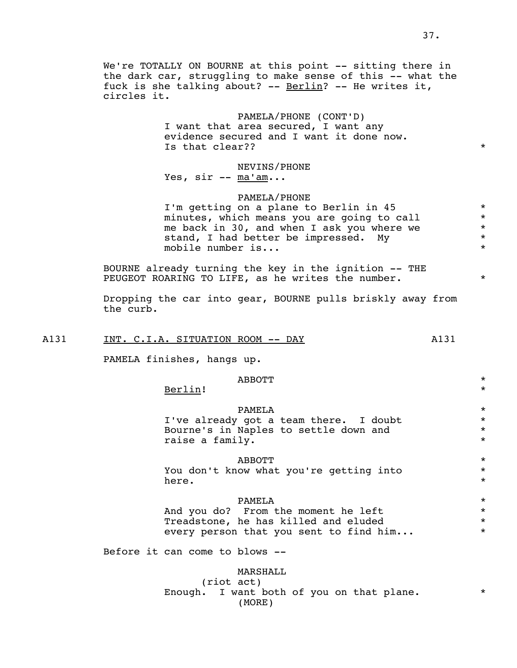the dark car, struggling to make sense of this -- what the fuck is she talking about? -- Berlin? -- He writes it, circles it.

## PAMELA/PHONE (CONT'D)

 I want that area secured, I want any evidence secured and I want it done now. Is that clear??  $\qquad \qquad$ 

## NEVINS/PHONE Yes,  $\text{sin}$  --  $\text{ma'am...}$

#### PAMELA/PHONE

I'm getting on a plane to Berlin in 45 \*<br>minutes which means you are going to call \* minutes, which means you are going to call  $*$ <br>me back in 30, and when I ask you where we me back in 30, and when I ask you where we  $*$ <br>stand. I had better be impressed. My stand, I had better be impressed. My mobile number is... \*

 BOURNE already turning the key in the ignition -- THE PEUGEOT ROARING TO LIFE, as he writes the number.  $*$ 

 Dropping the car into gear, BOURNE pulls briskly away from the curb.

## A131 INT. C.I.A. SITUATION ROOM -- DAY A131

PAMELA finishes, hangs up.

## $ABBOTT$  \*

Berlin! \*

 PAMELA \* I've already got a team there. I doubt  $*$ Bourne's in Naples to settle down and  $*$ <br>raise a family raise a family.

## $ABBOTT$  \*

 You don't know what you're getting into \* here.  $\star$ 

## PAMELA \*

And you do? From the moment he left  $*$ Treadstone, he has killed and eluded  $*$ every person that you sent to find him...  $*$ 

Before it can come to blows --

 MARSHALL (riot act) Enough. I want both of you on that plane. \* \* (MORE)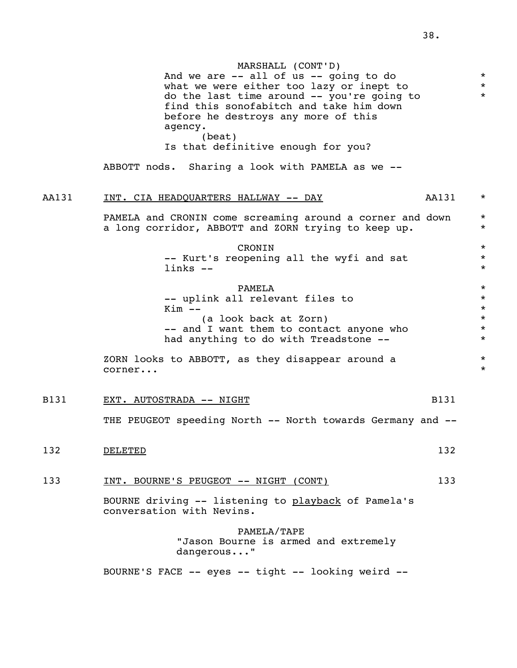|       | MARSHALL (CONT'D)<br>And we are $--$ all of us $--$ going to do<br>what we were either too lazy or inept to<br>do the last time around -- you're going to<br>find this sonofabitch and take him down<br>before he destroys any more of this<br>agency.<br>(beat)<br>Is that definitive enough for you?<br>ABBOTT nods. Sharing a look with PAMELA as we -- | $\star$<br>$\star$<br>$\star$                                  |
|-------|------------------------------------------------------------------------------------------------------------------------------------------------------------------------------------------------------------------------------------------------------------------------------------------------------------------------------------------------------------|----------------------------------------------------------------|
| AA131 | AA131<br>INT. CIA HEADQUARTERS HALLWAY -- DAY                                                                                                                                                                                                                                                                                                              | $\star$                                                        |
|       | PAMELA and CRONIN come screaming around a corner and down<br>a long corridor, ABBOTT and ZORN trying to keep up.                                                                                                                                                                                                                                           | $\star$<br>$\star$                                             |
|       | CRONIN<br>-- Kurt's reopening all the wyfi and sat<br>$links --$                                                                                                                                                                                                                                                                                           | $\star$<br>$\star$<br>$\star$                                  |
|       | PAMELA<br>-- uplink all relevant files to<br>$Kim$ $--$<br>(a look back at Zorn)<br>-- and I want them to contact anyone who<br>had anything to do with Treadstone --                                                                                                                                                                                      | $\star$<br>$\star$<br>$\star$<br>$\star$<br>$\star$<br>$\star$ |
|       | ZORN looks to ABBOTT, as they disappear around a<br>corner                                                                                                                                                                                                                                                                                                 | $\star$<br>$\star$                                             |
| B131  | EXT. AUTOSTRADA -- NIGHT                                                                                                                                                                                                                                                                                                                                   | B131                                                           |
|       | THE PEUGEOT speeding North -- North towards Germany and --                                                                                                                                                                                                                                                                                                 |                                                                |
| 132   | DELETED                                                                                                                                                                                                                                                                                                                                                    | 132                                                            |
| 133   | INT. BOURNE'S PEUGEOT -- NIGHT (CONT)                                                                                                                                                                                                                                                                                                                      | 133                                                            |
|       | BOURNE driving -- listening to playback of Pamela's<br>conversation with Nevins.                                                                                                                                                                                                                                                                           |                                                                |
|       | PAMELA/TAPE<br>"Jason Bourne is armed and extremely<br>dangerous"                                                                                                                                                                                                                                                                                          |                                                                |
|       | BOURNE'S FACE -- eyes -- tight -- looking weird --                                                                                                                                                                                                                                                                                                         |                                                                |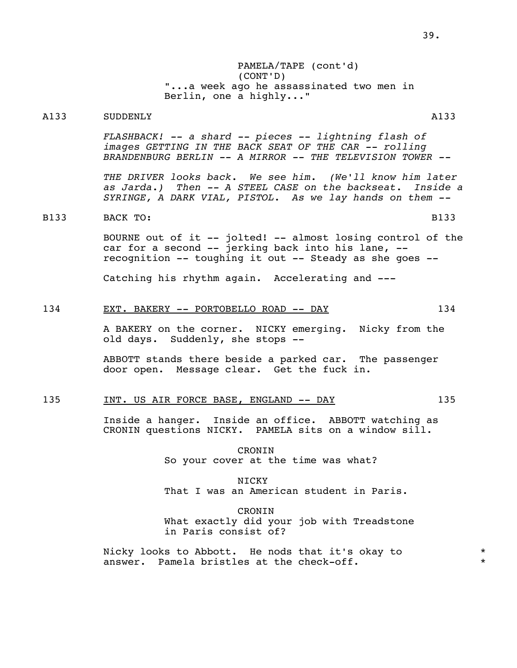PAMELA/TAPE (cont'd) (CONT'D) "...a week ago he assassinated two men in Berlin, one a highly..."

## A133 SUDDENLY A133

 *FLASHBACK! -- a shard -- pieces -- lightning flash of images GETTING IN THE BACK SEAT OF THE CAR -- rolling BRANDENBURG BERLIN -- A MIRROR -- THE TELEVISION TOWER --* 

 *THE DRIVER looks back. We see him. (We'll know him later as Jarda.) Then -- A STEEL CASE on the backseat. Inside a SYRINGE, A DARK VIAL, PISTOL. As we lay hands on them --* 

## B133 BACK TO: B133

 BOURNE out of it -- jolted! -- almost losing control of the car for a second -- jerking back into his lane, - recognition -- toughing it out -- Steady as she goes --

Catching his rhythm again. Accelerating and ---

## 134 EXT. BAKERY -- PORTOBELLO ROAD -- DAY 134

 A BAKERY on the corner. NICKY emerging. Nicky from the old days. Suddenly, she stops --

 ABBOTT stands there beside a parked car. The passenger door open. Message clear. Get the fuck in.

## 135 INT. US AIR FORCE BASE, ENGLAND -- DAY 135

 Inside a hanger. Inside an office. ABBOTT watching as CRONIN questions NICKY. PAMELA sits on a window sill.

> CRONIN So your cover at the time was what?

NICKY That I was an American student in Paris.

> CRONIN What exactly did your job with Treadstone in Paris consist of?

 Nicky looks to Abbott. He nods that it's okay to \* answer. Pamela bristles at the check-off.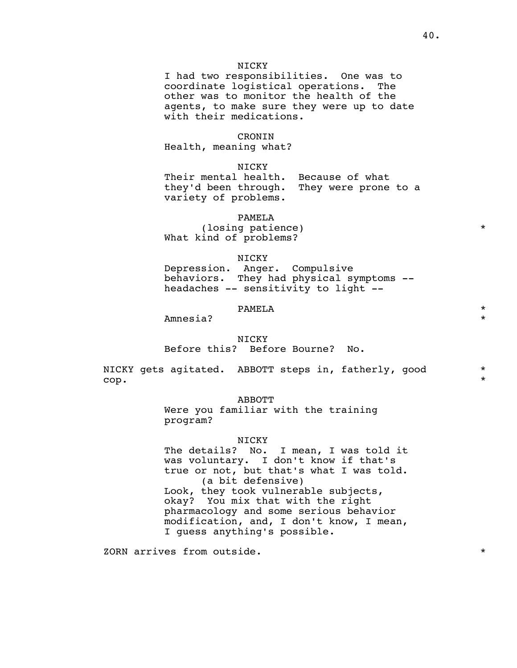### NICKY

 I had two responsibilities. One was to coordinate logistical operations. The other was to monitor the health of the agents, to make sure they were up to date with their medications.

#### **CRONTN**

Health, meaning what?

NICKY

 Their mental health. Because of what they'd been through. They were prone to a variety of problems.

PAMELA

(losing patience)  $*$ What kind of problems?

## NICKY

 Depression. Anger. Compulsive behaviors. They had physical symptoms - headaches -- sensitivity to light --

## PAMELA \*

Amnesia? \*

#### NICKY

Before this? Before Bourne? No.

NICKY gets agitated. ABBOTT steps in, fatherly, good  $*$  $\mathsf{cop.}\qquad\qquad$ 

#### ABBOTT

 Were you familiar with the training program?

#### NICKY

The details? No. I mean, I was told it was voluntary. I don't know if that's true or not, but that's what I was told. (a bit defensive) Look, they took vulnerable subjects, okay? You mix that with the right pharmacology and some serious behavior modification, and, I don't know, I mean, I guess anything's possible.

zorn arrives from outside.  $\star$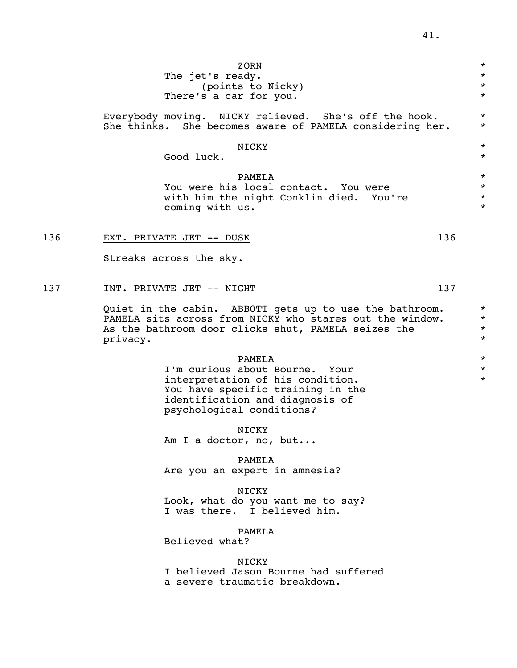|     | ZORN<br>The jet's ready.<br>(points to Nicky)<br>There's a car for you.                                                                                                                                                    | $^\star$<br>$\star$<br>$\star$<br>$\star$ |
|-----|----------------------------------------------------------------------------------------------------------------------------------------------------------------------------------------------------------------------------|-------------------------------------------|
|     | Everybody moving. NICKY relieved. She's off the hook.<br>She thinks. She becomes aware of PAMELA considering her.                                                                                                          | $^\star$<br>$^\star$                      |
|     | NICKY<br>Good luck.                                                                                                                                                                                                        | $\star$<br>$\star$                        |
|     | PAMELA<br>You were his local contact. You were<br>with him the night Conklin died. You're<br>coming with us.                                                                                                               | $\star$<br>$\star$<br>$^\star$<br>$\star$ |
| 136 | 136<br>EXT. PRIVATE JET -- DUSK<br>Streaks across the sky.                                                                                                                                                                 |                                           |
| 137 | 137<br>INT. PRIVATE JET -- NIGHT<br>Quiet in the cabin. ABBOTT gets up to use the bathroom.<br>PAMELA sits across from NICKY who stares out the window.<br>As the bathroom door clicks shut, PAMELA seizes the<br>privacy. | $\star$<br>$^\star$<br>$\star$<br>$\star$ |
|     | PAMELA<br>I'm curious about Bourne. Your<br>interpretation of his condition.<br>You have specific training in the<br>identification and diagnosis of<br>psychological conditions?                                          | $^\star$<br>$^\star$<br>$\star$           |
|     | NICKY<br>Am I a doctor, no, but                                                                                                                                                                                            |                                           |
|     | PAMELA<br>Are you an expert in amnesia?                                                                                                                                                                                    |                                           |
|     | <b>NICKY</b><br>Look, what do you want me to say?<br>I was there. I believed him.                                                                                                                                          |                                           |
|     |                                                                                                                                                                                                                            |                                           |

PAMELA

Believed what?

## NICKY

 I believed Jason Bourne had suffered a severe traumatic breakdown.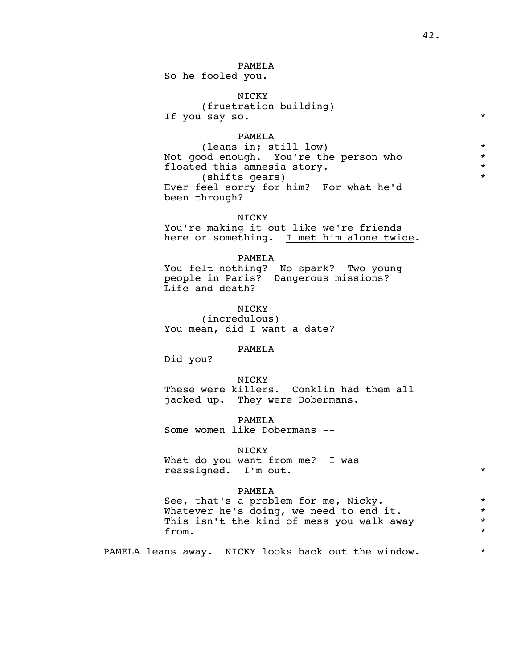## PAMELA

So he fooled you.

## NICKY

## (frustration building) If you say so.  $*$

# PAMELA

(leans in; still low)  $*$ Not good enough. You're the person who  $*$ <br>floated this amnesia story. floated this amnesia story. (shifts gears) \* Ever feel sorry for him? For what he'd been through?

#### NICKY

 You're making it out like we're friends here or something. I met him alone twice.

#### PAMELA

 You felt nothing? No spark? Two young people in Paris? Dangerous missions? Life and death?

## NICKY

 (incredulous) You mean, did I want a date?

#### PAMELA

Did you?

 NICKY These were killers. Conklin had them all jacked up. They were Dobermans.

 PAMELA Some women like Dobermans --

#### NICKY

 What do you want from me? I was reassigned. I'm out. \*

#### PAMELA

See, that's a problem for me, Nicky.<br>Whatever he's doing, we need to end it. Whatever he's doing, we need to end it. This isn't the kind of mess you walk away  $*$ <br>from. from.  $\star$ 

PAMELA leans away. NICKY looks back out the window. \*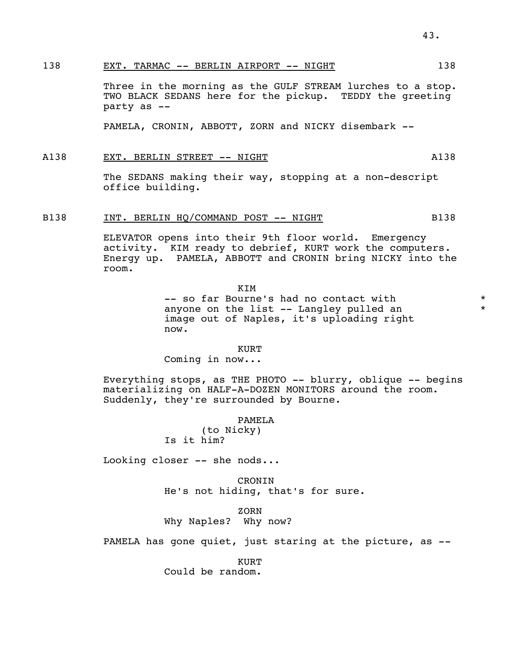## 138 EXT. TARMAC -- BERLIN AIRPORT -- NIGHT 138

 Three in the morning as the GULF STREAM lurches to a stop. TWO BLACK SEDANS here for the pickup. TEDDY the greeting party as --

PAMELA, CRONIN, ABBOTT, ZORN and NICKY disembark --

## A138 EXT. BERLIN STREET -- NIGHT A138

 The SEDANS making their way, stopping at a non-descript office building.

## B138 INT. BERLIN HQ/COMMAND POST -- NIGHT B138

 ELEVATOR opens into their 9th floor world. Emergency activity. KIM ready to debrief, KURT work the computers. Energy up. PAMELA, ABBOTT and CRONIN bring NICKY into the room.

 KIM -- so far Bourne's had no contact with  $*$ anyone on the list -- Langley pulled an  $*$  image out of Naples, it's uploading right now.

## **Example 2018** Service Service Service Service Service Service Service Service Service Service Service Service

Coming in now...

 Everything stops, as THE PHOTO -- blurry, oblique -- begins materializing on HALF-A-DOZEN MONITORS around the room. Suddenly, they're surrounded by Bourne.

## PAMELA

 (to Nicky) Is it him?

Looking closer -- she nods...

 CRONIN He's not hiding, that's for sure.

**ZORN** 

Why Naples? Why now?

PAMELA has gone quiet, just staring at the picture, as --

**Example 2018** Service Service Service Service Service Service Service Service Service Service Service Service

Could be random.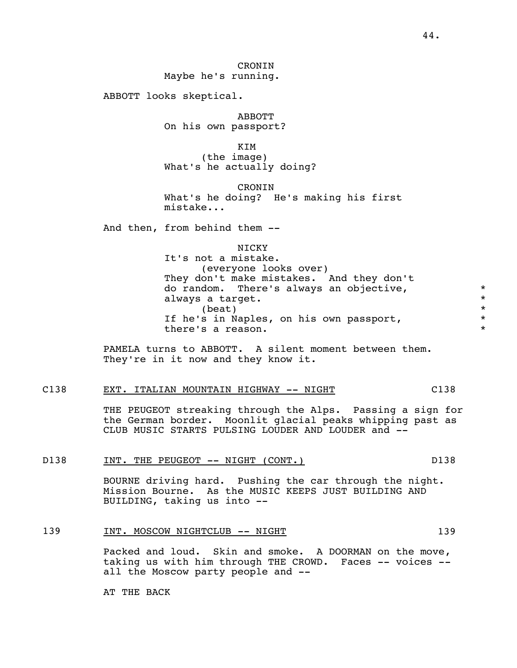CRONIN Maybe he's running.

ABBOTT looks skeptical.

 ABBOTT On his own passport?

 KIM (the image) What's he actually doing?

> **CRONTN**  What's he doing? He's making his first mistake...

And then, from behind them --

| NICKY<br>the contract of the contract of the contract of the contract of the contract of the contract of the contract of |
|--------------------------------------------------------------------------------------------------------------------------|
|                                                                                                                          |

 It's not a mistake. (everyone looks over) They don't make mistakes. And they don't do random. There's always an objective, \* always a target. \*  $\star$ If he's in Naples, on his own passport,<br>there's a reason there's a reason.

> PAMELA turns to ABBOTT. A silent moment between them. They're in it now and they know it.

## C138 EXT. ITALIAN MOUNTAIN HIGHWAY -- NIGHT C138

 THE PEUGEOT streaking through the Alps. Passing a sign for the German border. Moonlit glacial peaks whipping past as CLUB MUSIC STARTS PULSING LOUDER AND LOUDER and --

#### D138 INT. THE PEUGEOT -- NIGHT (CONT.) D138

 BOURNE driving hard. Pushing the car through the night. Mission Bourne. As the MUSIC KEEPS JUST BUILDING AND BUILDING, taking us into --

## 139 INT. MOSCOW NIGHTCLUB -- NIGHT

 Packed and loud. Skin and smoke. A DOORMAN on the move, taking us with him through THE CROWD. Faces -- voices -all the Moscow party people and --

AT THE BACK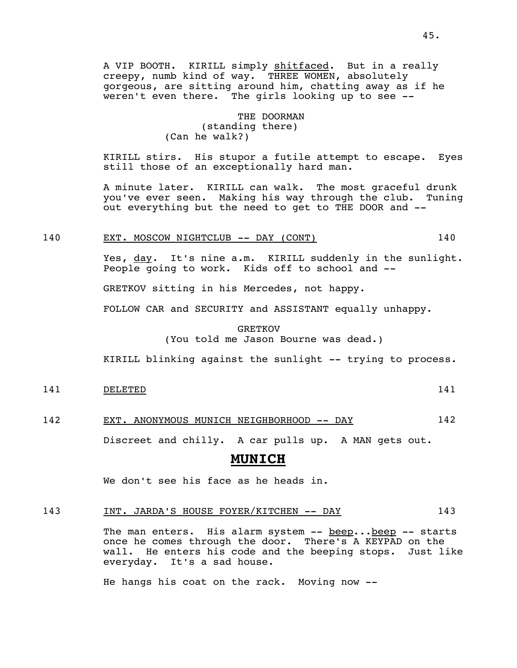A VIP BOOTH. KIRILL simply shitfaced. But in a really creepy, numb kind of way. THREE WOMEN, absolutely gorgeous, are sitting around him, chatting away as if he weren't even there. The girls looking up to see --

## THE DOORMAN (standing there) (Can he walk?)

 KIRILL stirs. His stupor a futile attempt to escape. Eyes still those of an exceptionally hard man.

 A minute later. KIRILL can walk. The most graceful drunk you've ever seen. Making his way through the club. Tuning out everything but the need to get to THE DOOR and --

## 140 EXT. MOSCOW NIGHTCLUB -- DAY (CONT) 140

Yes, day. It's nine a.m. KIRILL suddenly in the sunlight. People going to work. Kids off to school and --

GRETKOV sitting in his Mercedes, not happy.

FOLLOW CAR and SECURITY and ASSISTANT equally unhappy.

## GRETKOV (You told me Jason Bourne was dead.)

KIRILL blinking against the sunlight -- trying to process.

## 141 DELETED 141

142 EXT. ANONYMOUS MUNICH NEIGHBORHOOD -- DAY 142

Discreet and chilly. A car pulls up. A MAN gets out.

## **MUNICH**

We don't see his face as he heads in.

## 143 INT. JARDA'S HOUSE FOYER/KITCHEN -- DAY 143

 The man enters. His alarm system -- beep...beep -- starts once he comes through the door. There's A KEYPAD on the wall. He enters his code and the beeping stops. Just like everyday. It's a sad house.

He hangs his coat on the rack. Moving now --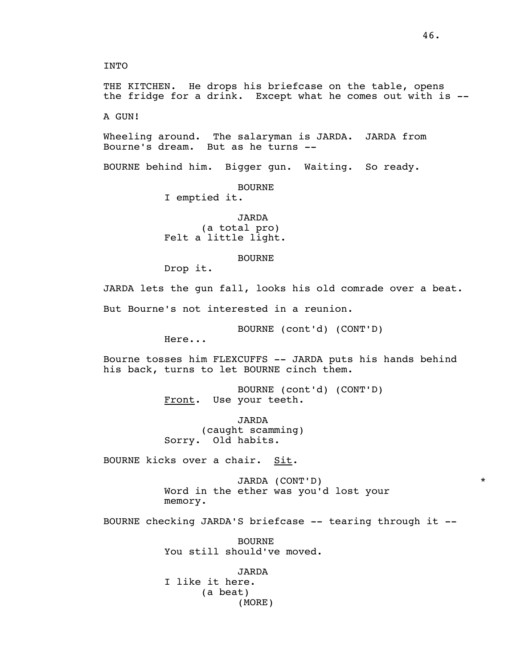INTO

 THE KITCHEN. He drops his briefcase on the table, opens the fridge for a drink. Except what he comes out with is --

A GUN!

 Wheeling around. The salaryman is JARDA. JARDA from Bourne's dream. But as he turns --

BOURNE behind him. Bigger gun. Waiting. So ready.

BOURNE

I emptied it.

 JARDA (a total pro) Felt a little light.

BOURNE

Drop it.

 JARDA lets the gun fall, looks his old comrade over a beat. But Bourne's not interested in a reunion.

BOURNE (cont'd) (CONT'D)

Here...

 Bourne tosses him FLEXCUFFS -- JARDA puts his hands behind his back, turns to let BOURNE cinch them.

> BOURNE (cont'd) (CONT'D) Front. Use your teeth.

 JARDA (caught scamming) Sorry. Old habits.

BOURNE kicks over a chair. Sit.

 JARDA (CONT'D) \* Word in the ether was you'd lost your memory.

BOURNE checking JARDA'S briefcase -- tearing through it --

 BOURNE You still should've moved.

 JARDA I like it here. (a beat) (MORE)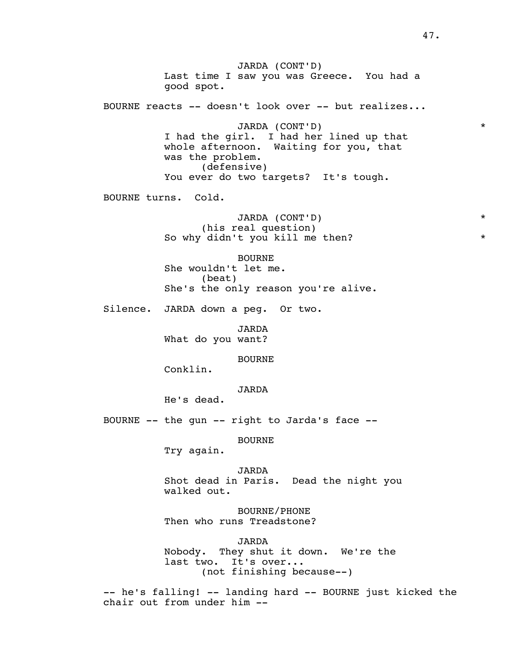JARDA (CONT'D) Last time I saw you was Greece. You had a good spot. BOURNE reacts -- doesn't look over -- but realizes... JARDA (CONT'D) \* I had the girl. I had her lined up that whole afternoon. Waiting for you, that was the problem. (defensive) You ever do two targets? It's tough. BOURNE turns. Cold. JARDA (CONT'D) \* (his real question) So why didn't you kill me then? \* BOURNE She wouldn't let me. (beat) She's the only reason you're alive. Silence. JARDA down a peg. Or two. JARDA What do you want? BOURNE Conklin. JARDA He's dead. BOURNE -- the gun -- right to Jarda's face -- BOURNE Try again. JARDA Shot dead in Paris. Dead the night you walked out. BOURNE/PHONE Then who runs Treadstone?

JARDA

Nobody. They shut it down. We're the last two. It's over... (not finishing because--)

> -- he's falling! -- landing hard -- BOURNE just kicked the chair out from under him --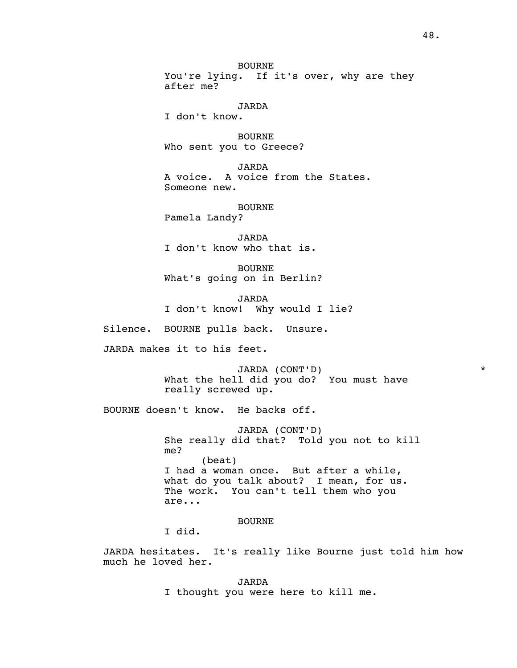BOURNE You're lying. If it's over, why are they after me?

JARDA

I don't know.

 BOURNE Who sent you to Greece?

 JARDA A voice. A voice from the States. Someone new.

 BOURNE Pamela Landy?

 JARDA I don't know who that is.

 BOURNE What's going on in Berlin?

 JARDA I don't know! Why would I lie?

Silence. BOURNE pulls back. Unsure.

JARDA makes it to his feet.

 JARDA (CONT'D) \* What the hell did you do? You must have really screwed up.

BOURNE doesn't know. He backs off.

 JARDA (CONT'D) She really did that? Told you not to kill me? (beat) I had a woman once. But after a while, what do you talk about? I mean, for us. The work. You can't tell them who you are...

BOURNE

I did.

 JARDA hesitates. It's really like Bourne just told him how much he loved her.

> JARDA I thought you were here to kill me.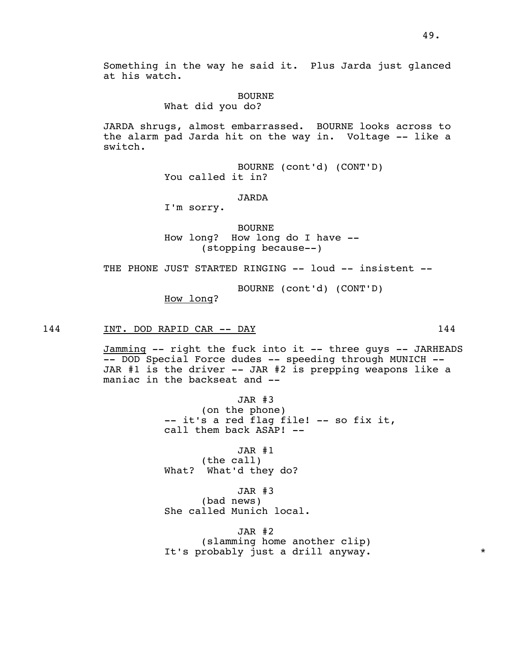Something in the way he said it. Plus Jarda just glanced at his watch.

#### BOURNE

What did you do?

 JARDA shrugs, almost embarrassed. BOURNE looks across to the alarm pad Jarda hit on the way in. Voltage -- like a switch.

> BOURNE (cont'd) (CONT'D) You called it in?

## JARDA

I'm sorry.

 BOURNE How long? How long do I have -- (stopping because--)

THE PHONE JUST STARTED RINGING -- loud -- insistent --

BOURNE (cont'd) (CONT'D)

How long?

## 144 INT. DOD RAPID CAR -- DAY 144

 Jamming -- right the fuck into it -- three guys -- JARHEADS -- DOD Special Force dudes -- speeding through MUNICH -- JAR #1 is the driver -- JAR #2 is prepping weapons like a maniac in the backseat and --

> JAR #3 (on the phone) -- it's a red flag file! -- so fix it, call them back ASAP! --

 JAR #1 (the call) What? What'd they do?

 JAR #3 (bad news) She called Munich local.

 JAR #2 (slamming home another clip) It's probably just a drill anyway. \* \*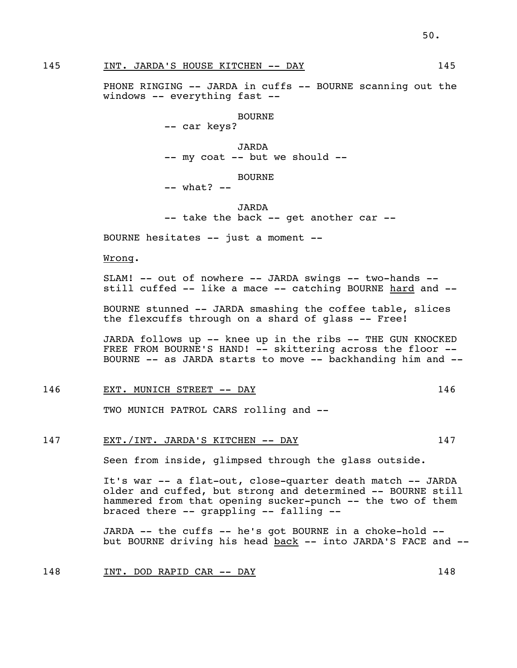145 INT. JARDA'S HOUSE KITCHEN -- DAY 145

PHONE RINGING -- JARDA in cuffs -- BOURNE scanning out the windows -- everything fast --

BOURNE

-- car keys?

 JARDA -- my coat -- but we should --

## BOURNE

-- what? --

 JARDA -- take the back -- get another car --

BOURNE hesitates -- just a moment --

Wrong.

SLAM! -- out of nowhere -- JARDA swings -- two-hands -still cuffed -- like a mace -- catching BOURNE hard and --

 BOURNE stunned -- JARDA smashing the coffee table, slices the flexcuffs through on a shard of glass -- Free!

 JARDA follows up -- knee up in the ribs -- THE GUN KNOCKED FREE FROM BOURNE'S HAND! -- skittering across the floor --BOURNE -- as JARDA starts to move -- backhanding him and --

146 EXT. MUNICH STREET -- DAY 146

TWO MUNICH PATROL CARS rolling and --

147 EXT./INT. JARDA'S KITCHEN -- DAY 147

Seen from inside, glimpsed through the glass outside.

 It's war -- a flat-out, close-quarter death match -- JARDA older and cuffed, but strong and determined -- BOURNE still hammered from that opening sucker-punch -- the two of them braced there -- grappling -- falling --

 JARDA -- the cuffs -- he's got BOURNE in a choke-hold - but BOURNE driving his head back -- into JARDA'S FACE and --

148 INT. DOD RAPID CAR -- DAY 148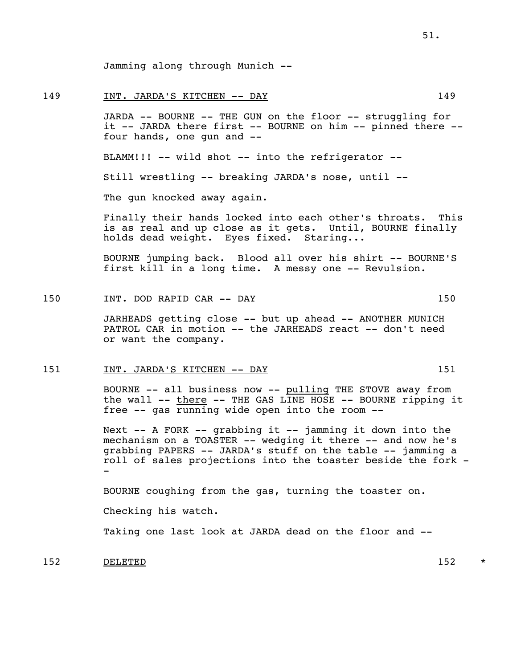Jamming along through Munich --

#### 149 INT. JARDA'S KITCHEN -- DAY 149

 JARDA -- BOURNE -- THE GUN on the floor -- struggling for it -- JARDA there first -- BOURNE on him -- pinned there - four hands, one gun and --

BLAMM!!! -- wild shot -- into the refrigerator --

Still wrestling -- breaking JARDA's nose, until --

The gun knocked away again.

 Finally their hands locked into each other's throats. This is as real and up close as it gets. Until, BOURNE finally holds dead weight. Eyes fixed. Staring...

 BOURNE jumping back. Blood all over his shirt -- BOURNE'S first kill in a long time. A messy one -- Revulsion.

### 150 INT. DOD RAPID CAR -- DAY 150

 JARHEADS getting close -- but up ahead -- ANOTHER MUNICH PATROL CAR in motion -- the JARHEADS react -- don't need or want the company.

#### 151 1915 INT. JARDA'S KITCHEN -- DAY

 BOURNE -- all business now -- pulling THE STOVE away from the wall -- there -- THE GAS LINE HOSE -- BOURNE ripping it free -- gas running wide open into the room --

Next -- A FORK -- grabbing it -- jamming it down into the mechanism on a TOASTER -- wedging it there -- and now he's grabbing PAPERS -- JARDA's stuff on the table -- jamming a roll of sales projections into the toaster beside the fork - -

BOURNE coughing from the gas, turning the toaster on.

Checking his watch.

Taking one last look at JARDA dead on the floor and --

152 DELETED 152 \*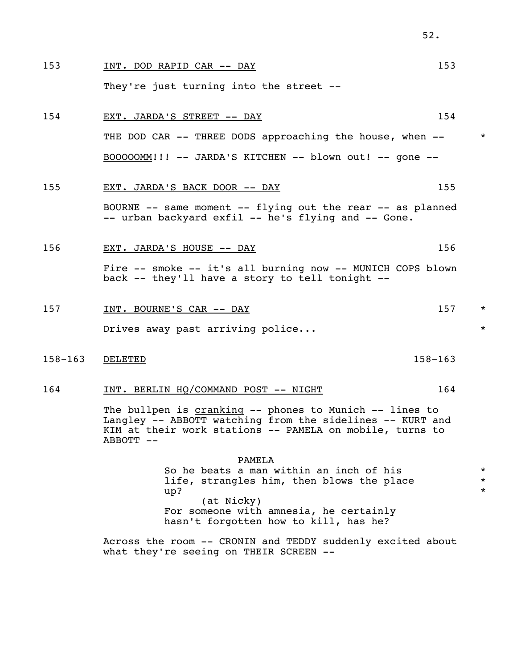| 153         | INT. DOD RAPID CAR -- DAY                                                                                                                                                                              | 153 |                               |
|-------------|--------------------------------------------------------------------------------------------------------------------------------------------------------------------------------------------------------|-----|-------------------------------|
|             | They're just turning into the street --                                                                                                                                                                |     |                               |
| 154         | EXT. JARDA'S STREET -- DAY                                                                                                                                                                             | 154 |                               |
|             | THE DOD CAR -- THREE DODS approaching the house, when --                                                                                                                                               |     | $\star$                       |
|             | $BOOOOOMM$ !!! -- JARDA'S KITCHEN -- blown out! -- gone --                                                                                                                                             |     |                               |
| 155         | EXT. JARDA'S BACK DOOR -- DAY                                                                                                                                                                          | 155 |                               |
|             | BOURNE -- same moment -- flying out the rear -- as planned<br>-- urban backyard exfil -- he's flying and -- Gone.                                                                                      |     |                               |
| 156         | EXT. JARDA'S HOUSE -- DAY                                                                                                                                                                              | 156 |                               |
|             | Fire -- smoke -- it's all burning now -- MUNICH COPS blown<br>back -- they'll have a story to tell tonight --                                                                                          |     |                               |
| 157         | INT. BOURNE'S CAR -- DAY                                                                                                                                                                               | 157 | $\star$                       |
|             | Drives away past arriving police                                                                                                                                                                       |     | $^\star$                      |
| $158 - 163$ | $158 - 163$<br>DELETED                                                                                                                                                                                 |     |                               |
| 164         | INT. BERLIN HO/COMMAND POST -- NIGHT                                                                                                                                                                   | 164 |                               |
|             | The bullpen is cranking -- phones to Munich -- lines to<br>Langley -- ABBOTT watching from the sidelines -- KURT and<br>KIM at their work stations -- PAMELA on mobile, turns to<br>ABBOTT --          |     |                               |
|             | PAMELA<br>So he beats a man within an inch of his<br>life, strangles him, then blows the place<br>up?<br>(at Nicky)<br>For someone with amnesia, he certainly<br>hasn't forgotten how to kill, has he? |     | $\star$<br>$\star$<br>$\star$ |

52.

 Across the room -- CRONIN and TEDDY suddenly excited about what they're seeing on THEIR SCREEN --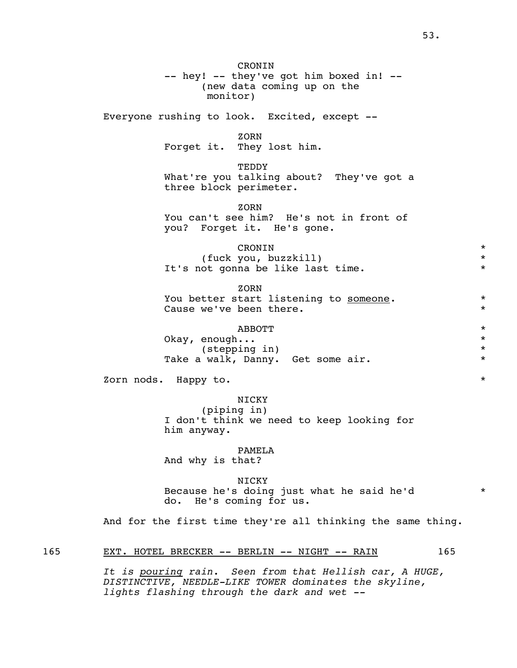CRONIN -- hey! -- they've got him boxed in! -- (new data coming up on the monitor) Everyone rushing to look. Excited, except -- **ZORN**  Forget it. They lost him. TEDDY What're you talking about? They've got a three block perimeter. **ZORN**  You can't see him? He's not in front of you? Forget it. He's gone. CRONIN \* (fuck you, buzzkill) \* It's not gonna be like last time. \* **ZORN** You better start listening to someone. \* \* Cause we've been there.  $*$  $ABBOTT$  \* Okay, enough... \* (stepping in) \* Take a walk, Danny. Get some air.  $*$ zorn nods. Happy to.  $\star$  NICKY (piping in) I don't think we need to keep looking for him anyway. PAMELA And why is that? NICKY Because he's doing just what he said he'd \* do. He's coming for us.

And for the first time they're all thinking the same thing.

## 165 EXT. HOTEL BRECKER -- BERLIN -- NIGHT -- RAIN 165

 *It is pouring rain. Seen from that Hellish car, A HUGE, DISTINCTIVE, NEEDLE-LIKE TOWER dominates the skyline, lights flashing through the dark and wet --*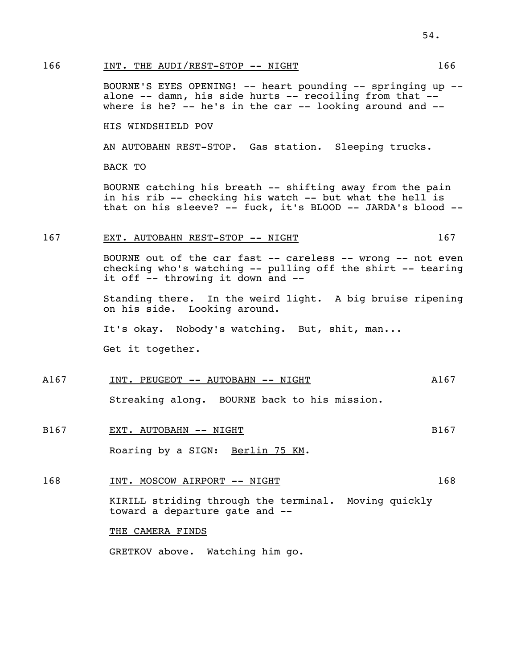## 166 INT. THE AUDI/REST-STOP -- NIGHT 166

 BOURNE'S EYES OPENING! -- heart pounding -- springing up - alone -- damn, his side hurts -- recoiling from that - where is he?  $--$  he's in the car  $--$  looking around and  $--$ 

HIS WINDSHIELD POV

AN AUTOBAHN REST-STOP. Gas station. Sleeping trucks.

BACK TO

 BOURNE catching his breath -- shifting away from the pain in his rib -- checking his watch -- but what the hell is that on his sleeve? -- fuck, it's BLOOD -- JARDA's blood --

#### 167 EXT. AUTOBAHN REST-STOP -- NIGHT 167

BOURNE out of the car fast -- careless -- wrong -- not even checking who's watching -- pulling off the shirt -- tearing it off -- throwing it down and --

 Standing there. In the weird light. A big bruise ripening on his side. Looking around.

It's okay. Nobody's watching. But, shit, man...

Get it together.

A167 INT. PEUGEOT -- AUTOBAHN -- NIGHT MANIST AND ALST

Streaking along. BOURNE back to his mission.

B167 EXT. AUTOBAHN -- NIGHT B167 B167

Roaring by a SIGN: Berlin 75 KM.

168 1NT. MOSCOW AIRPORT -- NIGHT 168

 KIRILL striding through the terminal. Moving quickly toward a departure gate and --

#### THE CAMERA FINDS

GRETKOV above. Watching him go.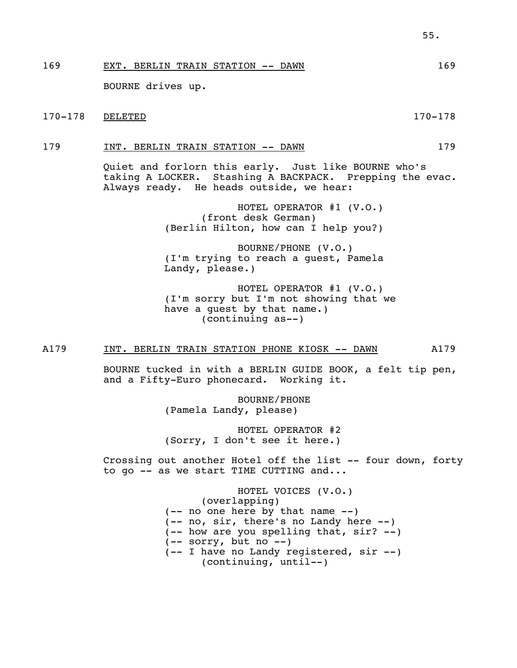169 EXT. BERLIN TRAIN STATION -- DAWN 169

BOURNE drives up.

170-178 DELETED 170-178

179 INT. BERLIN TRAIN STATION -- DAWN 179

 Quiet and forlorn this early. Just like BOURNE who's taking A LOCKER. Stashing A BACKPACK. Prepping the evac. Always ready. He heads outside, we hear:

> HOTEL OPERATOR #1 (V.O.) (front desk German) (Berlin Hilton, how can I help you?)

> BOURNE/PHONE (V.O.) (I'm trying to reach a guest, Pamela Landy, please.)

 HOTEL OPERATOR #1 (V.O.) (I'm sorry but I'm not showing that we have a guest by that name.) (continuing as--)

#### A179 INT. BERLIN TRAIN STATION PHONE KIOSK -- DAWN A179

 BOURNE tucked in with a BERLIN GUIDE BOOK, a felt tip pen, and a Fifty-Euro phonecard. Working it.

> BOURNE/PHONE (Pamela Landy, please)

 HOTEL OPERATOR #2 (Sorry, I don't see it here.)

Crossing out another Hotel off the list -- four down, forty to go -- as we start TIME CUTTING and...

> HOTEL VOICES (V.O.) (overlapping) (-- no one here by that name --) (-- no, sir, there's no Landy here --) (-- how are you spelling that, sir? --)  $(- -$  sorry, but no  $-$ ) (-- I have no Landy registered, sir --) (continuing, until--)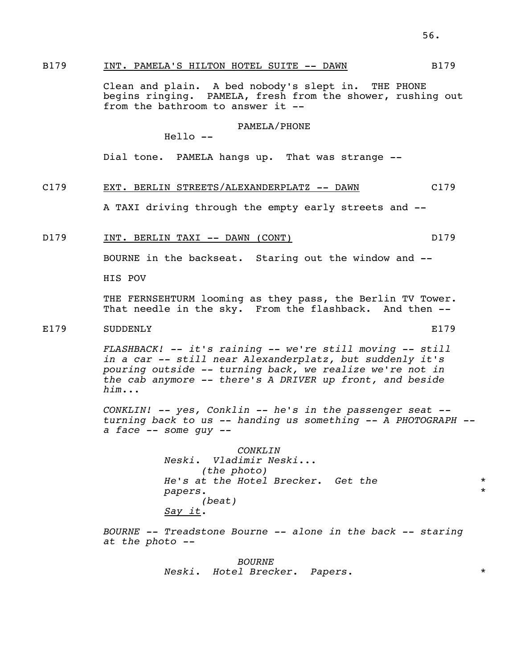Clean and plain. A bed nobody's slept in. THE PHONE begins ringing. PAMELA, fresh from the shower, rushing out from the bathroom to answer it --

#### PAMELA/PHONE

Hello --

Dial tone. PAMELA hangs up. That was strange --

### C179 EXT. BERLIN STREETS/ALEXANDERPLATZ -- DAWN C179

A TAXI driving through the empty early streets and --

### D179 INT. BERLIN TAXI -- DAWN (CONT) D179

BOURNE in the backseat. Staring out the window and --

HIS POV

 THE FERNSEHTURM looming as they pass, the Berlin TV Tower. That needle in the sky. From the flashback. And then --

## E179 SUDDENLY E179

 *FLASHBACK! -- it's raining -- we're still moving -- still in a car -- still near Alexanderplatz, but suddenly it's pouring outside -- turning back, we realize we're not in the cab anymore -- there's A DRIVER up front, and beside him...* 

 *CONKLIN! -- yes, Conklin -- he's in the passenger seat - turning back to us -- handing us something -- A PHOTOGRAPH - a face -- some guy --* 

> *CONKLIN Neski. Vladimir Neski... (the photo) He's at the Hotel Brecker. Get the* \* *papers.* \*  *(beat) Say it.*

 *BOURNE -- Treadstone Bourne -- alone in the back -- staring at the photo --* 

> *BOURNE Neski. Hotel Brecker. Papers.* \*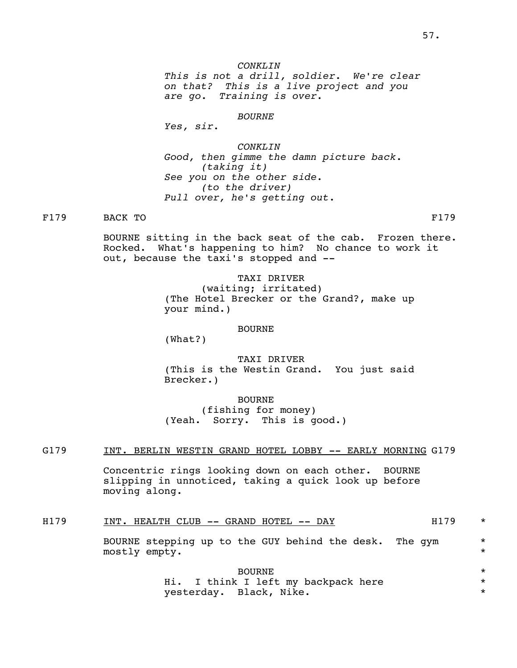*BOURNE* 

 *Yes, sir.* 

 *CONKLIN Good, then gimme the damn picture back. (taking it) See you on the other side. (to the driver) Pull over, he's getting out.*

F179 BACK TO F179

 BOURNE sitting in the back seat of the cab. Frozen there. Rocked. What's happening to him? No chance to work it out, because the taxi's stopped and --

> TAXI DRIVER (waiting; irritated) (The Hotel Brecker or the Grand?, make up your mind.)

### BOURNE

(What?)

 TAXI DRIVER (This is the Westin Grand. You just said Brecker.)

 BOURNE (fishing for money) (Yeah. Sorry. This is good.)

## G179 INT. BERLIN WESTIN GRAND HOTEL LOBBY -- EARLY MORNING G179

 Concentric rings looking down on each other. BOURNE slipping in unnoticed, taking a quick look up before moving along.

H179 INT. HEALTH CLUB -- GRAND HOTEL -- DAY H179 \*

BOURNE stepping up to the GUY behind the desk. The gym  $*$ <br>mostly empty mostly empty.

 BOURNE \* Hi. I think I left my backpack here  $*$ yesterday. Black, Nike. \*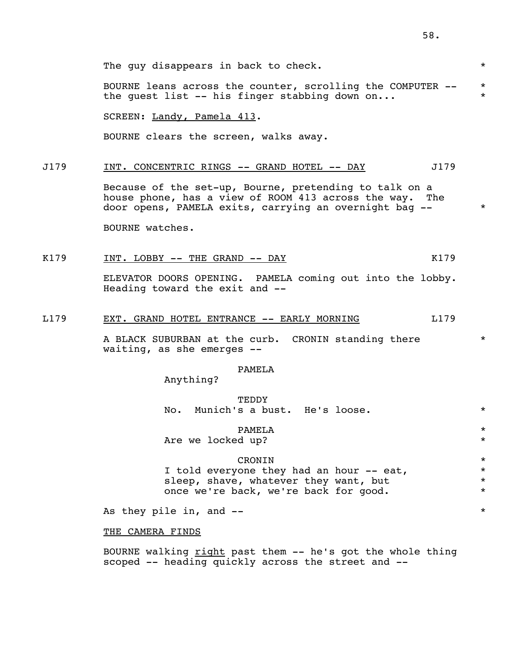The guy disappears in back to check.  $*$ 

BOURNE leans across the counter, scrolling the COMPUTER -- \* the quest list  $--$  his finger stabbing down on...

SCREEN: Landy, Pamela 413.

BOURNE clears the screen, walks away.

#### J179 INT. CONCENTRIC RINGS -- GRAND HOTEL -- DAY J179

 Because of the set-up, Bourne, pretending to talk on a house phone, has a view of ROOM 413 across the way. The door opens, PAMELA exits, carrying an overnight bag -- \*

BOURNE watches.

## K179 INT. LOBBY -- THE GRAND -- DAY K179

 ELEVATOR DOORS OPENING. PAMELA coming out into the lobby. Heading toward the exit and --

### L179 EXT. GRAND HOTEL ENTRANCE -- EARLY MORNING L179

A BLACK SUBURBAN at the curb. CRONIN standing there  $*$ waiting, as she emerges --

#### PAMELA

Anything?

 TEDDY No. Munich's a bust. He's loose.  $*$ 

PAMELA \*

Are we locked up?  $*$ 

## CRONIN \*

I told everyone they had an hour -- eat,  $*$ sleep, shave, whatever they want, but \*\* once we're back, we're back for good.  $*$ 

As they pile in, and --

THE CAMERA FINDS

BOURNE walking right past them -- he's got the whole thing scoped -- heading quickly across the street and --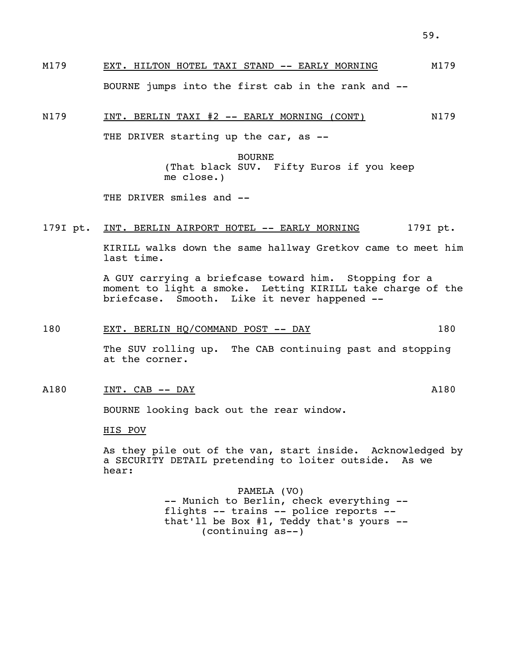N179 INT. BERLIN TAXI #2 -- EARLY MORNING (CONT) N179

THE DRIVER starting up the car, as --

 BOURNE (That black SUV. Fifty Euros if you keep me close.)

THE DRIVER smiles and --

## 179I pt. INT. BERLIN AIRPORT HOTEL -- EARLY MORNING 179I pt.

 KIRILL walks down the same hallway Gretkov came to meet him last time.

 A GUY carrying a briefcase toward him. Stopping for a moment to light a smoke. Letting KIRILL take charge of the briefcase. Smooth. Like it never happened --

## 180 EXT. BERLIN HQ/COMMAND POST -- DAY 180

 The SUV rolling up. The CAB continuing past and stopping at the corner.

### A180 INT. CAB -- DAY A180

BOURNE looking back out the rear window.

#### HIS POV

 As they pile out of the van, start inside. Acknowledged by a SECURITY DETAIL pretending to loiter outside. As we hear:

 PAMELA (VO) -- Munich to Berlin, check everything - flights -- trains -- police reports - that'll be Box #1, Teddy that's yours -- (continuing as--)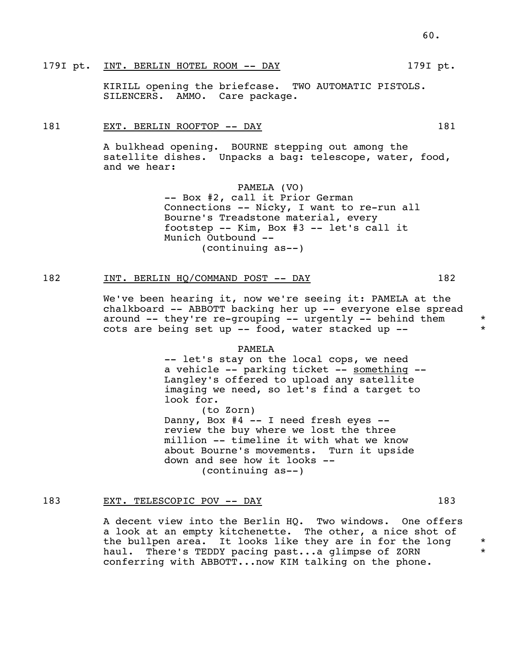#### 179I pt. INT. BERLIN HOTEL ROOM -- DAY 179I pt.

 KIRILL opening the briefcase. TWO AUTOMATIC PISTOLS. SILENCERS. AMMO. Care package.

#### 181 EXT. BERLIN ROOFTOP -- DAY 181

 A bulkhead opening. BOURNE stepping out among the satellite dishes. Unpacks a bag: telescope, water, food, and we hear:

> PAMELA (VO) -- Box #2, call it Prior German Connections -- Nicky, I want to re-run all Bourne's Treadstone material, every footstep -- Kim, Box #3 -- let's call it Munich Outbound -- (continuing as--)

## 182 INT. BERLIN HQ/COMMAND POST -- DAY 182

 We've been hearing it, now we're seeing it: PAMELA at the chalkboard -- ABBOTT backing her up -- everyone else spread around -- they're re-grouping -- urgently -- behind them \*  $\cot s$  are being set up -- food, water stacked up --

#### PAMELA

 -- let's stay on the local cops, we need a vehicle -- parking ticket -- something -- Langley's offered to upload any satellite imaging we need, so let's find a target to look for.

 (to Zorn) Danny, Box  $#4$  -- I need fresh eyes - review the buy where we lost the three million -- timeline it with what we know about Bourne's movements. Turn it upside down and see how it looks -- (continuing as--)

## 183 EXT. TELESCOPIC POV -- DAY 183

 A decent view into the Berlin HQ. Two windows. One offers a look at an empty kitchenette. The other, a nice shot of the bullpen area. It looks like they are in for the long  $*$ <br>haul there's TEDDY pacing past the dimpse of ZORN  $*$ haul. There's TEDDY pacing past...a glimpse of ZORN conferring with ABBOTT...now KIM talking on the phone.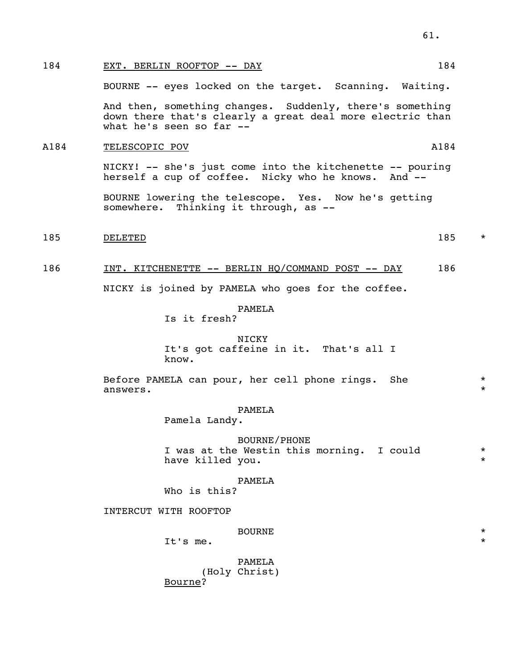## 184 EXT. BERLIN ROOFTOP -- DAY 184

BOURNE -- eyes locked on the target. Scanning. Waiting.

 And then, something changes. Suddenly, there's something down there that's clearly a great deal more electric than what he's seen so far --

#### A184 TELESCOPIC POV A184

 NICKY! -- she's just come into the kitchenette -- pouring herself a cup of coffee. Nicky who he knows. And --

 BOURNE lowering the telescope. Yes. Now he's getting somewhere. Thinking it through, as --

185 DELETED 185 \*

## 186 INT. KITCHENETTE -- BERLIN HQ/COMMAND POST -- DAY 186

NICKY is joined by PAMELA who goes for the coffee.

PAMELA

Is it fresh?

#### NICKY

 It's got caffeine in it. That's all I know.

Before PAMELA can pour, her cell phone rings. She  $*$ answers.  $*$ 

#### PAMELA

Pamela Landy.

### BOURNE/PHONE

I was at the Westin this morning. I could  $*$ <br>have killed you have killed you.

#### PAMELA

Who is this?

INTERCUT WITH ROOFTOP

## BOURNE \*

It's me.

## PAMELA

 (Holy Christ) Bourne?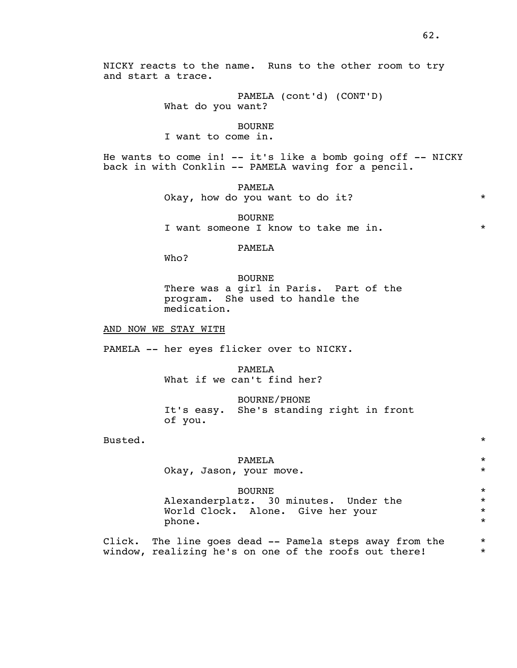NICKY reacts to the name. Runs to the other room to try and start a trace.

> PAMELA (cont'd) (CONT'D) What do you want?

#### BOURNE

I want to come in.

He wants to come in!  $--$  it's like a bomb going off  $--$  NICKY back in with Conklin -- PAMELA waving for a pencil.

PAMELA

Okay, how do you want to do it? \* \* \*

 BOURNE I want someone I know to take me in.  $*$ 

## PAMELA

Who?

#### BOURNE

 There was a girl in Paris. Part of the program. She used to handle the medication.

AND NOW WE STAY WITH

PAMELA -- her eyes flicker over to NICKY.

 PAMELA What if we can't find her?

 BOURNE/PHONE It's easy. She's standing right in front of you.

Busted.  $*$ 

## PAMELA \* Okay, Jason, your move. \*

 BOURNE \* Alexanderplatz. 30 minutes. Under the  $*$ <br>World Clock. Alone. Give her your World Clock. Alone. Give her your \* phone.  $\star$ 

> Click. The line goes dead -- Pamela steps away from the  $*$ <br>window, realizing he's on one of the roofs out there! window, realizing he's on one of the roofs out there! \*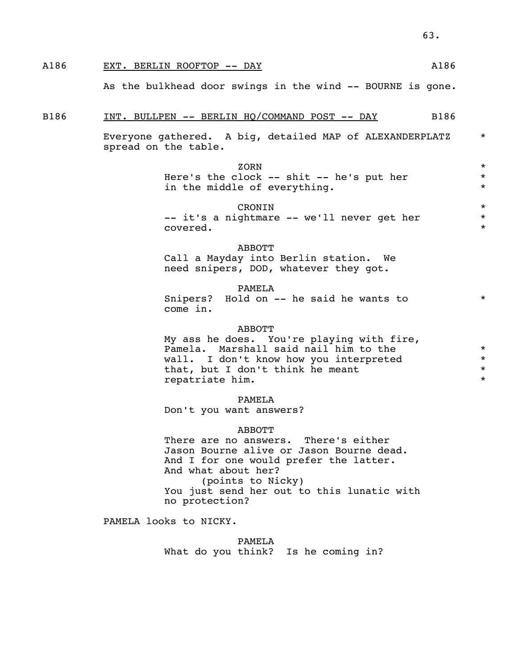# A186 EXT. BERLIN ROOFTOP -- DAY MEET ALSO ALSO

As the bulkhead door swings in the wind -- BOURNE is gone.

#### B186 INT. BULLPEN -- BERLIN HQ/COMMAND POST -- DAY B186

Everyone gathered. A big, detailed MAP of ALEXANDERPLATZ \* spread on the table.

zorn  $\star$ 

Here's the clock -- shit -- he's put her \* in the middle of everything.  $*$ 

## CRONIN \*

-- it's a nightmare -- we'll never get her \* covered.  $\star$ 

#### ABBOTT

 Call a Mayday into Berlin station. We need snipers, DOD, whatever they got.

#### PAMELA

Snipers? Hold on -- he said he wants to  $*$ come in.

### ABBOTT

 My ass he does. You're playing with fire, Pamela. Marshall said nail him to the  $*$ <br>wall. I don't know how you interpreted  $*$  wall. I don't know how you interpreted \* that, but I don't think he meant repatriate him.  $\star$ 

#### PAMELA

Don't you want answers?

#### ABBOTT

 There are no answers. There's either Jason Bourne alive or Jason Bourne dead. And I for one would prefer the latter. And what about her? (points to Nicky) You just send her out to this lunatic with no protection?

PAMELA looks to NICKY.

 PAMELA What do you think? Is he coming in?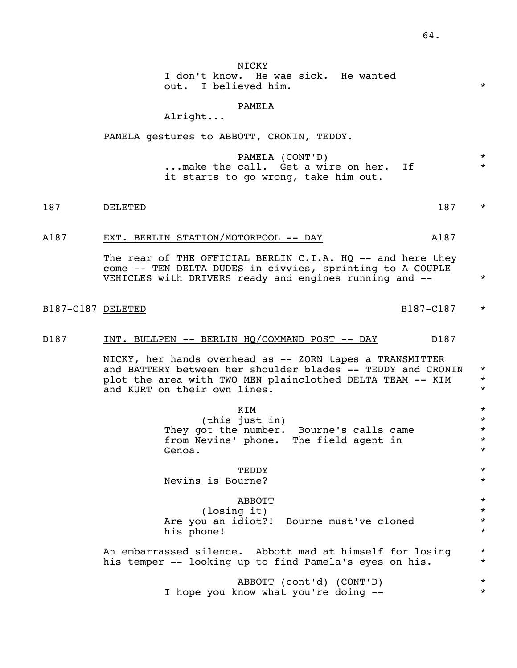NICKY I don't know. He was sick. He wanted out. I believed him.  $\star$ 

### PAMELA

Alright...

PAMELA gestures to ABBOTT, CRONIN, TEDDY.

 PAMELA (CONT'D) \* ... make the call. Get a wire on her. If it starts to go wrong, take him out.

- 187 DELETED 187 \*
	- A187 EXT. BERLIN STATION/MOTORPOOL -- DAY A187

The rear of THE OFFICIAL BERLIN C.I.A. HQ -- and here they come -- TEN DELTA DUDES in civvies, sprinting to A COUPLE VEHICLES with DRIVERS ready and engines running and --  $*$ 

B187-C187 DELETED 8187-C187 \*

### D187 INT. BULLPEN -- BERLIN HQ/COMMAND POST -- DAY D187

 NICKY, her hands overhead as -- ZORN tapes a TRANSMITTER and BATTERY between her shoulder blades -- TEDDY and CRONIN \* plot the area with TWO MEN plainclothed DELTA TEAM -- KIM  $*$ and KURT on their own lines.

 $KIM$   $\star$  (this just in) \* They got the number. Bourne's calls came  $*$ <br>from Nevins' phone, The field agent in from Nevins' phone. The field agent in<br>Genoa. Genoa. \* TEDDY \* Nevins is Bourne? \*  $ABBOTT$  \* (losing it) \* Are you an idiot?! Bourne must've cloned \* \* \* his phone! An embarrassed silence. Abbott mad at himself for losing \* his temper -- looking up to find Pamela's eyes on his. \*

> ABBOTT (cont'd) (CONT'D) \* I hope you know what you're doing -- \* \*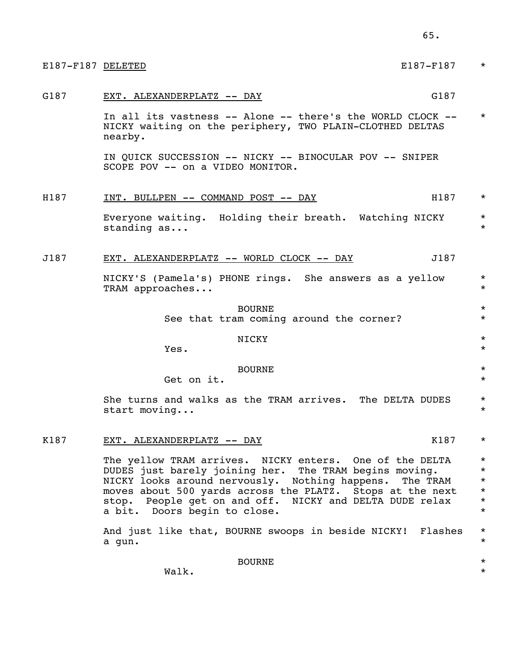| E187-F187 DELETED | E187-F187                                                                                                                                                                                                                                                                                                                               | $\star$                                                            |
|-------------------|-----------------------------------------------------------------------------------------------------------------------------------------------------------------------------------------------------------------------------------------------------------------------------------------------------------------------------------------|--------------------------------------------------------------------|
| G187              | G187<br>EXT. ALEXANDERPLATZ -- DAY                                                                                                                                                                                                                                                                                                      |                                                                    |
|                   | In all its vastness -- Alone -- there's the WORLD CLOCK --<br>NICKY waiting on the periphery, TWO PLAIN-CLOTHED DELTAS<br>nearby.                                                                                                                                                                                                       | $\star$                                                            |
|                   | IN QUICK SUCCESSION -- NICKY -- BINOCULAR POV -- SNIPER<br>SCOPE POV -- on a VIDEO MONITOR.                                                                                                                                                                                                                                             |                                                                    |
| H187              | H187<br><u>INT. BULLPEN -- COMMAND POST -- DAY</u>                                                                                                                                                                                                                                                                                      | $\star$                                                            |
|                   | Everyone waiting. Holding their breath. Watching NICKY<br>standing as                                                                                                                                                                                                                                                                   | $^\star$<br>$^\star$                                               |
| J187              | J187<br>EXT. ALEXANDERPLATZ -- WORLD CLOCK -- DAY                                                                                                                                                                                                                                                                                       |                                                                    |
|                   | NICKY'S (Pamela's) PHONE rings. She answers as a yellow<br>TRAM approaches                                                                                                                                                                                                                                                              | $\star$<br>$\star$                                                 |
|                   | <b>BOURNE</b><br>See that tram coming around the corner?                                                                                                                                                                                                                                                                                | $^\star$<br>$\star$                                                |
|                   | NICKY<br>Yes.                                                                                                                                                                                                                                                                                                                           | $\star$<br>$\star$                                                 |
|                   | <b>BOURNE</b><br>Get on it.                                                                                                                                                                                                                                                                                                             | $\star$<br>$\star$                                                 |
|                   | She turns and walks as the TRAM arrives. The DELTA DUDES<br>start moving                                                                                                                                                                                                                                                                | $^\star$<br>$^\star$                                               |
| K187              | K187<br>EXT. ALEXANDERPLATZ -- DAY                                                                                                                                                                                                                                                                                                      | $\star$                                                            |
|                   | The yellow TRAM arrives. NICKY enters. One of the DELTA<br>DUDES just barely joining her. The TRAM begins moving.<br>NICKY looks around nervously. Nothing happens.<br>The TRAM<br>moves about 500 yards across the PLATZ. Stops at the next<br>stop. People get on and off. NICKY and DELTA DUDE relax<br>a bit. Doors begin to close. | $^\star$<br>$\star$<br>$\star$<br>$^\star$<br>$^\star$<br>$^\star$ |
|                   | And just like that, BOURNE swoops in beside NICKY! Flashes<br>a gun.                                                                                                                                                                                                                                                                    | $^\star$<br>$^\star$                                               |
|                   | <b>BOURNE</b><br>Walk.                                                                                                                                                                                                                                                                                                                  | $^\star$<br>$\star$                                                |

65.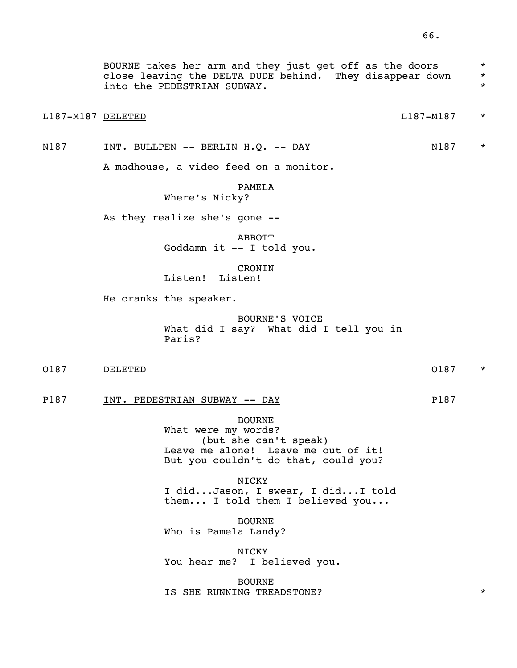BOURNE takes her arm and they just get off as the doors \* close leaving the DELTA DUDE behind. They disappear down \* into the PEDESTRIAN SUBWAY.  $\star$ 

## L187-M187 DELETED L187-M187 \*

## N187 INT. BULLPEN -- BERLIN H.Q. -- DAY N187 \*

A madhouse, a video feed on a monitor.

# PAMELA

Where's Nicky?

As they realize she's gone --

 ABBOTT Goddamn it -- I told you.

 CRONIN Listen! Listen!

He cranks the speaker.

 BOURNE'S VOICE What did I say? What did I tell you in Paris?

O187 DELETED  $\sim$  O187  $^{\star}$ 

P187 INT. PEDESTRIAN SUBWAY -- DAY P187

 BOURNE What were my words? (but she can't speak) Leave me alone! Leave me out of it! But you couldn't do that, could you?

NICKY I did...Jason, I swear, I did...I told them... I told them I believed you...

> BOURNE Who is Pamela Landy?

 NICKY You hear me? I believed you.

 BOURNE IS SHE RUNNING TREADSTONE?  $*$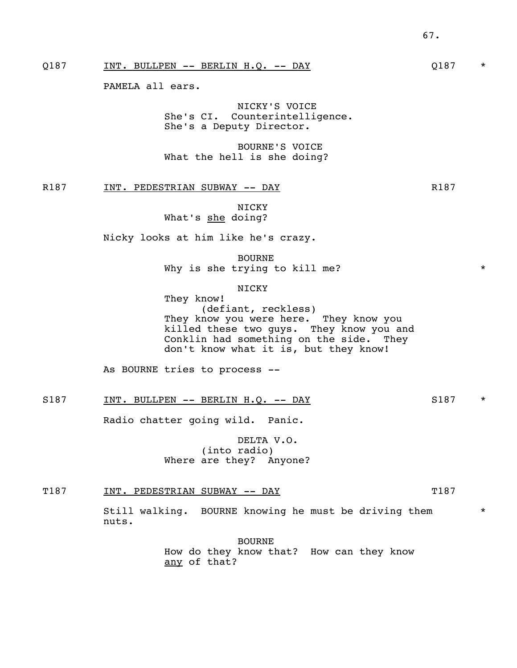Q187 INT. BULLPEN -- BERLIN H.Q. -- DAY  $Q187$  \*

PAMELA all ears.

 NICKY'S VOICE She's CI. Counterintelligence. She's a Deputy Director.

 BOURNE'S VOICE What the hell is she doing?

R187 INT. PEDESTRIAN SUBWAY -- DAY R187

 NICKY What's she doing?

Nicky looks at him like he's crazy.

 BOURNE Why is she trying to kill me?  $*$ 

NICKY

 They know! (defiant, reckless) They know you were here. They know you killed these two guys. They know you and Conklin had something on the side. They don't know what it is, but they know!

As BOURNE tries to process --

S187 INT. BULLPEN -- BERLIN H.Q. -- DAY S187 \*

Radio chatter going wild. Panic.

 DELTA V.O. (into radio) Where are they? Anyone?

T187 INT. PEDESTRIAN SUBWAY -- DAY THE T187

Still walking. BOURNE knowing he must be driving them  $*$ nuts.

> BOURNE How do they know that? How can they know any of that?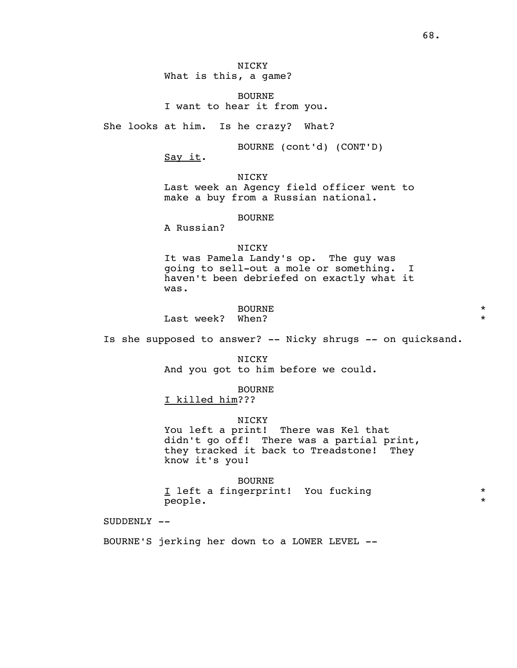BOURNE I want to hear it from you.

She looks at him. Is he crazy? What?

BOURNE (cont'd) (CONT'D)

Say it.

NICKY

 Last week an Agency field officer went to make a buy from a Russian national.

#### BOURNE

A Russian?

#### NICKY

 It was Pamela Landy's op. The guy was going to sell-out a mole or something. I haven't been debriefed on exactly what it was.

# BOURNE \*

Last week? When?  $\star$ 

Is she supposed to answer? -- Nicky shrugs -- on quicksand.

 NICKY And you got to him before we could.

 BOURNE I killed him???

#### NICKY

 You left a print! There was Kel that didn't go off! There was a partial print, they tracked it back to Treadstone! They know it's you!

 BOURNE I left a fingerprint! You fucking \* \* \* people.  $\star$ 

SUDDENLY --

BOURNE'S jerking her down to a LOWER LEVEL --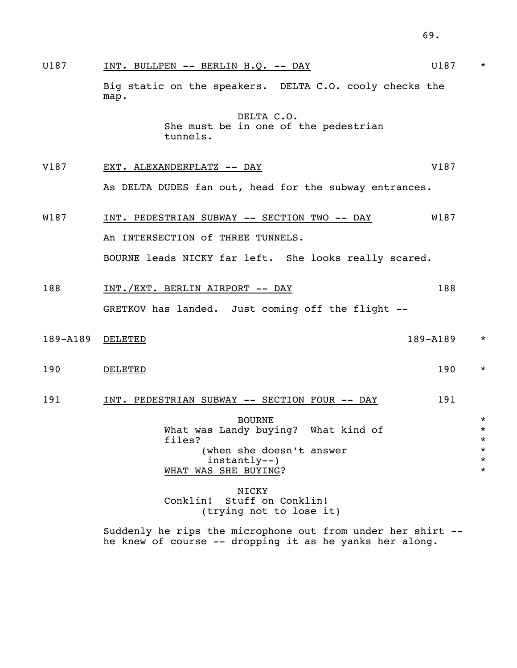|             |                                                                   | 69.         |                                |
|-------------|-------------------------------------------------------------------|-------------|--------------------------------|
| U187        | INT. BULLPEN -- BERLIN H.Q. -- DAY                                | U187        | $\star$                        |
|             | Big static on the speakers. DELTA C.O. cooly checks the<br>map.   |             |                                |
|             | DELTA C.O.<br>She must be in one of the pedestrian<br>tunnels.    |             |                                |
| V187        | EXT. ALEXANDERPLATZ -- DAY                                        | V187        |                                |
|             | As DELTA DUDES fan out, head for the subway entrances.            |             |                                |
| <b>W187</b> | INT. PEDESTRIAN SUBWAY -- SECTION TWO -- DAY                      | <b>W187</b> |                                |
|             | An INTERSECTION of THREE TUNNELS.                                 |             |                                |
|             | BOURNE leads NICKY far left. She looks really scared.             |             |                                |
| 188         | <u>INT./EXT. BERLIN AIRPORT -- DAY</u>                            | 188         |                                |
|             | GRETKOV has landed. Just coming off the flight --                 |             |                                |
| 189-A189    | DELETED                                                           | 189-A189    | $\star$                        |
| 190         | <b>DELETED</b>                                                    | 190         | $^\star$                       |
| 191         | INT. PEDESTRIAN SUBWAY -- SECTION FOUR -- DAY                     | 191         |                                |
|             | <b>BOURNE</b><br>What was Landy buying? What kind of<br>files?    |             | $\star$<br>$\star$<br>$\star$  |
|             | (when she doesn't answer<br>instantly--)<br>WHAT WAS SHE BUYING?  |             | $\star$<br>$^\star$<br>$\star$ |
|             | NICKY<br>Stuff on Conklin!<br>Conklin!<br>(trying not to lose it) |             |                                |
|             | Suddenly he rips the microphone out from under her shirt --       |             |                                |

he knew of course -- dropping it as he yanks her along.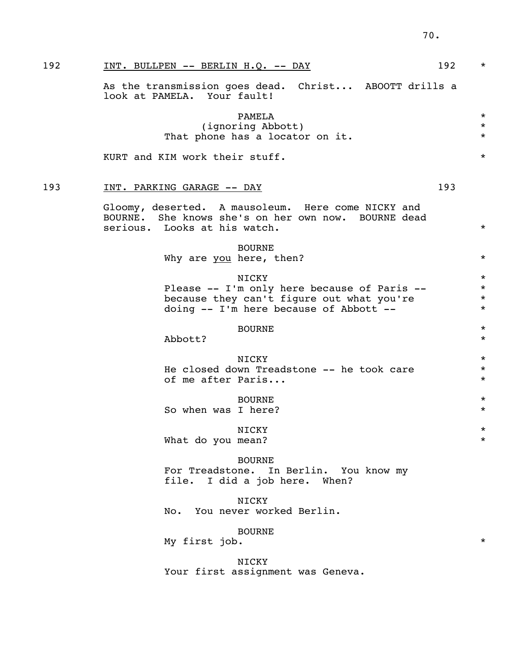| 192 | INT. BULLPEN -- BERLIN H.Q. -- DAY<br>192                                                                                                   | $\star$                                  |
|-----|---------------------------------------------------------------------------------------------------------------------------------------------|------------------------------------------|
|     | As the transmission goes dead. Christ ABOOTT drills a<br>look at PAMELA. Your fault!                                                        |                                          |
|     | PAMELA<br>(ignoring Abbott)<br>That phone has a locator on it.                                                                              | $\star$<br>$\star$<br>$\star$            |
|     | KURT and KIM work their stuff.                                                                                                              | $\star$                                  |
| 193 | 193<br><u>INT. PARKING GARAGE -- DAY</u>                                                                                                    |                                          |
|     | Gloomy, deserted. A mausoleum. Here come NICKY and<br>BOURNE. She knows she's on her own now. BOURNE dead<br>serious. Looks at his watch.   | $\star$                                  |
|     | <b>BOURNE</b><br>Why are you here, then?                                                                                                    | $\star$                                  |
|     | NICKY<br>Please -- I'm only here because of Paris --<br>because they can't figure out what you're<br>doing -- I'm here because of Abbott -- | $\star$<br>$\star$<br>$\star$<br>$\star$ |
|     | <b>BOURNE</b><br>Abbott?                                                                                                                    | $\star$<br>$\star$                       |
|     | NICKY<br>He closed down Treadstone -- he took care<br>of me after Paris                                                                     | $\star$<br>$\star$<br>$\star$            |
|     | <b>BOURNE</b><br>So when was I here?                                                                                                        | $\star$<br>$\star$                       |
|     | NICKY<br>What do you mean?                                                                                                                  | $^\star$<br>$\star$                      |
|     | <b>BOURNE</b><br>For Treadstone. In Berlin. You know my<br>file. I did a job here. When?                                                    |                                          |
|     | NICKY<br>No. You never worked Berlin.                                                                                                       |                                          |
|     | <b>BOURNE</b><br>My first job.                                                                                                              | $\star$                                  |
|     | NICKY<br>Your first assignment was Geneva.                                                                                                  |                                          |
|     |                                                                                                                                             |                                          |
|     |                                                                                                                                             |                                          |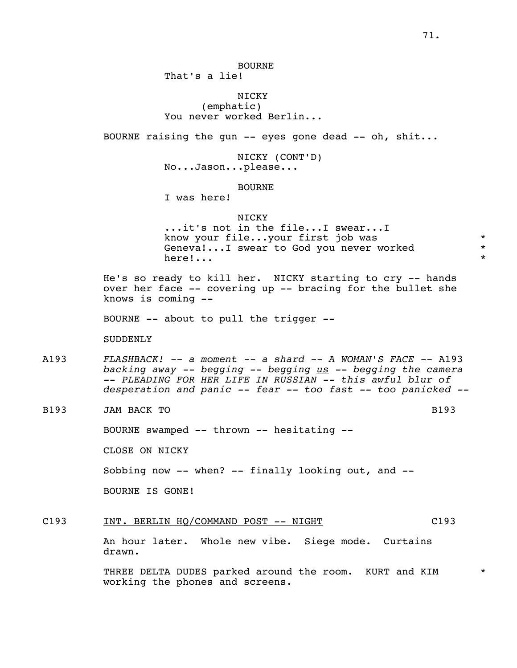## BOURNE

That's a lie!

## NICKY

 (emphatic) You never worked Berlin...

BOURNE raising the gun -- eyes gone dead -- oh, shit...

 NICKY (CONT'D) No...Jason...please...

## BOURNE

I was here!

#### NICKY

 ...it's not in the file...I swear...I know your file...your first job was<br>Geneval...I swear to God you never worked \* \* Geneva!...I swear to God you never worked \* here!...  $\star$ 

> He's so ready to kill her. NICKY starting to cry -- hands over her face -- covering up -- bracing for the bullet she knows is coming --

BOURNE -- about to pull the trigger --

SUDDENLY

- A193 *FLASHBACK! -- a moment -- a shard -- A WOMAN'S FACE --* A193 *backing away -- begging -- begging us -- begging the camera -- PLEADING FOR HER LIFE IN RUSSIAN -- this awful blur of desperation and panic -- fear -- too fast -- too panicked --*
- B<sub>193</sub> JAM BACK TO B<sub>193</sub> B<sub>193</sub>

BOURNE swamped -- thrown -- hesitating --

CLOSE ON NICKY

Sobbing now -- when? -- finally looking out, and --

BOURNE IS GONE!

C193 INT. BERLIN HQ/COMMAND POST -- NIGHT C193

 An hour later. Whole new vibe. Siege mode. Curtains drawn.

THREE DELTA DUDES parked around the room. KURT and KIM  $*$ working the phones and screens.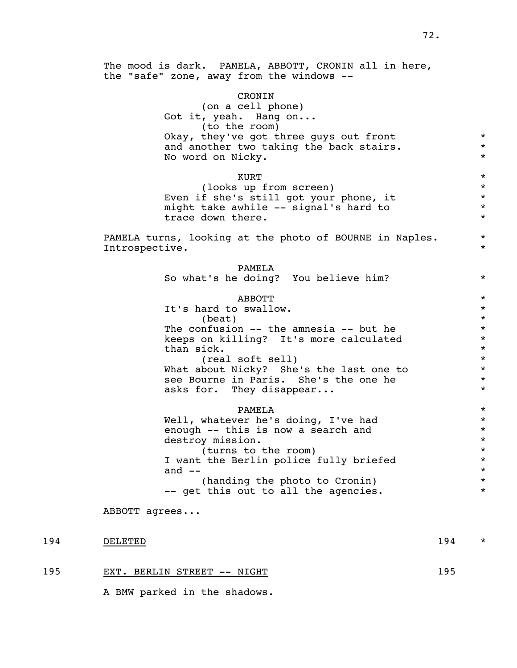### CRONIN

 (on a cell phone) Got it, yeah. Hang on... (to the room) Okay, they've got three guys out front  $*$ and another two taking the back stairs.  $*$ No word on Nicky.  $*$ 

 $\star$  KURT (looks up from screen) \*<br>f she's still got your phone, it \* \* \* Even if she's still got your phone, it \* might take awhile -- signal's hard to \* \* \* trace down there.

> PAMELA turns, looking at the photo of BOURNE in Naples.  $*$ Introspective.  $\qquad \qquad \bullet$

 PAMELA So what's he doing? You believe him?  $*$  $ABBOTT$  \* It's hard to swallow.  $*$  $\star$ The confusion  $--$  the amnesia  $--$  but he  $*$ <br>keeps on killing? It's more calculated  $*$  keeps on killing? It's more calculated \* than sick.  $*$ <br>(real soft sell)  $*$  (real soft sell) \* What about Nicky? She's the last one to see Bourne in Paris. She's the one he<br>asks for they disappear asks for. They disappear... PAMELA \* Well, whatever he's doing, I've had \* enough -- this is now a search and  $*$ <br>destroy mission. destroy mission.  $*$ <br>(turns to the room)  $*$ (turns to the room)  $*$ <br>the Berlin police fully briefed  $*$ I want the Berlin police fully briefed \* \* \* \* \* and  $- *$ (handing the photo to Cronin) \*

-- get this out to all the agencies.  $*$ 

ABBOTT agrees...

### 194 DELETED 194 \*

195 EXT. BERLIN STREET -- NIGHT 195

A BMW parked in the shadows.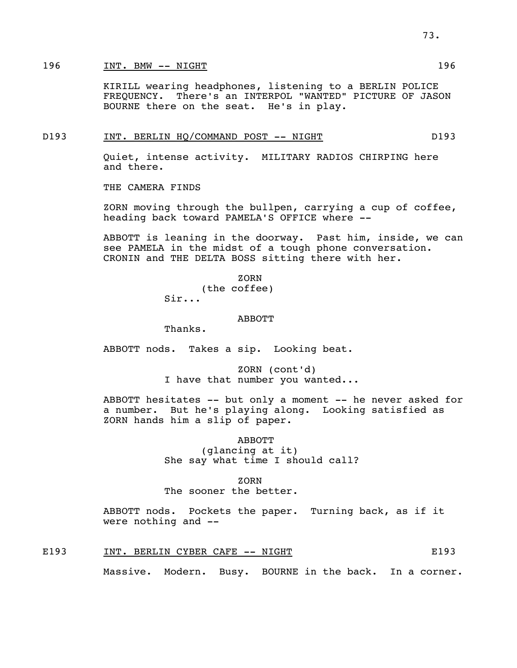### 196 INT. BMW -- NIGHT 196 196

 KIRILL wearing headphones, listening to a BERLIN POLICE FREQUENCY. There's an INTERPOL "WANTED" PICTURE OF JASON BOURNE there on the seat. He's in play.

### D193 INT. BERLIN HO/COMMAND POST -- NIGHT D193

 Quiet, intense activity. MILITARY RADIOS CHIRPING here and there.

THE CAMERA FINDS

 ZORN moving through the bullpen, carrying a cup of coffee, heading back toward PAMELA'S OFFICE where --

 ABBOTT is leaning in the doorway. Past him, inside, we can see PAMELA in the midst of a tough phone conversation. CRONIN and THE DELTA BOSS sitting there with her.

**ZORN** (the coffee)

Sir...

### ABBOTT

Thanks.

ABBOTT nods. Takes a sip. Looking beat.

 ZORN (cont'd) I have that number you wanted...

 ABBOTT hesitates -- but only a moment -- he never asked for a number. But he's playing along. Looking satisfied as ZORN hands him a slip of paper.

> ABBOTT (glancing at it) She say what time I should call?

### **ZORN**

The sooner the better.

 ABBOTT nods. Pockets the paper. Turning back, as if it were nothing and --

E193 INT. BERLIN CYBER CAFE -- NIGHT FOR THE RESOLUTION CONSTRUCTS

Massive. Modern. Busy. BOURNE in the back. In a corner.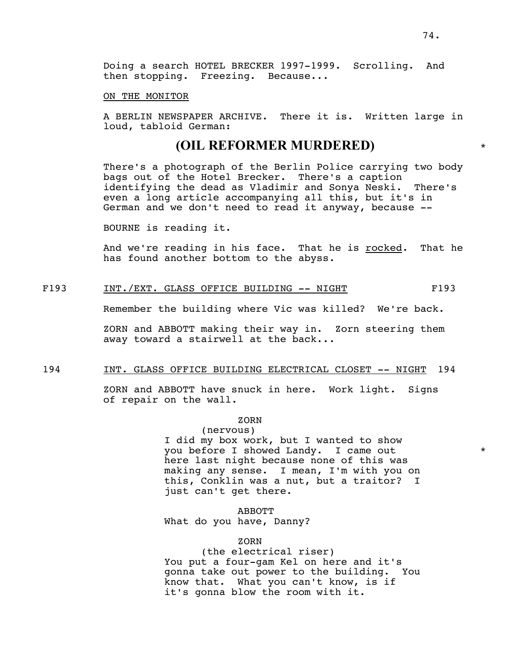Doing a search HOTEL BRECKER 1997-1999. Scrolling. And then stopping. Freezing. Because...

### ON THE MONITOR

 A BERLIN NEWSPAPER ARCHIVE. There it is. Written large in loud, tabloid German:

### **(OIL REFORMER MURDERED)** \*

 There's a photograph of the Berlin Police carrying two body bags out of the Hotel Brecker. There's a caption identifying the dead as Vladimir and Sonya Neski. There's even a long article accompanying all this, but it's in German and we don't need to read it anyway, because --

BOURNE is reading it.

And we're reading in his face. That he is rocked. That he has found another bottom to the abyss.

### F193 INT./EXT. GLASS OFFICE BUILDING -- NIGHT F193

Remember the building where Vic was killed? We're back.

 ZORN and ABBOTT making their way in. Zorn steering them away toward a stairwell at the back...

### 194 INT. GLASS OFFICE BUILDING ELECTRICAL CLOSET -- NIGHT 194

 ZORN and ABBOTT have snuck in here. Work light. Signs of repair on the wall.

### **ZORN**

 (nervous) I did my box work, but I wanted to show you before I showed Landy. I came out \* here last night because none of this was making any sense. I mean, I'm with you on this, Conklin was a nut, but a traitor? I just can't get there.

 ABBOTT What do you have, Danny?

### **ZORN**

 (the electrical riser) You put a four-gam Kel on here and it's gonna take out power to the building. You know that. What you can't know, is if it's gonna blow the room with it.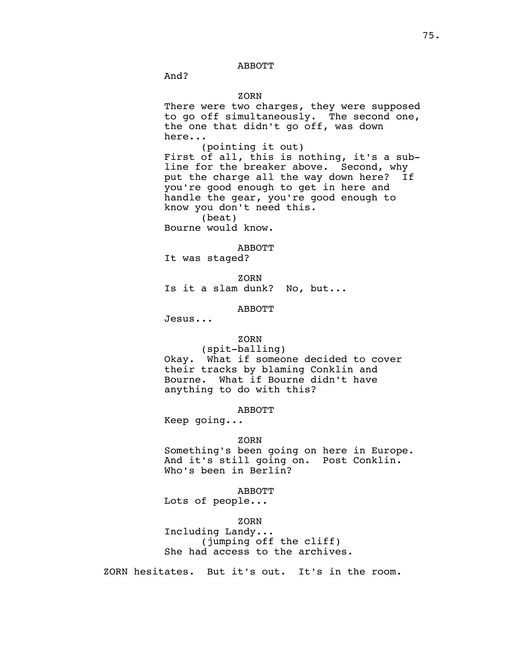### ABBOTT

And?

### **ZORN**

 There were two charges, they were supposed to go off simultaneously. The second one, the one that didn't go off, was down here...

 (pointing it out) First of all, this is nothing, it's a sub line for the breaker above. Second, why put the charge all the way down here? If you're good enough to get in here and handle the gear, you're good enough to know you don't need this.

(beat)

Bourne would know.

#### ABBOTT

It was staged?

**ZORN** Is it a slam dunk? No, but...

### ABBOTT

Jesus...

### **ZORN**

 (spit-balling) Okay. What if someone decided to cover their tracks by blaming Conklin and Bourne. What if Bourne didn't have anything to do with this?

### ABBOTT

Keep going...

### **ZORN**

 Something's been going on here in Europe. And it's still going on. Post Conklin. Who's been in Berlin?

### ABBOTT

Lots of people...

### **ZORN**

 Including Landy... (jumping off the cliff) She had access to the archives.

ZORN hesitates. But it's out. It's in the room.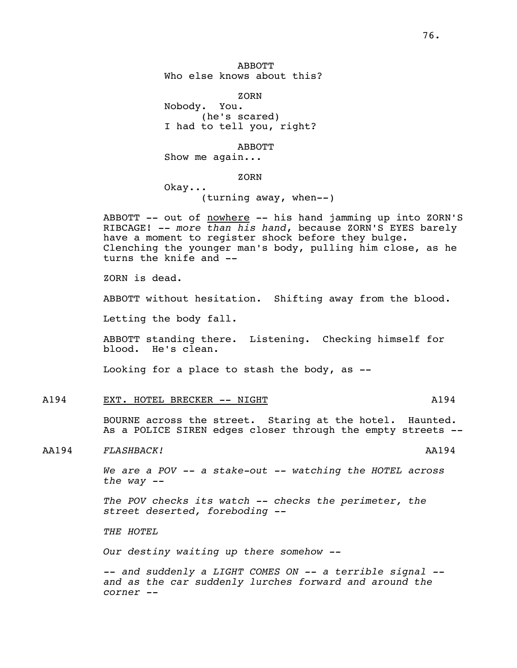**ZORN** 

 Nobody. You. (he's scared) I had to tell you, right?

ABBOTT

Show me again...

**ZORN** 

 Okay... (turning away, when--)

ABBOTT -- out of nowhere -- his hand jamming up into ZORN'S RIBCAGE! -- *more than his hand*, because ZORN'S EYES barely have a moment to register shock before they bulge. Clenching the younger man's body, pulling him close, as he turns the knife and --

ZORN is dead.

ABBOTT without hesitation. Shifting away from the blood.

Letting the body fall.

 ABBOTT standing there. Listening. Checking himself for blood. He's clean.

Looking for a place to stash the body, as --

### A194 EXT. HOTEL BRECKER -- NIGHT MESSELL AND A194

 BOURNE across the street. Staring at the hotel. Haunted. As a POLICE SIREN edges closer through the empty streets --

### AA194 *FLASHBACK!* AA194

 *We are a POV -- a stake-out -- watching the HOTEL across the way --* 

 *The POV checks its watch -- checks the perimeter, the street deserted, foreboding --* 

 *THE HOTEL* 

 *Our destiny waiting up there somehow --* 

 *-- and suddenly a LIGHT COMES ON -- a terrible signal - and as the car suddenly lurches forward and around the corner --*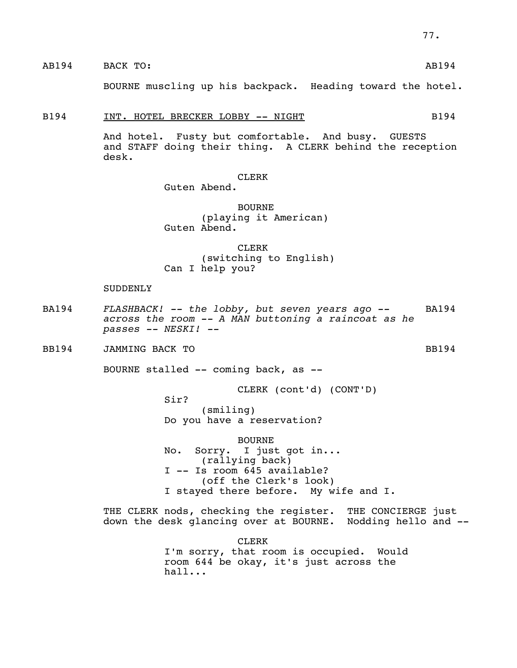### AB194 BACK TO: AB194

BOURNE muscling up his backpack. Heading toward the hotel.

### B194 INT. HOTEL BRECKER LOBBY -- NIGHT B194

 And hotel. Fusty but comfortable. And busy. GUESTS and STAFF doing their thing. A CLERK behind the reception desk.

### CLERK

Guten Abend.

### BOURNE (playing it American) Guten Abend.

**CLERK CLERK**  (switching to English) Can I help you?

### SUDDENLY

BA194 *FLASHBACK! -- the lobby, but seven years ago --* BA194 *across the room -- A MAN buttoning a raincoat as he passes -- NESKI! --* 

BB194 JAMMING BACK TO SERVER SERVER BB194

BOURNE stalled -- coming back, as --

Sir?

CLERK (cont'd) (CONT'D)

 (smiling) Do you have a reservation?

 BOURNE No. Sorry. I just got in... (rallying back) I -- Is room 645 available? (off the Clerk's look) I stayed there before. My wife and I.

 THE CLERK nods, checking the register. THE CONCIERGE just down the desk glancing over at BOURNE. Nodding hello and --

**CLERK CLERK**  I'm sorry, that room is occupied. Would room 644 be okay, it's just across the hall...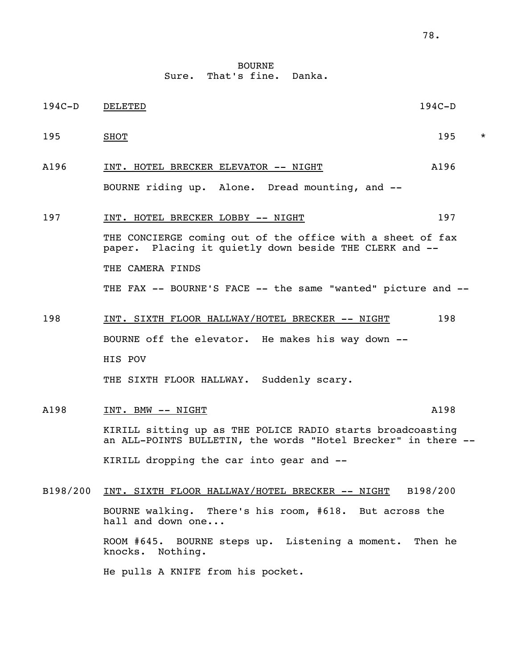**BOURNE** Sure. That's fine. Danka.

| $194C-D$ | DELETED                                                                                                                     | $194C-D$ |         |
|----------|-----------------------------------------------------------------------------------------------------------------------------|----------|---------|
| 195      | <b>SHOT</b>                                                                                                                 | 195      | $\star$ |
| A196     | INT. HOTEL BRECKER ELEVATOR -- NIGHT                                                                                        | A196     |         |
|          | BOURNE riding up. Alone. Dread mounting, and --                                                                             |          |         |
| 197      | INT. HOTEL BRECKER LOBBY -- NIGHT                                                                                           | 197      |         |
|          | THE CONCIERGE coming out of the office with a sheet of fax<br>paper. Placing it quietly down beside THE CLERK and --        |          |         |
|          | THE CAMERA FINDS                                                                                                            |          |         |
|          | THE FAX -- BOURNE'S FACE -- the same "wanted" picture and --                                                                |          |         |
| 198      | <u>INT. SIXTH FLOOR HALLWAY/HOTEL BRECKER -- NIGHT</u>                                                                      | 198      |         |
|          | BOURNE off the elevator. He makes his way down --                                                                           |          |         |
|          | HIS POV                                                                                                                     |          |         |
|          | THE SIXTH FLOOR HALLWAY. Suddenly scary.                                                                                    |          |         |
| A198     | INT. BMW -- NIGHT                                                                                                           | A198     |         |
|          | KIRILL sitting up as THE POLICE RADIO starts broadcoasting<br>an ALL-POINTS BULLETIN, the words "Hotel Brecker" in there -- |          |         |
|          | KIRILL dropping the car into gear and --                                                                                    |          |         |
| B198/200 | INT. SIXTH FLOOR HALLWAY/HOTEL BRECKER -- NIGHT                                                                             | B198/200 |         |
|          | BOURNE walking. There's his room, #618. But across the<br>hall and down one                                                 |          |         |
|          | ROOM #645. BOURNE steps up. Listening a moment.<br>Nothing.<br>knocks.                                                      | Then he  |         |

He pulls A KNIFE from his pocket.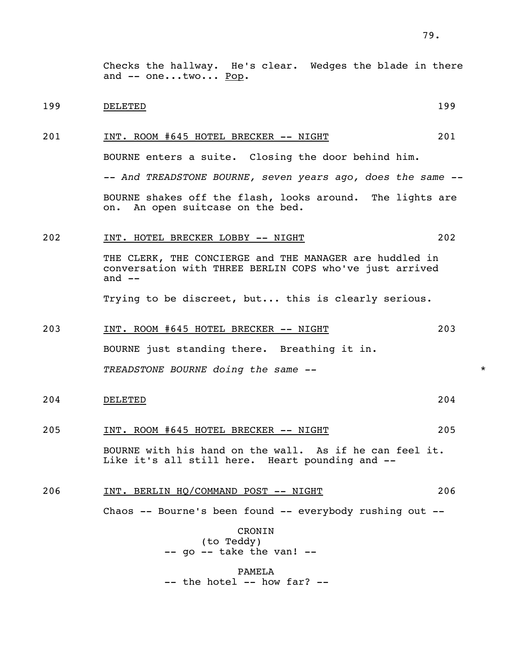Checks the hallway. He's clear. Wedges the blade in there and -- one...two... Pop.

### 199 DELETED 199

### 201 INT. ROOM #645 HOTEL BRECKER -- NIGHT 201

BOURNE enters a suite. Closing the door behind him.

 *-- And TREADSTONE BOURNE, seven years ago, does the same --*  BOURNE shakes off the flash, looks around. The lights are on. An open suitcase on the bed.

### 202 INT. HOTEL BRECKER LOBBY -- NIGHT 202

 THE CLERK, THE CONCIERGE and THE MANAGER are huddled in conversation with THREE BERLIN COPS who've just arrived and  $--$ 

Trying to be discreet, but... this is clearly serious.

# 203 INT. ROOM #645 HOTEL BRECKER -- NIGHT 203

BOURNE just standing there. Breathing it in.

*TREADSTONE BOURNE doing the same --* \*

204 DELETED 204

### 205 INT. ROOM #645 HOTEL BRECKER -- NIGHT 205

 BOURNE with his hand on the wall. As if he can feel it. Like it's all still here. Heart pounding and --

### 206 INT. BERLIN HQ/COMMAND POST -- NIGHT 206

Chaos -- Bourne's been found -- everybody rushing out --

 CRONIN (to Teddy) -- go -- take the van! --

 PAMELA -- the hotel -- how far? --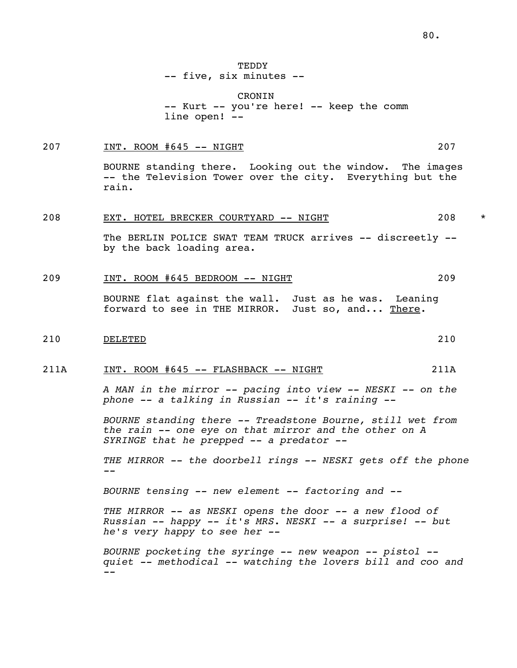**TEDDY** -- five, six minutes --

 CRONIN -- Kurt -- you're here! -- keep the comm line open! --

### 207 INT. ROOM #645 -- NIGHT 207

 BOURNE standing there. Looking out the window. The images -- the Television Tower over the city. Everything but the rain.

### 208 EXT. HOTEL BRECKER COURTYARD -- NIGHT 208 \*

The BERLIN POLICE SWAT TEAM TRUCK arrives -- discreetly -by the back loading area.

### 209 INT. ROOM #645 BEDROOM -- NIGHT 209

 BOURNE flat against the wall. Just as he was. Leaning forward to see in THE MIRROR. Just so, and... There.

### 210 DELETED 210

### 211A INT. ROOM #645 -- FLASHBACK -- NIGHT 211A

 *A MAN in the mirror -- pacing into view -- NESKI -- on the phone -- a talking in Russian -- it's raining --* 

 *BOURNE standing there -- Treadstone Bourne, still wet from the rain -- one eye on that mirror and the other on A SYRINGE that he prepped -- a predator --* 

 *THE MIRROR -- the doorbell rings -- NESKI gets off the phone --* 

 *BOURNE tensing -- new element -- factoring and --* 

 *THE MIRROR -- as NESKI opens the door -- a new flood of Russian -- happy -- it's MRS. NESKI -- a surprise! -- but he's very happy to see her --* 

 *BOURNE pocketing the syringe -- new weapon -- pistol - quiet -- methodical -- watching the lovers bill and coo and --*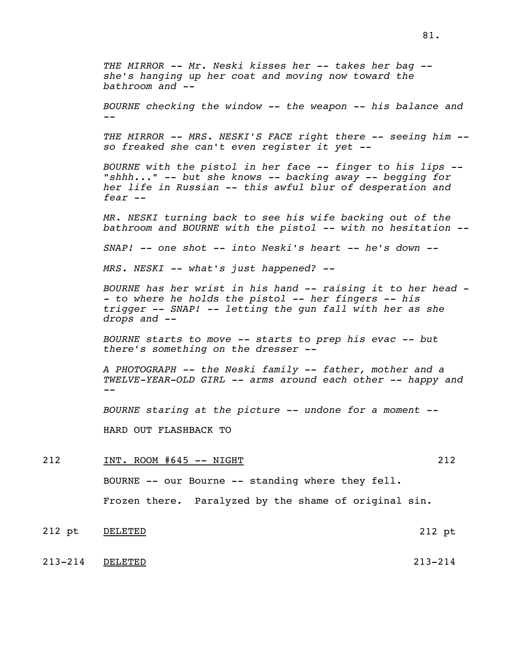*THE MIRROR -- Mr. Neski kisses her -- takes her bag - she's hanging up her coat and moving now toward the bathroom and -- BOURNE checking the window -- the weapon -- his balance and -- THE MIRROR -- MRS. NESKI'S FACE right there -- seeing him - so freaked she can't even register it yet -- BOURNE with the pistol in her face -- finger to his lips -- "shhh..." -- but she knows -- backing away -- begging for her life in Russian -- this awful blur of desperation and fear -- MR. NESKI turning back to see his wife backing out of the bathroom and BOURNE with the pistol -- with no hesitation -- SNAP! -- one shot -- into Neski's heart -- he's down -- MRS. NESKI -- what's just happened? -- BOURNE has her wrist in his hand -- raising it to her head - - to where he holds the pistol -- her fingers -- his trigger -- SNAP! -- letting the gun fall with her as she drops and -- BOURNE starts to move -- starts to prep his evac -- but there's something on the dresser -- A PHOTOGRAPH -- the Neski family -- father, mother and a TWELVE-YEAR-OLD GIRL -- arms around each other -- happy and -- BOURNE staring at the picture -- undone for a moment --* HARD OUT FLASHBACK TO 212 INT. ROOM #645 -- NIGHT 212 BOURNE -- our Bourne -- standing where they fell.

212 pt DELETED 212 pt

Frozen there. Paralyzed by the shame of original sin.

213-214 DELETED 213-214

81.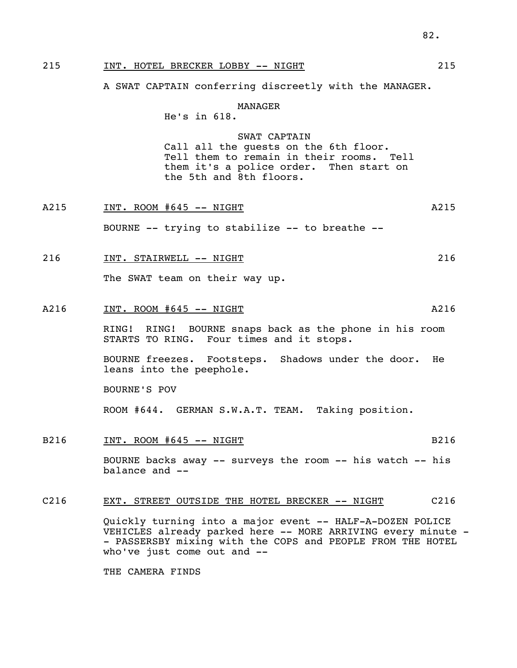### 215 INT. HOTEL BRECKER LOBBY -- NIGHT 215

A SWAT CAPTAIN conferring discreetly with the MANAGER.

### MANAGER

He's in 618.

### SWAT CAPTAIN

 Call all the guests on the 6th floor. Tell them to remain in their rooms. Tell them it's a police order. Then start on the 5th and 8th floors.

A215 1NT. ROOM #645 -- NIGHT BOURNE -- trying to stabilize -- to breathe -- 216 INT. STAIRWELL -- NIGHT 216 216 The SWAT team on their way up.

### A216 INT. ROOM #645 -- NIGHT A216

 RING! RING! BOURNE snaps back as the phone in his room STARTS TO RING. Four times and it stops.

 BOURNE freezes. Footsteps. Shadows under the door. He leans into the peephole.

BOURNE'S POV

ROOM #644. GERMAN S.W.A.T. TEAM. Taking position.

B216 INT. ROOM #645 -- NIGHT

 BOURNE backs away -- surveys the room -- his watch -- his balance and --

### C216 EXT. STREET OUTSIDE THE HOTEL BRECKER -- NIGHT C216

 Quickly turning into a major event -- HALF-A-DOZEN POLICE VEHICLES already parked here -- MORE ARRIVING every minute - - PASSERSBY mixing with the COPS and PEOPLE FROM THE HOTEL who've just come out and --

THE CAMERA FINDS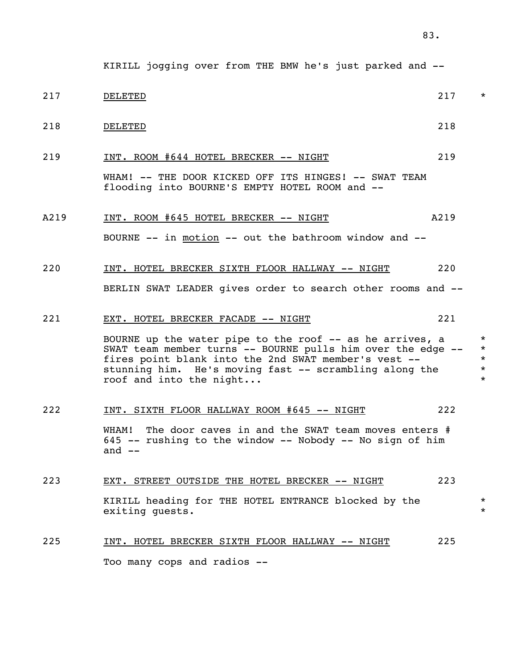- 217 believed by the contract of the contract of the contract of the contract of the contract of the contract of the contract of the contract of the contract of the contract of the contract of the contract of the contract o
- 218 DELETED 218

219 INT. ROOM #644 HOTEL BRECKER -- NIGHT 219

 WHAM! -- THE DOOR KICKED OFF ITS HINGES! -- SWAT TEAM flooding into BOURNE'S EMPTY HOTEL ROOM and --

### A219 INT. ROOM #645 HOTEL BRECKER -- NIGHT A219

BOURNE -- in motion -- out the bathroom window and --

### 220 INT. HOTEL BRECKER SIXTH FLOOR HALLWAY -- NIGHT 220

BERLIN SWAT LEADER gives order to search other rooms and --

### 221 EXT. HOTEL BRECKER FACADE -- NIGHT 221

BOURNE up the water pipe to the roof  $-$ - as he arrives, a SWAT team member turns -- BOURNE pulls him over the edge -- \* fires point blank into the 2nd SWAT member's vest -- \* stunning him. He's moving fast -- scrambling along the \* roof and into the night...  $*$ 

### 222 INT. SIXTH FLOOR HALLWAY ROOM #645 -- NIGHT 222

WHAM! The door caves in and the SWAT team moves enters # 645 -- rushing to the window -- Nobody -- No sign of him and  $--$ 

### 223 EXT. STREET OUTSIDE THE HOTEL BRECKER -- NIGHT 223

 KIRILL heading for THE HOTEL ENTRANCE blocked by the \* exiting quests.

### 225 INT. HOTEL BRECKER SIXTH FLOOR HALLWAY -- NIGHT 225

Too many cops and radios --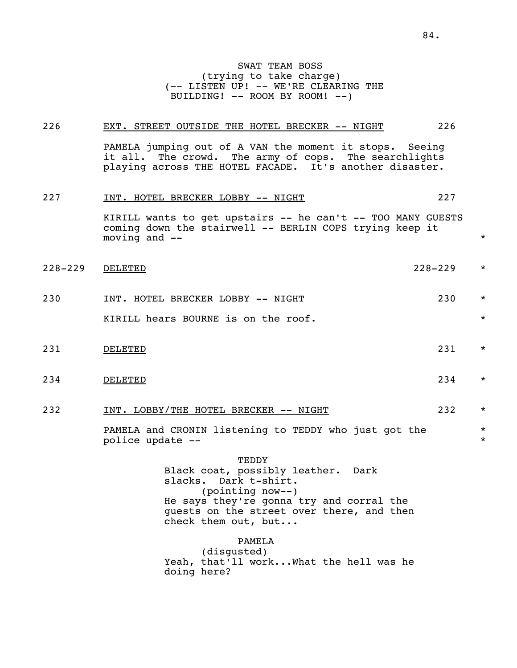### 226 EXT. STREET OUTSIDE THE HOTEL BRECKER -- NIGHT 226

 PAMELA jumping out of A VAN the moment it stops. Seeing it all. The crowd. The army of cops. The searchlights playing across THE HOTEL FACADE. It's another disaster.

| 227         | INT. HOTEL BRECKER LOBBY -- NIGHT                                                                                                         | 227         |         |
|-------------|-------------------------------------------------------------------------------------------------------------------------------------------|-------------|---------|
|             | KIRILL wants to get upstairs -- he can't -- TOO MANY GUESTS<br>coming down the stairwell -- BERLIN COPS trying keep it<br>moving and $--$ |             | $\star$ |
| $228 - 229$ | DELETED                                                                                                                                   | $228 - 229$ | $\star$ |
| 230         | INT. HOTEL BRECKER LOBBY -- NIGHT                                                                                                         | 230         | $\star$ |
|             | KIRILL hears BOURNE is on the roof.                                                                                                       |             | $\star$ |
| 231         | DELETED                                                                                                                                   | 231         | $\star$ |
| 234         | <b>DELETED</b>                                                                                                                            | 234         | $\star$ |

### 232 INT. LOBBY/THE HOTEL BRECKER -- NIGHT 232 \*

PAMELA and CRONIN listening to TEDDY who just got the  $*$ <br>police update -police update --

> TEDDY Black coat, possibly leather. Dark slacks. Dark t-shirt. (pointing now--) He says they're gonna try and corral the guests on the street over there, and then check them out, but...

### PAMELA

 (disgusted) Yeah, that'll work...What the hell was he doing here?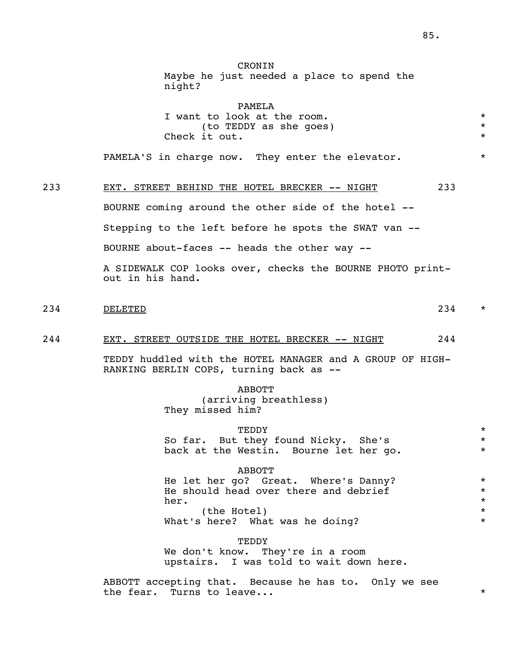**CRONTN** 

|     | Maybe he just needed a place to spend the<br>night?                                                                                                                                                                 |                                          |
|-----|---------------------------------------------------------------------------------------------------------------------------------------------------------------------------------------------------------------------|------------------------------------------|
|     | PAMELA<br>I want to look at the room.<br>(to TEDDY as she goes)<br>Check it out.<br>PAMELA'S in charge now. They enter the elevator.                                                                                | $\star$<br>$\star$<br>$\star$<br>$\star$ |
| 233 | 233<br>EXT. STREET BEHIND THE HOTEL BRECKER -- NIGHT<br>BOURNE coming around the other side of the hotel --<br>Stepping to the left before he spots the SWAT van --<br>BOURNE about-faces -- heads the other way -- |                                          |
|     | A SIDEWALK COP looks over, checks the BOURNE PHOTO print-<br>out in his hand.                                                                                                                                       |                                          |
| 234 | 234<br>DELETED                                                                                                                                                                                                      | $\star$                                  |
| 244 | EXT. STREET OUTSIDE THE HOTEL BRECKER -- NIGHT<br>244<br>TEDDY huddled with the HOTEL MANAGER and A GROUP OF HIGH-<br>RANKING BERLIN COPS, turning back as --                                                       |                                          |
|     | <b>ABBOTT</b><br>(arriving breathless)<br>They missed him?                                                                                                                                                          |                                          |
|     | TEDDY<br>So far. But they found Nicky. She's<br>back at the Westin. Bourne let her go.                                                                                                                              | *<br>$^\star$<br>*                       |
|     | <b>ABBOTT</b><br>He let her go? Great. Where's Danny?<br>He should head over there and debrief<br>her.<br>(the Hotel)<br>What's here? What was he doing?                                                            | $\star$<br>*<br>*<br>*<br>$\star$        |
|     | TEDDY<br>We don't know. They're in a room                                                                                                                                                                           |                                          |

upstairs. I was told to wait down here.

 ABBOTT accepting that. Because he has to. Only we see the fear. Turns to leave...  $\star$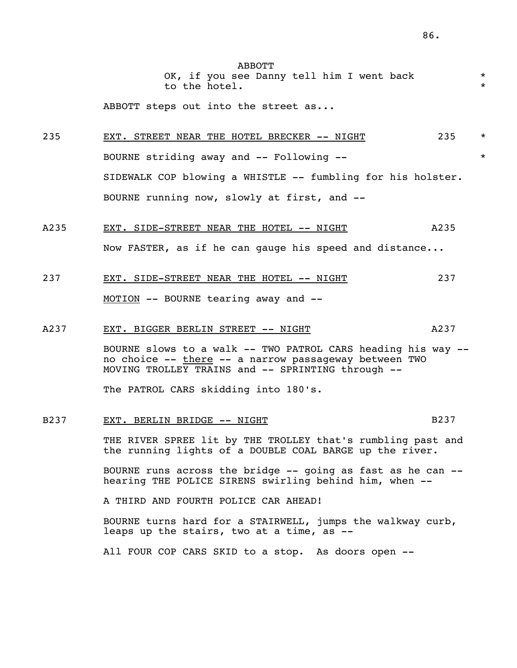ABBOTT OK, if you see Danny tell him I went back to the hotel.

ABBOTT steps out into the street as...

235 EXT. STREET NEAR THE HOTEL BRECKER -- NIGHT 235 \* BOURNE striding away and  $--$  Following  $--$  SIDEWALK COP blowing a WHISTLE -- fumbling for his holster. BOURNE running now, slowly at first, and --

## A235 EXT. SIDE-STREET NEAR THE HOTEL -- NIGHT A235 Now FASTER, as if he can gauge his speed and distance...

## 237 EXT. SIDE-STREET NEAR THE HOTEL -- NIGHT 237 MOTION -- BOURNE tearing away and --

### A237 EXT. BIGGER BERLIN STREET -- NIGHT

 BOURNE slows to a walk -- TWO PATROL CARS heading his way - no choice -- there -- a narrow passageway between TWO MOVING TROLLEY TRAINS and  $--$  SPRINTING through  $--$ 

The PATROL CARS skidding into 180's.

### B237 EXT. BERLIN BRIDGE -- NIGHT B237 B237

 THE RIVER SPREE lit by THE TROLLEY that's rumbling past and the running lights of a DOUBLE COAL BARGE up the river.

 BOURNE runs across the bridge -- going as fast as he can - hearing THE POLICE SIRENS swirling behind him, when --

A THIRD AND FOURTH POLICE CAR AHEAD!

 BOURNE turns hard for a STAIRWELL, jumps the walkway curb, leaps up the stairs, two at a time, as --

All FOUR COP CARS SKID to a stop. As doors open --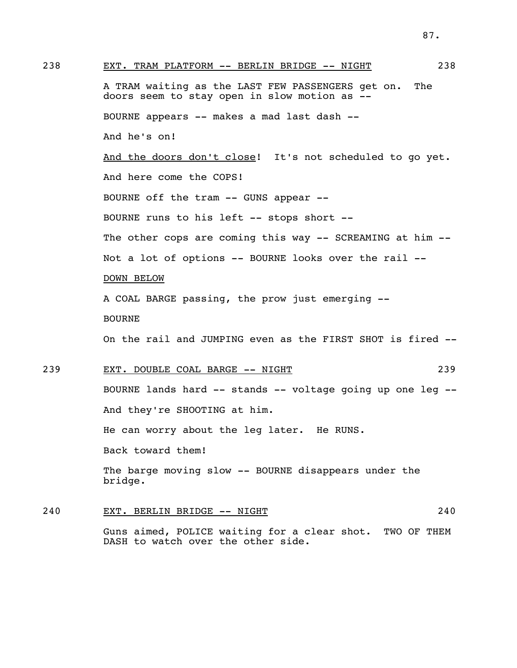238 EXT. TRAM PLATFORM -- BERLIN BRIDGE -- NIGHT 238 A TRAM waiting as the LAST FEW PASSENGERS get on. The doors seem to stay open in slow motion as -- BOURNE appears -- makes a mad last dash -- And he's on! And the doors don't close! It's not scheduled to go yet. And here come the COPS! BOURNE off the tram -- GUNS appear -- BOURNE runs to his left -- stops short -- The other cops are coming this way -- SCREAMING at him -- Not a lot of options -- BOURNE looks over the rail -- DOWN BELOW A COAL BARGE passing, the prow just emerging -- BOURNE On the rail and JUMPING even as the FIRST SHOT is fired -- 239 EXT. DOUBLE COAL BARGE -- NIGHT 239 BOURNE lands hard -- stands -- voltage going up one leg -- And they're SHOOTING at him. He can worry about the leg later. He RUNS. Back toward them! The barge moving slow -- BOURNE disappears under the bridge.

### 240 EXT. BERLIN BRIDGE -- NIGHT 240

 Guns aimed, POLICE waiting for a clear shot. TWO OF THEM DASH to watch over the other side.

87.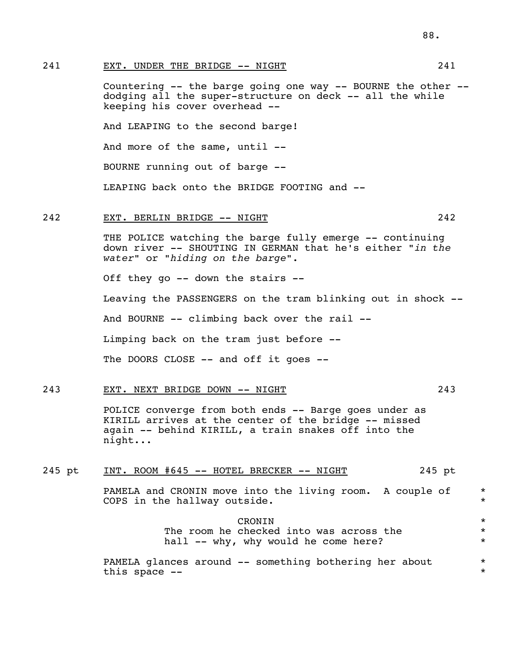241 EXT. UNDER THE BRIDGE -- NIGHT 241

 Countering -- the barge going one way -- BOURNE the other - dodging all the super-structure on deck -- all the while keeping his cover overhead --

And LEAPING to the second barge!

And more of the same, until --

BOURNE running out of barge --

LEAPING back onto the BRIDGE FOOTING and --

### 242 EXT. BERLIN BRIDGE -- NIGHT 242

THE POLICE watching the barge fully emerge -- continuing down river -- SHOUTING IN GERMAN that he's either *"in the water"* or *"hiding on the barge".*

Off they go -- down the stairs --

Leaving the PASSENGERS on the tram blinking out in shock --

And BOURNE -- climbing back over the rail --

Limping back on the tram just before --

The DOORS CLOSE -- and off it goes --

### 243 EXT. NEXT BRIDGE DOWN -- NIGHT 243

 POLICE converge from both ends -- Barge goes under as KIRILL arrives at the center of the bridge -- missed again -- behind KIRILL, a train snakes off into the night...

### 245 pt INT. ROOM #645 -- HOTEL BRECKER -- NIGHT 245 pt

PAMELA and CRONIN move into the living room. A couple of  $*$ COPS in the hallway outside.  $\star$ 

 CRONIN \* The room he checked into was across the  $*$ hall -- why, why would he come here? \* \*

> PAMELA glances around -- something bothering her about \* this space  $- *$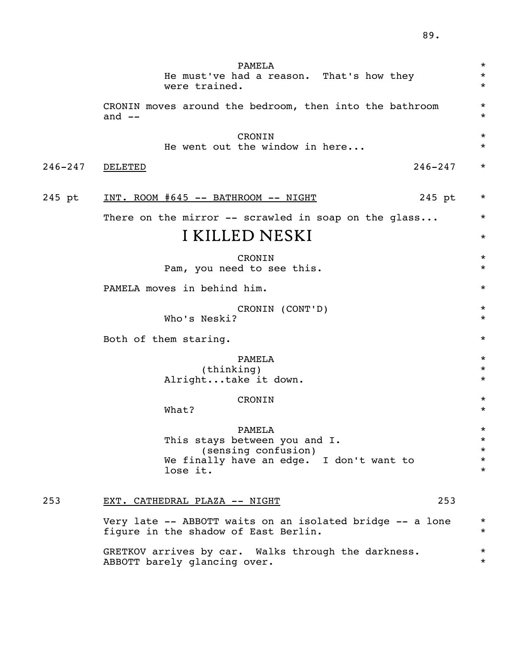|             | PAMELA<br>He must've had a reason. That's how they<br>were trained.                                                    | $^\star$<br>$^\star$<br>$^\star$                     |
|-------------|------------------------------------------------------------------------------------------------------------------------|------------------------------------------------------|
|             | CRONIN moves around the bedroom, then into the bathroom<br>and $--$                                                    | $\star$<br>$^\star$                                  |
|             | CRONIN<br>He went out the window in here                                                                               | $^\star$<br>$^\star$                                 |
| $246 - 247$ | $246 - 247$<br>DELETED                                                                                                 | $^\star$                                             |
| 245 pt      | 245 pt<br><u>INT. ROOM #645 -- BATHROOM -- NIGHT</u>                                                                   | $\star$                                              |
|             | There on the mirror -- scrawled in soap on the glass                                                                   | $\star$                                              |
|             | I KILLED NESKI                                                                                                         | $^\star$                                             |
|             | CRONIN<br>Pam, you need to see this.                                                                                   | $^\star$<br>$^\star$                                 |
|             | PAMELA moves in behind him.                                                                                            | $^\star$                                             |
|             | CRONIN (CONT'D)<br>Who's Neski?                                                                                        | $^\star$<br>$^\star$                                 |
|             | Both of them staring.                                                                                                  | $^\star$                                             |
|             | PAMELA<br>(thinking)<br>Alrighttake it down.                                                                           | $^\star$<br>$^\star$<br>$^\star$                     |
|             | CRONIN<br>What?                                                                                                        | $^\star$<br>$^\star$                                 |
|             | PAMELA<br>This stays between you and I.<br>(sensing confusion)<br>We finally have an edge. I don't want to<br>lose it. | $^\star$<br>$\star$<br>$\star$<br>$\star$<br>$\star$ |
| 253         | 253<br>EXT. CATHEDRAL PLAZA -- NIGHT                                                                                   |                                                      |
|             | Very late -- ABBOTT waits on an isolated bridge -- a lone<br>figure in the shadow of East Berlin.                      | $\star$<br>$\star$                                   |
|             | GRETKOV arrives by car. Walks through the darkness.<br>ABBOTT barely glancing over.                                    | $^\star$<br>$\star$                                  |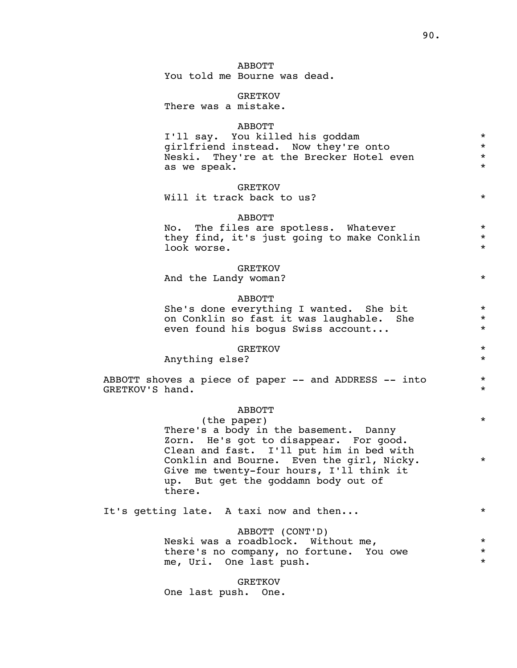### ABBOTT

You told me Bourne was dead.

#### GRETKOV

There was a mistake.

#### ABBOTT

 I'll say. You killed his goddam \* girlfriend instead. Now they're onto \* Neski. They're at the Brecker Hotel even  $*$ as we speak.

### **GRETKOV**

Will it track back to us?  $*$ 

### ABBOTT

No. The files are spotless. Whatever<br>they find it's just going to make Conklin they find, it's just going to make Conklin \* look worse. \*

#### GRETKOV

And the Landy woman?  $*$ 

### ABBOTT

She's done everything I wanted. She bit \* on Conklin so fast it was laughable. She  $*$  even found his bogus Swiss account even found his bogus Swiss account...

### GRETKOV \*

Anything else?  $*$ 

ABBOTT shoves a piece of paper -- and ADDRESS -- into \* GRETKOV'S hand. \*

### ABBOTT

(the paper)  $*$  There's a body in the basement. Danny Zorn. He's got to disappear. For good. Clean and fast. I'll put him in bed with Conklin and Bourne. Even the girl, Nicky. \* Give me twenty-four hours, I'll think it up. But get the goddamn body out of there.

It's getting late. A taxi now and then...  $*$ 

### ABBOTT (CONT'D)

Neski was a roadblock. Without me,<br>there's no company, no fortune wou over  $*$  there's no company, no fortune. You owe \* me, Uri. One last push.

 GRETKOV One last push. One.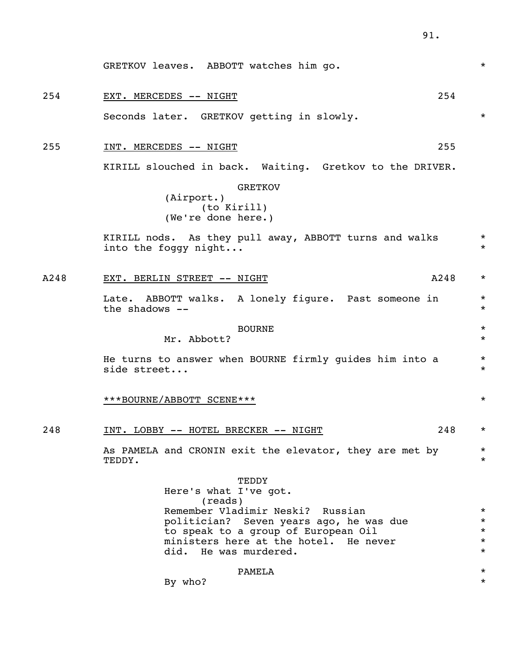| 254  | 254<br>EXT. MERCEDES -- NIGHT                                                  |                    |
|------|--------------------------------------------------------------------------------|--------------------|
|      | Seconds later. GRETKOV getting in slowly.                                      | $\star$            |
| 255  | 255<br>INT. MERCEDES -- NIGHT                                                  |                    |
|      | KIRILL slouched in back. Waiting. Gretkov to the DRIVER.                       |                    |
|      | <b>GRETKOV</b>                                                                 |                    |
|      | (Airport.)<br>(to Kirill)                                                      |                    |
|      | (We're done here.)                                                             |                    |
|      | KIRILL nods. As they pull away, ABBOTT turns and walks<br>into the foggy night | $\star$<br>$\star$ |
| A248 | EXT. BERLIN STREET -- NIGHT<br>A248                                            | $\star$            |
|      | Late. ABBOTT walks. A lonely figure. Past someone in<br>the shadows --         | $\star$<br>$\star$ |
|      | <b>BOURNE</b>                                                                  | $\star$            |
|      | Mr. Abbott?                                                                    | $\star$            |
|      | He turns to answer when BOURNE firmly guides him into a<br>side street         | $\star$<br>$\star$ |
|      | ***BOURNE/ABBOTT SCENE***                                                      | $\star$            |
| 248  | 248<br>INT. LOBBY -- HOTEL BRECKER -- NIGHT                                    | $\star$            |
|      | As PAMELA and CRONIN exit the elevator, they are met by<br>TEDDY.              | $\star$<br>$\star$ |
|      | TEDDY                                                                          |                    |
|      | Here's what I've got.<br>(reads)                                               |                    |
|      | Remember Vladimir Neski? Russian                                               | $\star$            |
|      | politician? Seven years ago, he was due<br>to speak to a group of European Oil | $\star$<br>$\star$ |
|      | ministers here at the hotel. He never                                          | $\star$            |
|      | did. He was murdered.                                                          | $\star$            |
|      | PAMELA                                                                         | $^\star$           |
|      | By who?                                                                        | $\star$            |

GRETKOV leaves. ABBOTT watches him go. \* \* \* \*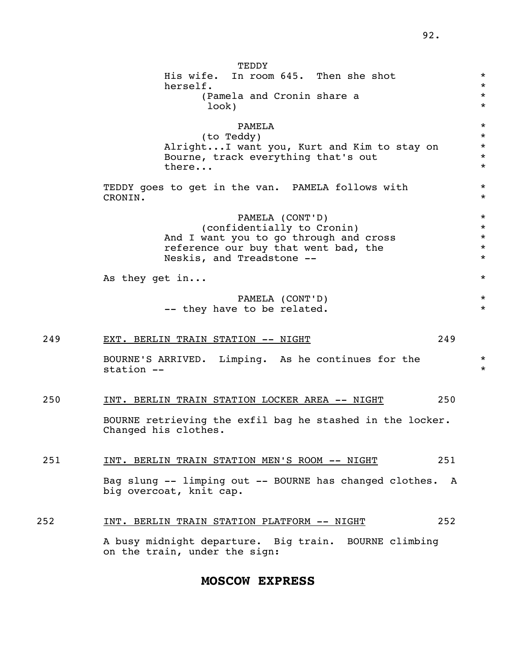|     | TEDDY<br>His wife.<br>In room 645. Then she shot<br>herself.<br>(Pamela and Cronin share a<br>look)                                                          | $\star$<br>$\star$<br>$\star$<br>$\star$            |
|-----|--------------------------------------------------------------------------------------------------------------------------------------------------------------|-----------------------------------------------------|
|     | PAMELA<br>(to Teddy)<br>Alright I want you, Kurt and Kim to stay on<br>Bourne, track everything that's out<br>there                                          | $\star$<br>$\star$<br>$\star$<br>$\star$<br>$\star$ |
|     | TEDDY goes to get in the van. PAMELA follows with<br>CRONIN.                                                                                                 | $\star$<br>$\star$                                  |
|     | PAMELA (CONT'D)<br>(confidentially to Cronin)<br>And I want you to go through and cross<br>reference our buy that went bad, the<br>Neskis, and Treadstone -- | $\star$<br>$\star$<br>$\star$<br>$\star$<br>$\star$ |
|     | As they get in                                                                                                                                               | $^\star$                                            |
|     | PAMELA (CONT'D)<br>-- they have to be related.                                                                                                               | $\star$<br>$\star$                                  |
| 249 | 249<br>EXT. BERLIN TRAIN STATION -- NIGHT                                                                                                                    |                                                     |
|     | BOURNE'S ARRIVED. Limping. As he continues for the<br>station --                                                                                             | $\star$<br>$\star$                                  |
| 250 | 250<br><u>INT. BERLIN TRAIN STATION LOCKER AREA -- NIGHT</u>                                                                                                 |                                                     |
|     | BOURNE retrieving the exfil bag he stashed in the locker.<br>Changed his clothes.                                                                            |                                                     |
| 251 | 251<br>INT. BERLIN TRAIN STATION MEN'S ROOM -- NIGHT                                                                                                         |                                                     |
|     | Bag slung -- limping out -- BOURNE has changed clothes.<br>A<br>big overcoat, knit cap.                                                                      |                                                     |
| 252 | 252<br>INT. BERLIN TRAIN STATION PLATFORM -- NIGHT                                                                                                           |                                                     |
|     | A busy midnight departure. Big train. BOURNE climbing<br>on the train, under the sign:                                                                       |                                                     |

### **MOSCOW EXPRESS**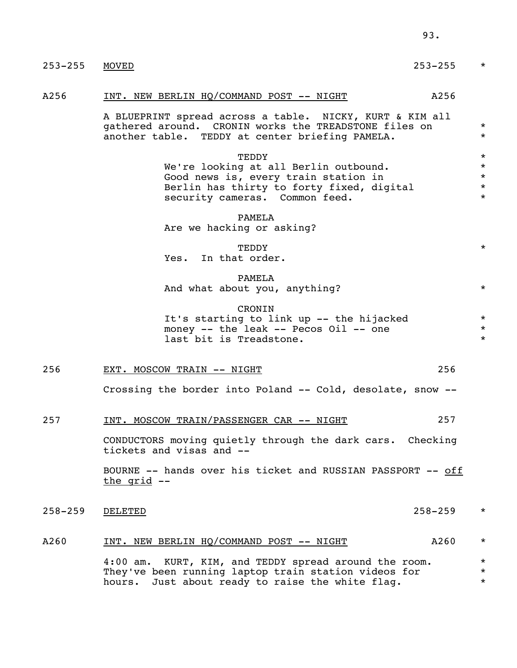| $253 - 255$ | $253 - 255$<br>MOVED                                                                                                                                                  | $\star$                                             |
|-------------|-----------------------------------------------------------------------------------------------------------------------------------------------------------------------|-----------------------------------------------------|
| A256        | INT. NEW BERLIN HQ/COMMAND POST -- NIGHT<br>A256                                                                                                                      |                                                     |
|             | A BLUEPRINT spread across a table. NICKY, KURT & KIM all<br>gathered around. CRONIN works the TREADSTONE files on<br>another table. TEDDY at center briefing PAMELA.  | $\star$<br>$\star$                                  |
|             | TEDDY<br>We're looking at all Berlin outbound.<br>Good news is, every train station in<br>Berlin has thirty to forty fixed, digital<br>security cameras. Common feed. | $\star$<br>$\star$<br>$\star$<br>$\star$<br>$\star$ |
|             | PAMELA<br>Are we hacking or asking?                                                                                                                                   |                                                     |
|             | TEDDY<br>In that order.<br>Yes.                                                                                                                                       | $\star$                                             |
|             | PAMELA<br>And what about you, anything?                                                                                                                               | $\star$                                             |
|             | CRONIN<br>It's starting to link up -- the hijacked<br>money -- the leak -- Pecos Oil -- one<br>last bit is Treadstone.                                                | $\star$<br>$\star$<br>$\star$                       |
| 256         | 256<br>EXT. MOSCOW TRAIN -- NIGHT                                                                                                                                     |                                                     |
|             | Crossing the border into Poland -- Cold, desolate, snow --                                                                                                            |                                                     |
| 257         | INT. MOSCOW TRAIN/PASSENGER CAR -- NIGHT<br>257                                                                                                                       |                                                     |
|             | CONDUCTORS moving quietly through the dark cars. Checking<br>tickets and visas and --                                                                                 |                                                     |
|             | BOURNE -- hands over his ticket and RUSSIAN PASSPORT -- off<br>the grid --                                                                                            |                                                     |
| $258 - 259$ | DELETED<br>258–259                                                                                                                                                    | $^\star$                                            |
| A260        | <u>INT. NEW BERLIN HQ/COMMAND POST -- NIGHT</u><br>A260                                                                                                               | $^\star$                                            |
|             | 4:00 am. KURT, KIM, and TEDDY spread around the room.<br>They've been running laptop train station videos for<br>Just about ready to raise the white flag.<br>hours.  | $^\star$<br>$^\star$<br>$\star$                     |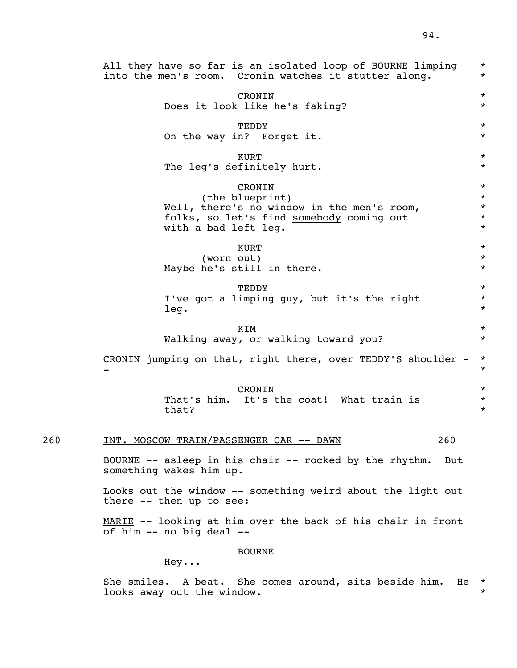All they have so far is an isolated loop of BOURNE limping \* into the men's room. Cronin watches it stutter along. CRONIN \* Does it look like he's faking? \* TEDDY \* On the way in? Forget it.  $*$  $\star$  KURT The leg's definitely hurt.  $*$  CRONIN \* (the blueprint) \* Well, there's no window in the men's room,<br> $\star$ <br> $\star$  folks, so let's find somebody coming out  $\star$ folks, so let's find somebody coming out with a bad left leq.  $\star$  $\star$  KURT (worn out)  $*$ Maybe he's still in there.  $*$  TEDDY \* I've got a limping guy, but it's the right  $*$  $\log$ .  $\star$  $KIM$  \* Walking away, or walking toward you? \* CRONIN jumping on that, right there, over TEDDY'S shoulder  $-$  \* - \* CRONIN \* That's him. It's the coat! What train is  $*$  $that?$  \* 260 INT. MOSCOW TRAIN/PASSENGER CAR -- DAWN 260 BOURNE -- asleep in his chair -- rocked by the rhythm. But something wakes him up. Looks out the window -- something weird about the light out there -- then up to see: MARIE -- looking at him over the back of his chair in front of him -- no big deal --

#### BOURNE

Hey...

 She smiles. A beat. She comes around, sits beside him. He \* looks away out the window.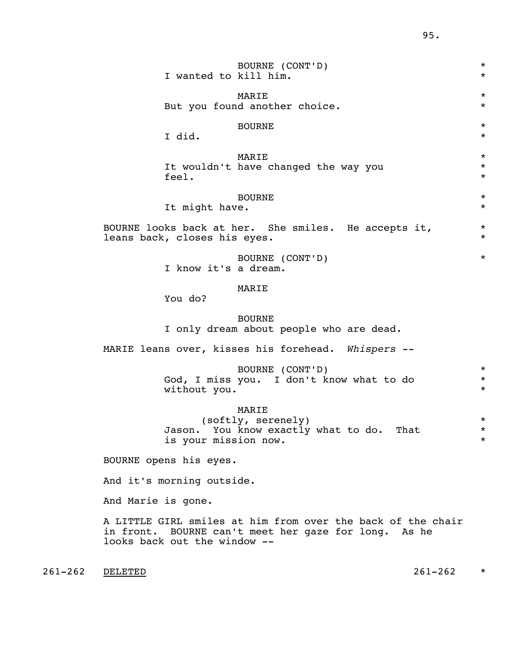| BOURNE (CONT'D)<br>I wanted to kill him.                                                              | $\star$<br>$\star$              |
|-------------------------------------------------------------------------------------------------------|---------------------------------|
| MARIE<br>But you found another choice.                                                                | $\star$<br>$^\star$             |
| <b>BOURNE</b><br>I did.                                                                               | $\star$<br>$^\star$             |
| MARIE<br>It wouldn't have changed the way you<br>feel.                                                | $\star$<br>$^\star$<br>$^\star$ |
| <b>BOURNE</b><br>It might have.                                                                       | $^\star$<br>$^\star$            |
| BOURNE looks back at her. She smiles. He accepts it,<br>leans back, closes his eyes.                  | $^\star$<br>$^\star$            |
| BOURNE (CONT'D)<br>I know it's a dream.                                                               | $\star$                         |
| MARIE<br>You do?                                                                                      |                                 |
| <b>BOURNE</b><br>I only dream about people who are dead.                                              |                                 |
| MARIE leans over, kisses his forehead. Whispers --                                                    |                                 |
| BOURNE (CONT'D)<br>God, I miss you. I don't know what to do<br>without you.                           | $\star$<br>$^\star$<br>$\star$  |
| MARIE<br>(softly, serenely)<br>You know exactly what to do.<br>That<br>Jason.<br>is your mission now. | $\star$<br>$^\star$<br>*        |
| BOURNE opens his eyes.                                                                                |                                 |
| And it's morning outside.                                                                             |                                 |
| And Marie is gone.                                                                                    |                                 |
|                                                                                                       |                                 |

 A LITTLE GIRL smiles at him from over the back of the chair in front. BOURNE can't meet her gaze for long. As he looks back out the window --

261-262 DELETED 261-262 \*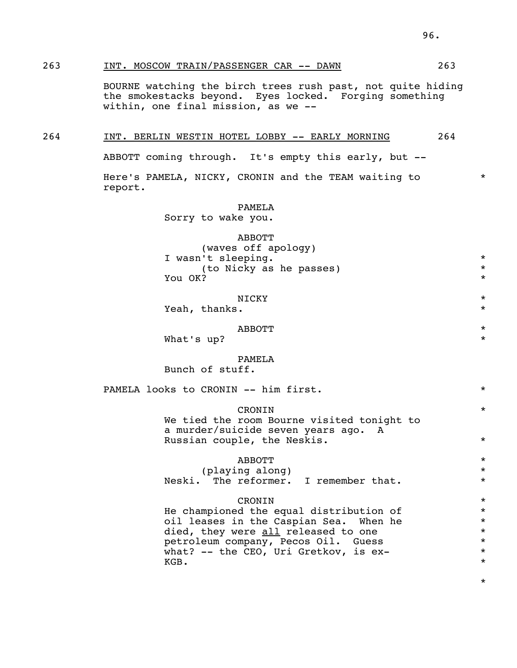### 263 INT. MOSCOW TRAIN/PASSENGER CAR -- DAWN 263

 BOURNE watching the birch trees rush past, not quite hiding the smokestacks beyond. Eyes locked. Forging something within, one final mission, as we --

### 264 INT. BERLIN WESTIN HOTEL LOBBY -- EARLY MORNING 264

ABBOTT coming through. It's empty this early, but --

Here's PAMELA, NICKY, CRONIN and the TEAM waiting to \* report.

PAMELA

Sorry to wake you.

 ABBOTT (waves off apology) I wasn't sleeping. \* (to Nicky as he passes) \* You OK?

### NICKY  $\star$

Yeah, thanks.  $\star$ 

### $ABBOTT$  \*

What's up?  $*$ 

### PAMELA

Bunch of stuff.

PAMELA looks to CRONIN -- him first.  $*$ 

### CRONIN \*

 We tied the room Bourne visited tonight to a murder/suicide seven years ago. A Russian couple, the Neskis.  $*$ 

### $ABBOTT$  \*

 (playing along) \* Neski. The reformer. I remember that.  $*$ 

### CRONIN \*

He championed the equal distribution of  $*$  oil leases in the Caspian Sea. When he \* died, they were <u>all</u> released to one  $*$ <br>
petroleum company, Pecos Oil, Guess petroleum company, Pecos Oil. Guess \* what? -- the  $\overline{CEO}$ , Uri Gretkov, is ex-<br>KGB.  $KGB$ .  $\star$ 

\*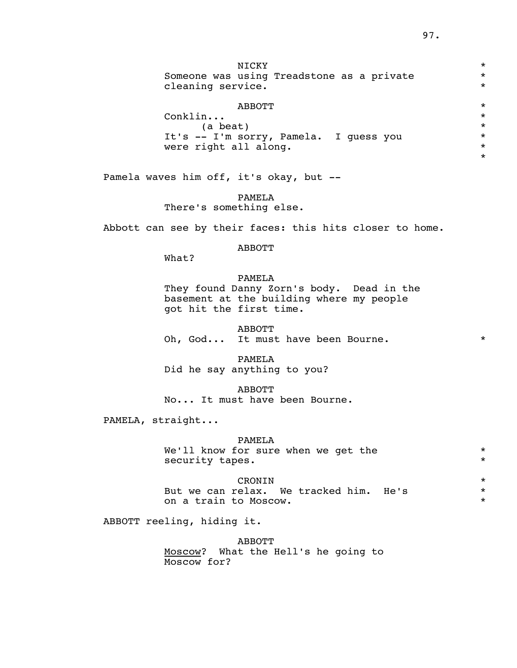NICKY  $\star$ Someone was using Treadstone as a private  $*$ cleaning service.  $*$ 

### $ABBOTT$  \*

 Conklin... \* (a beat) \* It's -- I'm sorry, Pamela. I guess you \* were right all along.  $\star$ 

Pamela waves him off, it's okay, but --

 PAMELA There's something else.

Abbott can see by their faces: this hits closer to home.

### ABBOTT

What?

### PAMELA

 They found Danny Zorn's body. Dead in the basement at the building where my people got hit the first time.

 ABBOTT Oh, God... It must have been Bourne.  $*$ 

 PAMELA Did he say anything to you?

 ABBOTT No... It must have been Bourne.

PAMELA, straight...

### PAMELA

We'll know for sure when we get the  $*$ security tapes.  $*$ 

### CRONIN \*

But we can relax. We tracked him. He's \* \* \* on a train to Moscow.

ABBOTT reeling, hiding it.

 ABBOTT Moscow? What the Hell's he going to

Moscow for?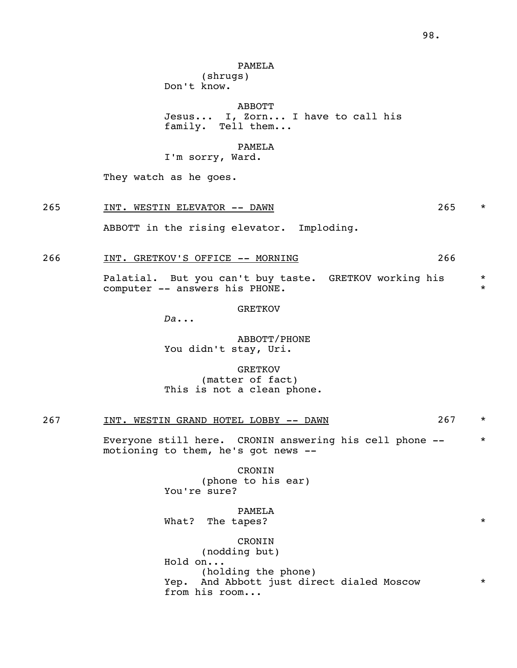### PAMELA

 (shrugs) Don't know.

ABBOTT

 Jesus... I, Zorn... I have to call his family. Tell them...

### PAMELA

I'm sorry, Ward.

They watch as he goes.

265 INT. WESTIN ELEVATOR -- DAWN 265 \*

ABBOTT in the rising elevator. Imploding.

266 INT. GRETKOV'S OFFICE -- MORNING 266

Palatial. But you can't buy taste. GRETKOV working his \* computer -- answers his PHONE.

GRETKOV

*Da*...

 ABBOTT/PHONE You didn't stay, Uri.

 GRETKOV (matter of fact) This is not a clean phone.

| $\sim$ $\sim$ $\sim$<br>26 | INT | WESTIN | GRAND | HOTEL | LOBBY | DAWN<br>$-$ | . |  |
|----------------------------|-----|--------|-------|-------|-------|-------------|---|--|
|----------------------------|-----|--------|-------|-------|-------|-------------|---|--|

Everyone still here. CRONIN answering his cell phone -- \* motioning to them, he's got news --

> CRONIN (phone to his ear) You're sure?

 PAMELA What? The tapes?  $*$ 

 CRONIN (nodding but) Hold on... (holding the phone) Yep. And Abbott just direct dialed Moscow \* from his room...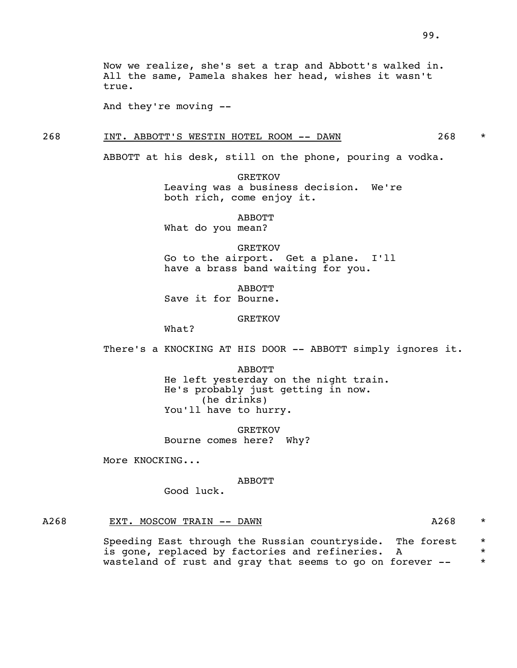And they're moving --

### 268 INT. ABBOTT'S WESTIN HOTEL ROOM -- DAWN 268 \*

ABBOTT at his desk, still on the phone, pouring a vodka.

 GRETKOV Leaving was a business decision. We're both rich, come enjoy it.

ABBOTT

What do you mean?

 GRETKOV Go to the airport. Get a plane. I'll have a brass band waiting for you.

 ABBOTT Save it for Bourne.

GRETKOV

What?

There's a KNOCKING AT HIS DOOR -- ABBOTT simply ignores it.

 ABBOTT He left yesterday on the night train. He's probably just getting in now. (he drinks) You'll have to hurry.

 GRETKOV Bourne comes here? Why?

More KNOCKING...

#### ABBOTT

Good luck.

### A268 EXT. MOSCOW TRAIN -- DAWN CONSIDER THE AZ68 \*

Speeding East through the Russian countryside. The forest \* is gone, replaced by factories and refineries. A  $*$ wasteland of rust and gray that seems to go on forever -- \*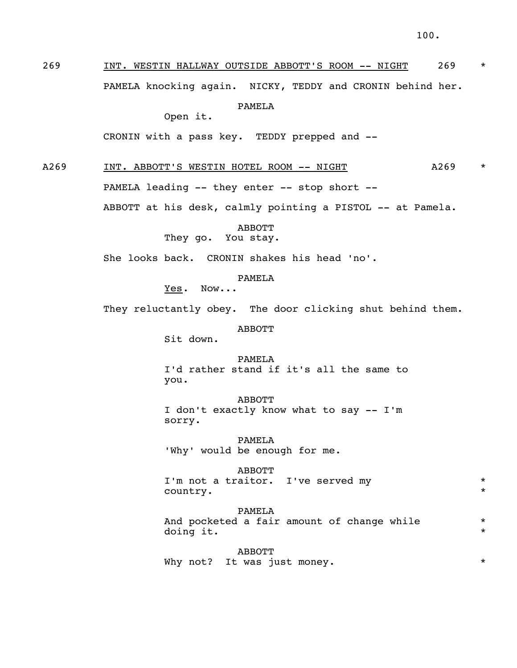269 INT. WESTIN HALLWAY OUTSIDE ABBOTT'S ROOM -- NIGHT 269 \*

PAMELA knocking again. NICKY, TEDDY and CRONIN behind her.

PAMELA

Open it.

CRONIN with a pass key. TEDDY prepped and --

A269 INT. ABBOTT'S WESTIN HOTEL ROOM -- NIGHT A269 \*

PAMELA leading -- they enter -- stop short --

ABBOTT at his desk, calmly pointing a PISTOL -- at Pamela.

ABBOTT

They go. You stay.

She looks back. CRONIN shakes his head 'no'.

PAMELA

Yes. Now...

They reluctantly obey. The door clicking shut behind them.

ABBOTT

Sit down.

 PAMELA I'd rather stand if it's all the same to you.

 ABBOTT I don't exactly know what to say -- I'm sorry.

 PAMELA 'Why' would be enough for me.

 ABBOTT I'm not a traitor. I've served my \*\*\* country.  $\star$ 

> PAMELA And pocketed a fair amount of change while doing it.  $\star$

> ABBOTT Why not? It was just money. \* \* \*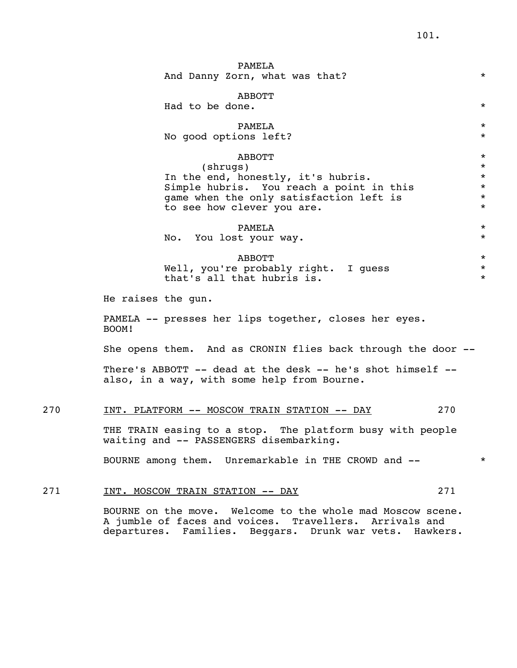|     | PAMELA<br>And Danny Zorn, what was that?                                                                                                                                      | $\star$                                                        |
|-----|-------------------------------------------------------------------------------------------------------------------------------------------------------------------------------|----------------------------------------------------------------|
|     | ABBOTT<br>Had to be done.                                                                                                                                                     | $\star$                                                        |
|     | PAMELA<br>No good options left?                                                                                                                                               | $\star$<br>$\star$                                             |
|     | ABBOTT<br>(shrugs)<br>In the end, honestly, it's hubris.<br>Simple hubris. You reach a point in this<br>game when the only satisfaction left is<br>to see how clever you are. | $\star$<br>$\star$<br>$\star$<br>$\star$<br>$\star$<br>$\star$ |
|     | PAMELA<br>No. You lost your way.                                                                                                                                              | $\star$<br>$\star$                                             |
|     | <b>ABBOTT</b><br>Well, you're probably right. I quess<br>that's all that hubris is.                                                                                           | $\star$<br>$\star$<br>$\star$                                  |
|     | He raises the gun.                                                                                                                                                            |                                                                |
|     | PAMELA -- presses her lips together, closes her eyes.<br>BOOM!                                                                                                                |                                                                |
|     | She opens them. And as CRONIN flies back through the door --                                                                                                                  |                                                                |
|     | There's ABBOTT -- dead at the desk -- he's shot himself --<br>also, in a way, with some help from Bourne.                                                                     |                                                                |
| 270 | 270<br>INT. PLATFORM -- MOSCOW TRAIN STATION -- DAY                                                                                                                           |                                                                |
|     | THE TRAIN easing to a stop. The platform busy with people<br>waiting and -- PASSENGERS disembarking.                                                                          |                                                                |
|     | BOURNE among them. Unremarkable in THE CROWD and --                                                                                                                           | $\star$                                                        |
| 271 | 271<br>INT. MOSCOW TRAIN STATION -- DAY                                                                                                                                       |                                                                |
|     | BOURNE on the move. Welcome to the whole mad Moscow scene.                                                                                                                    |                                                                |

 BOURNE on the move. Welcome to the whole mad Moscow scene. A jumble of faces and voices. Travellers. Arrivals and departures. Families. Beggars. Drunk war vets. Hawkers.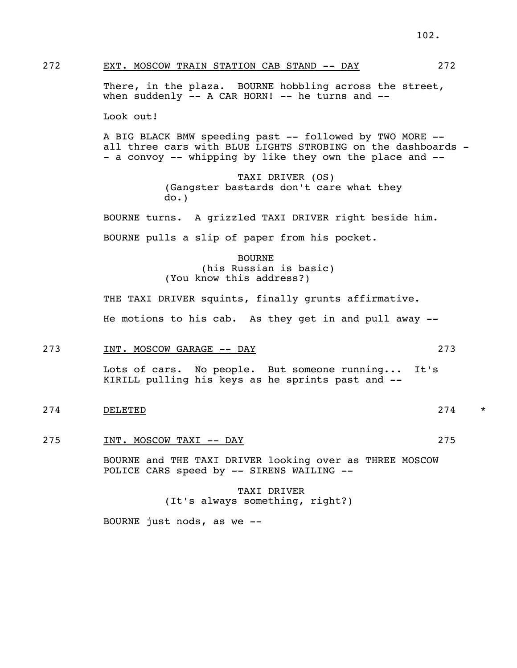### 272 EXT. MOSCOW TRAIN STATION CAB STAND -- DAY 272

There, in the plaza. BOURNE hobbling across the street, when suddenly  $--$  A CAR HORN!  $--$  he turns and  $--$ 

Look out!

A BIG BLACK BMW speeding past -- followed by TWO MORE - all three cars with BLUE LIGHTS STROBING on the dashboards - - a convoy -- whipping by like they own the place and --

> TAXI DRIVER (OS) (Gangster bastards don't care what they do.)

 BOURNE turns. A grizzled TAXI DRIVER right beside him. BOURNE pulls a slip of paper from his pocket.

> BOURNE (his Russian is basic) (You know this address?)

THE TAXI DRIVER squints, finally grunts affirmative. He motions to his cab. As they get in and pull away --

### 273 INT. MOSCOW GARAGE -- DAY 273

 Lots of cars. No people. But someone running... It's KIRILL pulling his keys as he sprints past and --

- 274 beliefted by the contract of the contract of the contract of the contract of the contract of the contract of the contract of the contract of the contract of the contract of the contract of the contract of the contract
	- 275 INT. MOSCOW TAXI -- DAY 275

 BOURNE and THE TAXI DRIVER looking over as THREE MOSCOW POLICE CARS speed by -- SIRENS WAILING --

> TAXI DRIVER (It's always something, right?)

BOURNE just nods, as we --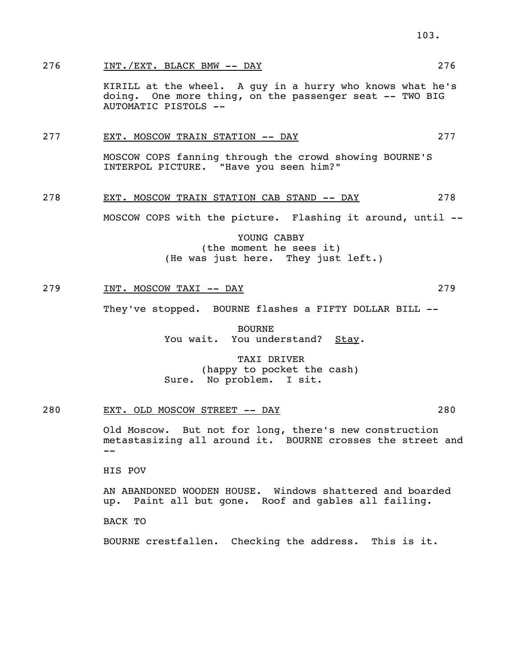### 276 INT./EXT. BLACK BMW -- DAY 276

 KIRILL at the wheel. A guy in a hurry who knows what he's doing. One more thing, on the passenger seat -- TWO BIG AUTOMATIC PISTOLS --

### 277 EXT. MOSCOW TRAIN STATION -- DAY 277

 MOSCOW COPS fanning through the crowd showing BOURNE'S INTERPOL PICTURE. "Have you seen him?"

### 278 EXT. MOSCOW TRAIN STATION CAB STAND -- DAY 278

MOSCOW COPS with the picture. Flashing it around, until --

 YOUNG CABBY (the moment he sees it) (He was just here. They just left.)

### 279 INT. MOSCOW TAXI -- DAY 279 279

They've stopped. BOURNE flashes a FIFTY DOLLAR BILL --

 BOURNE You wait. You understand? Stay.

 TAXI DRIVER (happy to pocket the cash) Sure. No problem. I sit.

### 280 EXT. OLD MOSCOW STREET -- DAY 280

 Old Moscow. But not for long, there's new construction metastasizing all around it. BOURNE crosses the street and --

HIS POV

 AN ABANDONED WOODEN HOUSE. Windows shattered and boarded up. Paint all but gone. Roof and gables all failing.

BACK TO

BOURNE crestfallen. Checking the address. This is it.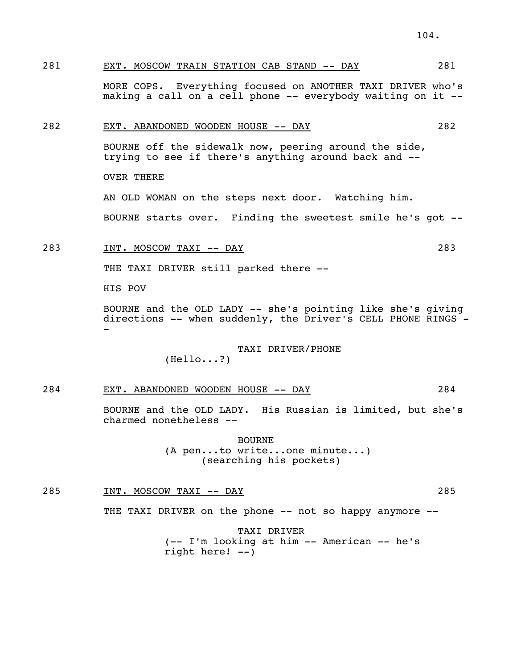281 EXT. MOSCOW TRAIN STATION CAB STAND -- DAY 281

 MORE COPS. Everything focused on ANOTHER TAXI DRIVER who's making a call on a cell phone -- everybody waiting on it --

### 282 EXT. ABANDONED WOODEN HOUSE -- DAY 282

 BOURNE off the sidewalk now, peering around the side, trying to see if there's anything around back and --

OVER THERE

AN OLD WOMAN on the steps next door. Watching him.

BOURNE starts over. Finding the sweetest smile he's got --

### 283 INT. MOSCOW TAXI -- DAY 283

THE TAXI DRIVER still parked there --

HIS POV

 BOURNE and the OLD LADY -- she's pointing like she's giving directions -- when suddenly, the Driver's CELL PHONE RINGS - -

### TAXI DRIVER/PHONE

(Hello...?)

### 284 EXT. ABANDONED WOODEN HOUSE -- DAY 284

 BOURNE and the OLD LADY. His Russian is limited, but she's charmed nonetheless --

> BOURNE (A pen...to write...one minute...) (searching his pockets)

285 INT. MOSCOW TAXI -- DAY 285

THE TAXI DRIVER on the phone -- not so happy anymore --

 TAXI DRIVER (-- I'm looking at him -- American -- he's right here! --)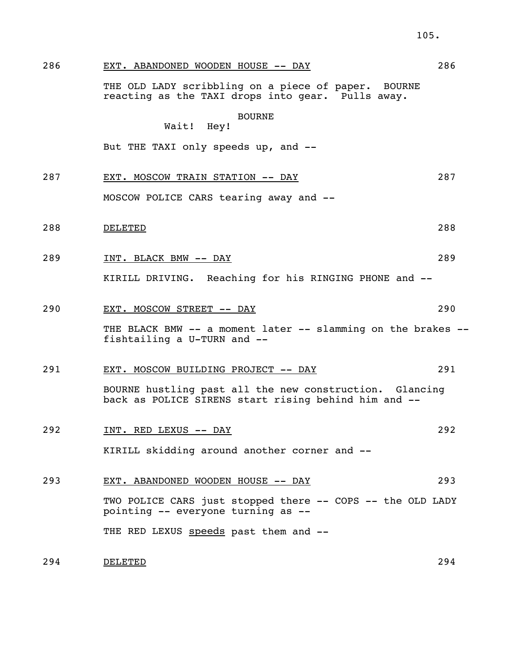286 EXT. ABANDONED WOODEN HOUSE -- DAY 286

 THE OLD LADY scribbling on a piece of paper. BOURNE reacting as the TAXI drops into gear. Pulls away.

BOURNE

Wait! Hey!

But THE TAXI only speeds up, and --

287 EXT. MOSCOW TRAIN STATION -- DAY 287

MOSCOW POLICE CARS tearing away and --

- 288 DELETED 288
	- 289 INT. BLACK BMW -- DAY 289

KIRILL DRIVING. Reaching for his RINGING PHONE and --

290 EXT. MOSCOW STREET -- DAY 290

THE BLACK BMW -- a moment later -- slamming on the brakes -fishtailing a U-TURN and --

291 EXT. MOSCOW BUILDING PROJECT -- DAY 291

 BOURNE hustling past all the new construction. Glancing back as POLICE SIRENS start rising behind him and --

- 292 INT. RED LEXUS -- DAY 292 KIRILL skidding around another corner and --
- 293 EXT. ABANDONED WOODEN HOUSE -- DAY 293 TWO POLICE CARS just stopped there -- COPS -- the OLD LADY pointing -- everyone turning as -- THE RED LEXUS speeds past them and --

294 DELETED 294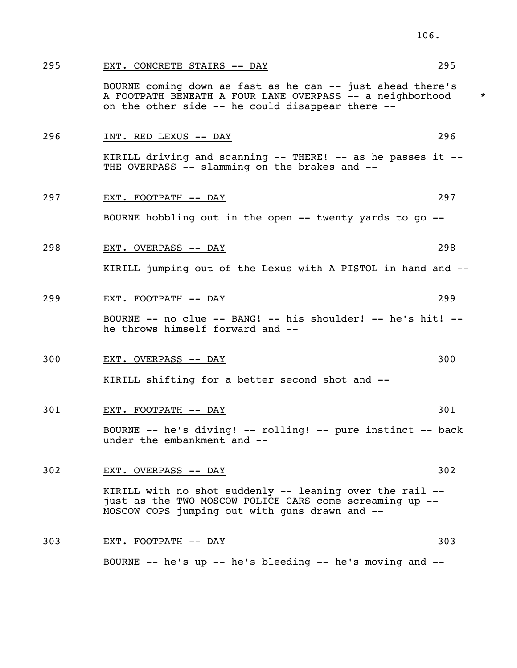| 295 | EXT. CONCRETE STAIRS -- DAY                                                                                                                                                 | 295 |         |
|-----|-----------------------------------------------------------------------------------------------------------------------------------------------------------------------------|-----|---------|
|     | BOURNE coming down as fast as he can -- just ahead there's<br>A FOOTPATH BENEATH A FOUR LANE OVERPASS -- a neighborhood<br>on the other side -- he could disappear there -- |     | $\star$ |
| 296 | INT. RED LEXUS -- DAY                                                                                                                                                       | 296 |         |
|     | KIRILL driving and scanning -- THERE! -- as he passes it --<br>THE OVERPASS -- slamming on the brakes and --                                                                |     |         |
| 297 | EXT. FOOTPATH -- DAY                                                                                                                                                        | 297 |         |
|     | BOURNE hobbling out in the open -- twenty yards to go --                                                                                                                    |     |         |
| 298 | EXT. OVERPASS -- DAY                                                                                                                                                        | 298 |         |
|     | KIRILL jumping out of the Lexus with A PISTOL in hand and --                                                                                                                |     |         |
| 299 | EXT. FOOTPATH -- DAY                                                                                                                                                        | 299 |         |
|     | BOURNE -- no clue -- BANG! -- his shoulder! -- he's hit! --<br>he throws himself forward and --                                                                             |     |         |
| 300 | EXT. OVERPASS -- DAY                                                                                                                                                        | 300 |         |
|     | KIRILL shifting for a better second shot and --                                                                                                                             |     |         |
| 301 | <u>EXT. FOOTPATH -- DAY</u>                                                                                                                                                 | 301 |         |
|     | BOURNE -- he's diving! -- rolling! -- pure instinct -- back<br>under the embankment and --                                                                                  |     |         |
| 302 | <u>EXT. OVERPASS -- DAY</u>                                                                                                                                                 | 302 |         |
|     | KIRILL with no shot suddenly -- leaning over the rail --<br>just as the TWO MOSCOW POLICE CARS come screaming up --<br>MOSCOW COPS jumping out with guns drawn and --       |     |         |
| 303 | EXT. FOOTPATH -- DAY                                                                                                                                                        | 303 |         |
|     |                                                                                                                                                                             |     |         |

BOURNE -- he's up -- he's bleeding -- he's moving and --

106.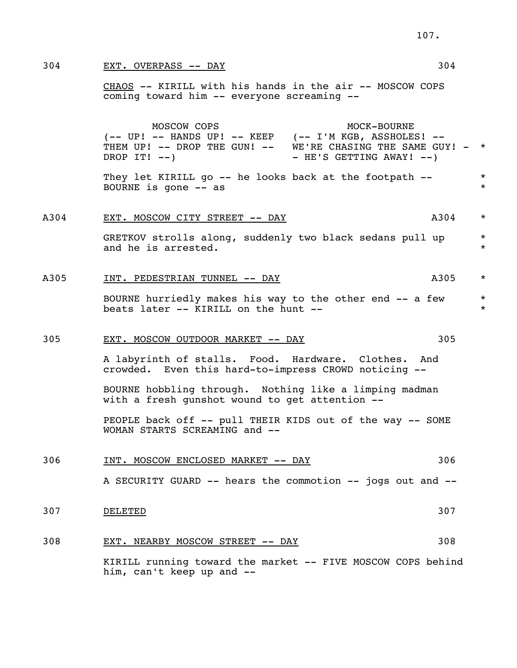304 EXT. OVERPASS -- DAY 304 304

 CHAOS -- KIRILL with his hands in the air -- MOSCOW COPS coming toward him -- everyone screaming --

MOSCOW COPS MOCK-BOURNE (-- UP! -- HANDS UP! -- KEEP (-- I'M KGB, ASSHOLES! -- THEM UP!  $--$  DROP THE GUN!  $--$  WE'RE CHASING THE SAME GUY!  $-$  \* DROP IT!  $--$ )  $-$  HE'S GETTING AWAY!  $--$ ) They let KIRILL go -- he looks back at the footpath  $*$ BOURNE is gone  $-$  as  $*$ A304 EXT. MOSCOW CITY STREET -- DAY MASS ASSAULT MASS ASSAULT MASS ASSAULT MASS ASSAULT MASS ASSAULT MASS ASSAULT MASS ASSAULT MASS ASSAULT MASS ASSAULT MASS ASSAULT MASS ASSAULT MASS AND MASS ASSAULT MASS AND MASS AND MAS GRETKOV strolls along, suddenly two black sedans pull up  $*$ and he is arrested.  $\star$ A305 INT. PEDESTRIAN TUNNEL -- DAY A305 \* BOURNE hurriedly makes his way to the other end -- a few  $*$ beats later -- KIRILL on the hunt -- 305 EXT. MOSCOW OUTDOOR MARKET -- DAY 305 A labyrinth of stalls. Food. Hardware. Clothes. And crowded. Even this hard-to-impress CROWD noticing -- BOURNE hobbling through. Nothing like a limping madman with a fresh gunshot wound to get attention -- PEOPLE back off -- pull THEIR KIDS out of the way -- SOME WOMAN STARTS SCREAMING and -- 306 INT. MOSCOW ENCLOSED MARKET -- DAY 306 A SECURITY GUARD -- hears the commotion -- jogs out and --  $\underline{\texttt{DELETED}} \hspace{2.5cm} 307$  308 EXT. NEARBY MOSCOW STREET -- DAY 308 KIRILL running toward the market -- FIVE MOSCOW COPS behind him, can't keep up and --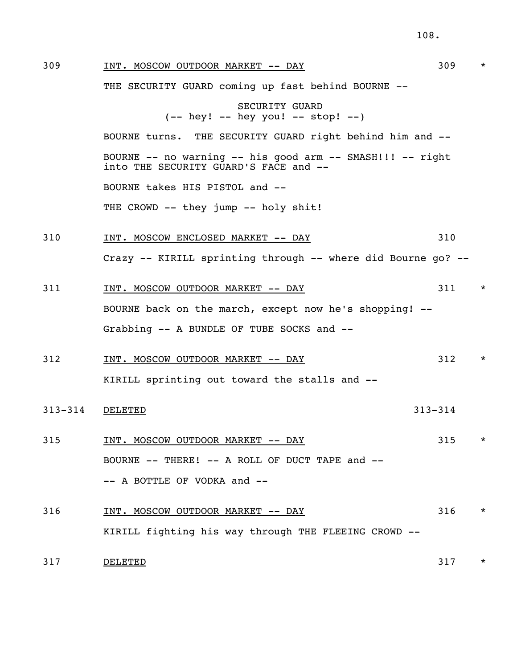108. 309 INT. MOSCOW OUTDOOR MARKET -- DAY 309 \* THE SECURITY GUARD coming up fast behind BOURNE -- SECURITY GUARD  $(- - \text{hey!} -- \text{hey you!} -- \text{stop!} --)$  BOURNE turns. THE SECURITY GUARD right behind him and -- BOURNE -- no warning -- his good arm -- SMASH!!! -- right into THE SECURITY GUARD'S FACE and -- BOURNE takes HIS PISTOL and -- THE CROWD -- they jump -- holy shit! 310 INT. MOSCOW ENCLOSED MARKET -- DAY 310 Crazy -- KIRILL sprinting through -- where did Bourne go? -- 311 INT. MOSCOW OUTDOOR MARKET -- DAY 311 \* BOURNE back on the march, except now he's shopping! -- Grabbing -- A BUNDLE OF TUBE SOCKS and -- 312 INT. MOSCOW OUTDOOR MARKET -- DAY 312 \* KIRILL sprinting out toward the stalls and -- 313-314 DELETED 313-314 315 INT. MOSCOW OUTDOOR MARKET -- DAY 315 \* BOURNE -- THERE! -- A ROLL OF DUCT TAPE and -- -- A BOTTLE OF VODKA and -- 316 INT. MOSCOW OUTDOOR MARKET -- DAY 316 \*

KIRILL fighting his way through THE FLEEING CROWD --

317 believed by the set of the set of the set of the set of the set of the set of the set of the set of the set of the set of the set of the set of the set of the set of the set of the set of the set of the set of the set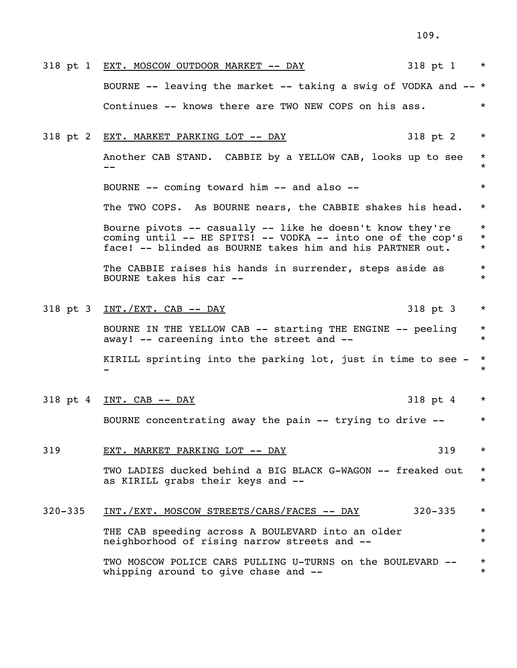|             | 318 pt 1<br>318 pt 1 EXT. MOSCOW OUTDOOR MARKET -- DAY                                                                                                                                | $\star$                       |
|-------------|---------------------------------------------------------------------------------------------------------------------------------------------------------------------------------------|-------------------------------|
|             | BOURNE -- leaving the market -- taking a swig of VODKA and $--$ *                                                                                                                     |                               |
|             | Continues -- knows there are TWO NEW COPS on his ass.                                                                                                                                 | $\star$                       |
|             | 318 pt 2<br>318 pt 2 EXT. MARKET PARKING LOT -- DAY                                                                                                                                   | $\star$                       |
|             | Another CAB STAND. CABBIE by a YELLOW CAB, looks up to see<br>$- -$                                                                                                                   | $\star$<br>$\star$            |
|             | BOURNE -- coming toward him -- and also --                                                                                                                                            | $\star$                       |
|             | The TWO COPS. As BOURNE nears, the CABBIE shakes his head.                                                                                                                            | $\star$                       |
|             | Bourne pivots -- casually -- like he doesn't know they're<br>coming until -- HE SPITS! -- VODKA -- into one of the cop's<br>face! -- blinded as BOURNE takes him and his PARTNER out. | $\star$<br>$\star$<br>$\star$ |
|             | The CABBIE raises his hands in surrender, steps aside as<br>BOURNE takes his car --                                                                                                   | $\star$<br>$\star$            |
|             | 318 pt 3 INT./EXT. CAB -- DAY<br>318 pt 3                                                                                                                                             | $\star$                       |
|             | BOURNE IN THE YELLOW CAB -- starting THE ENGINE -- peeling<br>away! -- careening into the street and --                                                                               | $\star$<br>$\star$            |
|             | KIRILL sprinting into the parking lot, just in time to see -                                                                                                                          | $\star$<br>$\star$            |
|             | 318 pt 4<br>318 pt 4 INT. CAB -- DAY                                                                                                                                                  | $\star$                       |
|             | BOURNE concentrating away the pain -- trying to drive --                                                                                                                              | $\star$                       |
| 319         | 319<br>EXT. MARKET PARKING LOT -- DAY                                                                                                                                                 | $\star$                       |
|             | TWO LADIES ducked behind a BIG BLACK G-WAGON -- freaked out<br>as KIRILL grabs their keys and --                                                                                      | $\star$<br>$\star$            |
| $320 - 335$ | INT./EXT. MOSCOW STREETS/CARS/FACES -- DAY<br>$320 - 335$                                                                                                                             | $\star$                       |
|             | THE CAB speeding across A BOULEVARD into an older<br>neighborhood of rising narrow streets and --                                                                                     | $\star$<br>$\star$            |
|             | TWO MOSCOW POLICE CARS PULLING U-TURNS on the BOULEVARD --<br>whipping around to give chase and --                                                                                    | $^\star$<br>$\star$           |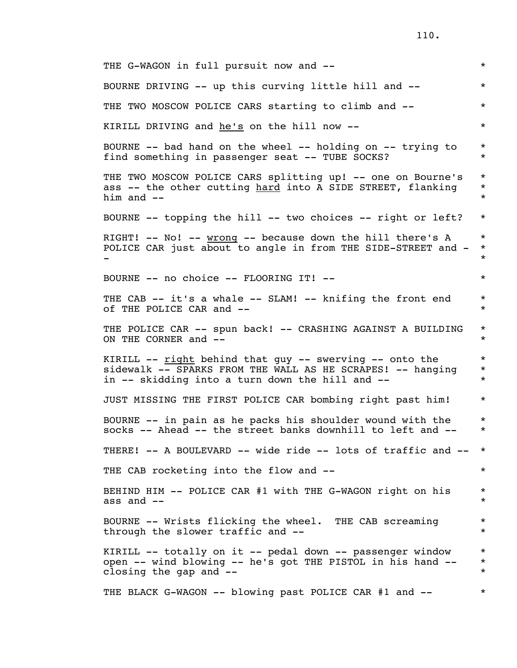| THE G-WAGON in full pursuit now and --                                                                                                                                   | $\star$                       |
|--------------------------------------------------------------------------------------------------------------------------------------------------------------------------|-------------------------------|
| BOURNE DRIVING -- up this curving little hill and --                                                                                                                     | $\star$                       |
| THE TWO MOSCOW POLICE CARS starting to climb and --                                                                                                                      | $\star$                       |
| KIRILL DRIVING and he's on the hill now --                                                                                                                               | $\star$                       |
| BOURNE -- bad hand on the wheel -- holding on -- trying to<br>find something in passenger seat -- TUBE SOCKS?                                                            | $\star$<br>$\star$            |
| THE TWO MOSCOW POLICE CARS splitting up! -- one on Bourne's<br>ass -- the other cutting hard into A SIDE STREET, flanking<br>him and $--$                                | $\star$<br>$\star$<br>$\star$ |
| BOURNE $--$ topping the hill $--$ two choices $--$ right or left?                                                                                                        | $\star$                       |
| RIGHT! $--$ No! $--$ wrong $--$ because down the hill there's A<br>POLICE CAR just about to angle in from THE SIDE-STREET and -                                          | $\star$<br>$\star$<br>$\star$ |
| BOURNE -- no choice -- FLOORING IT! --                                                                                                                                   | $\star$                       |
| THE CAB -- it's a whale -- SLAM! -- knifing the front end<br>of THE POLICE CAR and --                                                                                    | $\star$<br>$\star$            |
| THE POLICE CAR -- spun back! -- CRASHING AGAINST A BUILDING<br>ON THE CORNER and --                                                                                      | $\star$<br>$\star$            |
| KIRILL -- right behind that guy -- swerving -- onto the<br>sidewalk -- SPARKS FROM THE WALL AS HE SCRAPES! -- hanging<br>in -- skidding into a turn down the hill and -- | $\star$<br>$\star$<br>$\star$ |
| JUST MISSING THE FIRST POLICE CAR bombing right past him!                                                                                                                | $\star$                       |
| BOURNE -- in pain as he packs his shoulder wound with the<br>socks -- Ahead -- the street banks downhill to left and --                                                  | $\star$<br>$\star$            |
| THERE! -- A BOULEVARD -- wide ride -- lots of traffic and --                                                                                                             | $\star$                       |
| THE CAB rocketing into the flow and --                                                                                                                                   | $\star$                       |
| BEHIND HIM -- POLICE CAR #1 with THE G-WAGON right on his<br>ass and $--$                                                                                                | $\star$<br>$\star$            |
| BOURNE -- Wrists flicking the wheel. THE CAB screaming<br>through the slower traffic and --                                                                              | $\star$<br>$\star$            |
| KIRILL -- totally on it -- pedal down -- passenger window<br>open -- wind blowing -- he's got THE PISTOL in his hand --<br>closing the gap and --                        | $\star$<br>$\star$<br>$\star$ |
| THE BLACK G-WAGON -- blowing past POLICE CAR #1 and --                                                                                                                   | $\star$                       |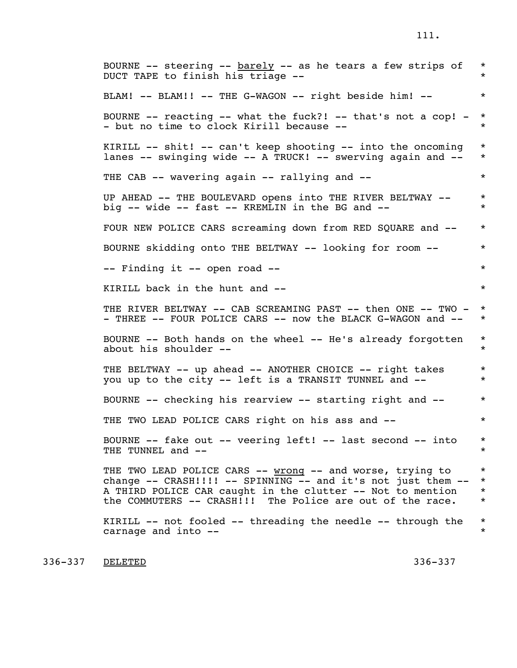BOURNE  $--$  steering  $--$  barely  $--$  as he tears a few strips of  $*$  DUCT TAPE to finish his triage -- \* BLAM! -- BLAM!! -- THE G-WAGON -- right beside him! -- \* BOURNE  $--$  reacting  $--$  what the fuck?!  $--$  that's not a cop!  $-$  \* - but no time to clock Kirill because --  $\ast$  KIRILL -- shit! -- can't keep shooting -- into the oncoming \* lanes -- swinging wide -- A TRUCK! -- swerving again and -- \* THE CAB -- wavering again -- rallying and --  $*$ UP AHEAD -- THE BOULEVARD opens into THE RIVER BELTWAY --  $*$ big -- wide -- fast -- KREMLIN in the BG and --  $*$ FOUR NEW POLICE CARS screaming down from RED SQUARE and --  $*$ BOURNE skidding onto THE BELTWAY -- looking for room --  $*$ -- Finding it -- open road --  $*$ KIRILL back in the hunt and  $-$ THE RIVER BELTWAY -- CAB SCREAMING PAST -- then ONE -- TWO - \* - THREE -- FOUR POLICE CARS -- now the BLACK G-WAGON and --  $*$ BOURNE -- Both hands on the wheel -- He's already forgotten \* about his shoulder --  $\qquad$  \* THE BELTWAY -- up ahead -- ANOTHER CHOICE -- right takes \* you up to the city -- left is a TRANSIT TUNNEL and --  $*$ BOURNE -- checking his rearview -- starting right and --  $*$ THE TWO LEAD POLICE CARS right on his ass and --BOURNE -- fake out -- veering left! -- last second -- into \* THE TUNNEL and  $--$ THE TWO LEAD POLICE CARS -- wrong -- and worse, trying to \* change  $--$  CRASH!!!!  $--$  SPINNING  $--$  and it's not just them  $--$  \* A THIRD POLICE CAR caught in the clutter -- Not to mention \* the COMMUTERS -- CRASH!!! The Police are out of the race.  $*$ KIRILL  $--$  not fooled  $--$  threading the needle  $--$  through the  $*$ carnage and into --  $*$ 

336–337 <u>DELETED</u> 336–337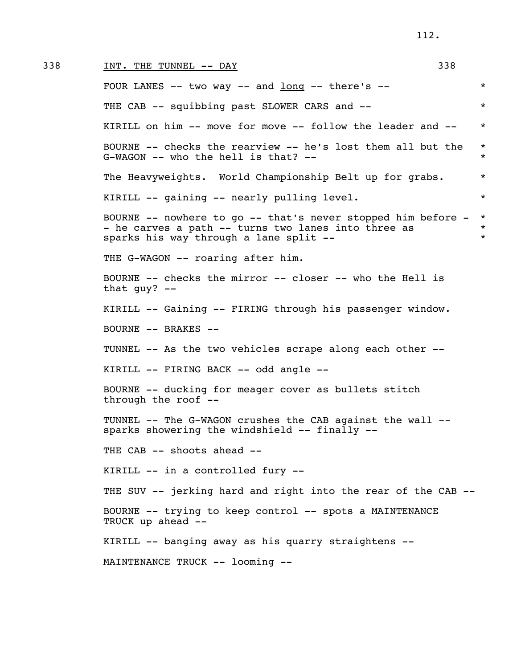## 338 INT. THE TUNNEL  $--$  DAY 338 338

FOUR LANES  $--$  two way  $--$  and long  $--$  there's  $--$  \* THE CAB -- squibbing past SLOWER CARS and -- KIRILL on him -- move for move -- follow the leader and -- \* BOURNE -- checks the rearview -- he's lost them all but the \* G-WAGON -- who the hell is that? --  $*$ The Heavyweights. World Championship Belt up for grabs.  $*$  KIRILL -- gaining -- nearly pulling level. \* BOURNE -- nowhere to go -- that's never stopped him before - \* - he carves a path -- turns two lanes into three as  $*$ sparks his way through a lane split --  $*$  THE G-WAGON -- roaring after him. BOURNE -- checks the mirror -- closer -- who the Hell is that guy? -- KIRILL -- Gaining -- FIRING through his passenger window. BOURNE -- BRAKES -- TUNNEL -- As the two vehicles scrape along each other -- KIRILL -- FIRING BACK -- odd angle -- BOURNE -- ducking for meager cover as bullets stitch through the roof -- TUNNEL -- The G-WAGON crushes the CAB against the wall - sparks showering the windshield -- finally -- THE CAB -- shoots ahead -- KIRILL -- in a controlled fury -- THE SUV -- jerking hard and right into the rear of the CAB -- BOURNE -- trying to keep control -- spots a MAINTENANCE TRUCK up ahead -- KIRILL -- banging away as his quarry straightens -- MAINTENANCE TRUCK -- looming --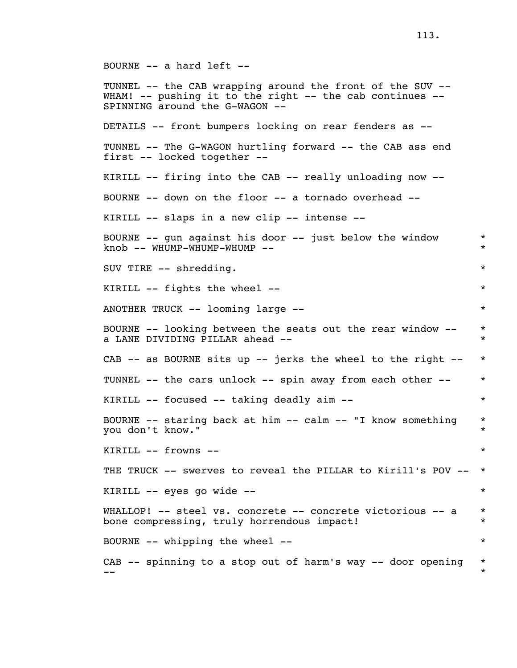BOURNE -- a hard left -- TUNNEL -- the CAB wrapping around the front of the SUV -- WHAM! -- pushing it to the right -- the cab continues -- SPINNING around the G-WAGON -- DETAILS -- front bumpers locking on rear fenders as -- TUNNEL -- The G-WAGON hurtling forward -- the CAB ass end first -- locked together -- KIRILL -- firing into the CAB -- really unloading now -- BOURNE -- down on the floor -- a tornado overhead -- KIRILL -- slaps in a new clip -- intense -- BOURNE -- gun against his door -- just below the window  $*$ knob -- WHUMP-WHUMP-WHUMP -- SUV TIRE -- shredding. \* KIRILL  $--$  fights the wheel  $--$ ANOTHER TRUCK -- looming large --  $*$  BOURNE -- looking between the seats out the rear window -- \* a LANE DIVIDING PILLAR ahead -- \* CAB  $--$  as BOURNE sits up  $--$  jerks the wheel to the right  $--$  \* TUNNEL -- the cars unlock -- spin away from each other --  $*$ KIRILL -- focused -- taking deadly aim --BOURNE -- staring back at him -- calm -- "I know something \* you don't know." KIRILL -- frowns -- \* THE TRUCK -- swerves to reveal the PILLAR to Kirill's POV -- \* KIRILL -- eyes go wide -- \* WHALLOP! -- steel vs. concrete -- concrete victorious -- a \* bone compressing, truly horrendous impact! \* BOURNE -- whipping the wheel --  $*$ CAB  $-$  spinning to a stop out of harm's way  $-$  door opening  $*$ -- \*

113.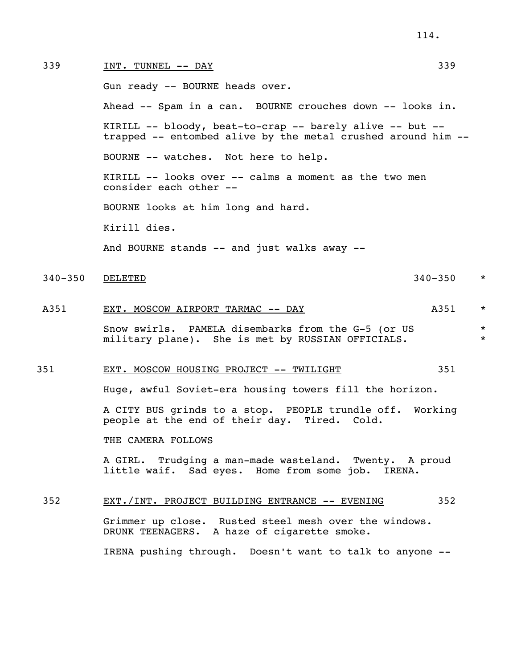| 339     | INT. TUNNEL -- DAY                                                                                                       | 339         |                    |  |
|---------|--------------------------------------------------------------------------------------------------------------------------|-------------|--------------------|--|
|         | Gun ready -- BOURNE heads over.                                                                                          |             |                    |  |
|         | Ahead -- Spam in a can. BOURNE crouches down -- looks in.                                                                |             |                    |  |
|         | KIRILL -- bloody, beat-to-crap -- barely alive -- but --<br>trapped -- entombed alive by the metal crushed around him -- |             |                    |  |
|         | BOURNE -- watches. Not here to help.                                                                                     |             |                    |  |
|         | KIRILL -- looks over -- calms a moment as the two men<br>consider each other --                                          |             |                    |  |
|         | BOURNE looks at him long and hard.                                                                                       |             |                    |  |
|         | Kirill dies.                                                                                                             |             |                    |  |
|         | And BOURNE stands -- and just walks away --                                                                              |             |                    |  |
| 340–350 | DELETED                                                                                                                  | $340 - 350$ | $\star$            |  |
| A351    | EXT. MOSCOW AIRPORT TARMAC -- DAY                                                                                        | A351        | $\star$            |  |
|         | Snow swirls. PAMELA disembarks from the G-5 (or US<br>military plane). She is met by RUSSIAN OFFICIALS.                  |             | $\star$<br>$\star$ |  |
| 351     | EXT. MOSCOW HOUSING PROJECT -- TWILIGHT                                                                                  | 351         |                    |  |
|         | Huge, awful Soviet-era housing towers fill the horizon.                                                                  |             |                    |  |
|         | A CITY BUS grinds to a stop. PEOPLE trundle off. Working<br>people at the end of their day. Tired. Cold.                 |             |                    |  |
|         | THE CAMERA FOLLOWS                                                                                                       |             |                    |  |
|         | A GIRL. Trudging a man-made wasteland. Twenty. A proud<br>little waif. Sad eyes. Home from some job. IRENA.              |             |                    |  |
|         |                                                                                                                          |             |                    |  |

# 352 EXT./INT. PROJECT BUILDING ENTRANCE -- EVENING 352

 Grimmer up close. Rusted steel mesh over the windows. DRUNK TEENAGERS. A haze of cigarette smoke.

IRENA pushing through. Doesn't want to talk to anyone --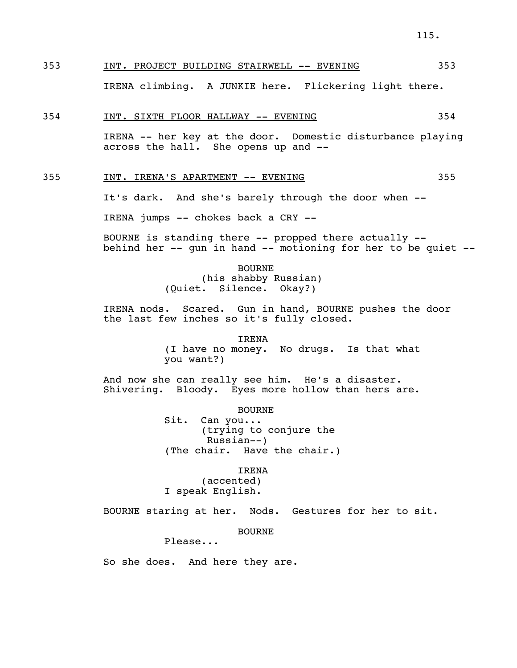# 353 INT. PROJECT BUILDING STAIRWELL -- EVENING 353

IRENA climbing. A JUNKIE here. Flickering light there.

#### 354 INT. SIXTH FLOOR HALLWAY -- EVENING 354

 IRENA -- her key at the door. Domestic disturbance playing across the hall. She opens up and --

## 355 INT. IRENA'S APARTMENT -- EVENING 355

It's dark. And she's barely through the door when --

IRENA jumps -- chokes back a CRY --

 BOURNE is standing there -- propped there actually - behind her -- gun in hand -- motioning for her to be quiet --

> BOURNE (his shabby Russian) (Quiet. Silence. Okay?)

 IRENA nods. Scared. Gun in hand, BOURNE pushes the door the last few inches so it's fully closed.

> IRENA (I have no money. No drugs. Is that what you want?)

 And now she can really see him. He's a disaster. Shivering. Bloody. Eyes more hollow than hers are.

> BOURNE Sit. Can you... (trying to conjure the Russian--) (The chair. Have the chair.)

 IRENA (accented) I speak English.

BOURNE staring at her. Nods. Gestures for her to sit.

BOURNE

Please...

So she does. And here they are.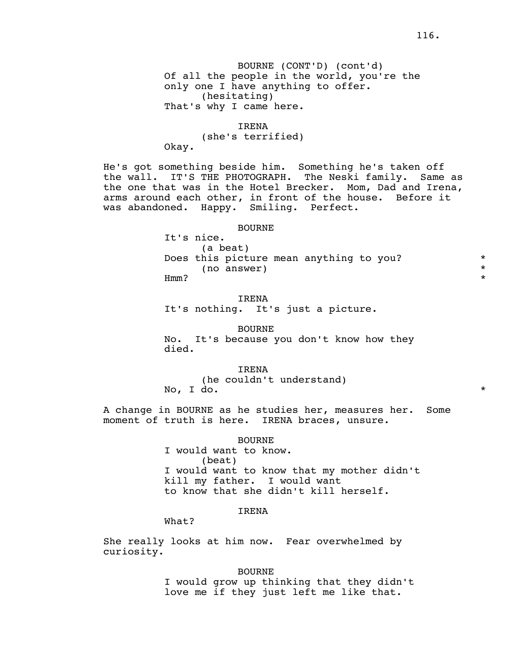BOURNE (CONT'D) (cont'd) Of all the people in the world, you're the only one I have anything to offer. (hesitating) That's why I came here.

# IRENA

 (she's terrified) Okay.

 He's got something beside him. Something he's taken off the wall. IT'S THE PHOTOGRAPH. The Neski family. Same as the one that was in the Hotel Brecker. Mom, Dad and Irena, arms around each other, in front of the house. Before it was abandoned. Happy. Smiling. Perfect.

#### BOURNE

 It's nice. (a beat) Does this picture mean anything to you?  $*$  (no answer) \* Hmm? \*

# IRENA

It's nothing. It's just a picture.

 BOURNE No. It's because you don't know how they died.

# IRENA

(he couldn't understand)

No, I do. \*

 A change in BOURNE as he studies her, measures her. Some moment of truth is here. IRENA braces, unsure.

BOURNE

 I would want to know. (beat) I would want to know that my mother didn't kill my father. I would want to know that she didn't kill herself.

# IRENA

What?

 She really looks at him now. Fear overwhelmed by curiosity.

> BOURNE I would grow up thinking that they didn't love me if they just left me like that.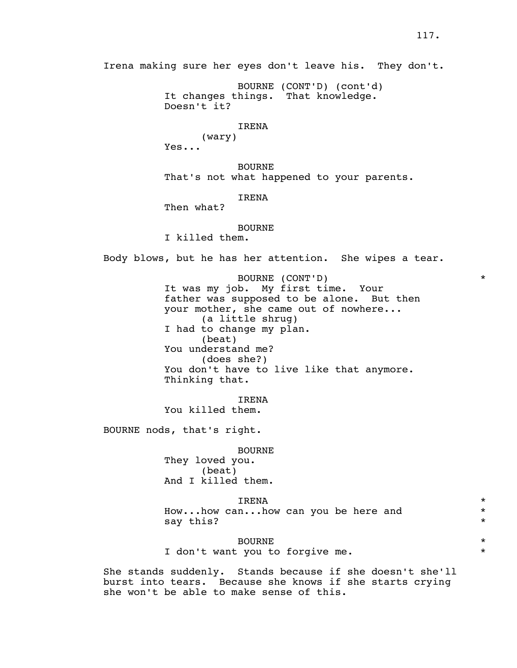BOURNE (CONT'D) (cont'd) It changes things. That knowledge. Doesn't it?

#### IRENA

 (wary) Yes...

 BOURNE That's not what happened to your parents.

# IRENA

Then what?

#### BOURNE

I killed them.

Body blows, but he has her attention. She wipes a tear.

 BOURNE (CONT'D) \* It was my job. My first time. Your father was supposed to be alone. But then your mother, she came out of nowhere... (a little shrug) I had to change my plan. (beat) You understand me? (does she?) You don't have to live like that anymore. Thinking that.

 IRENA You killed them.

BOURNE nods, that's right.

#### BOURNE

 They loved you. (beat) And I killed them.

# IRENA \*

 How...how can...how can you be here and \* say this?  $*$ 

# BOURNE \*

I don't want you to forgive me. \* \*

 She stands suddenly. Stands because if she doesn't she'll burst into tears. Because she knows if she starts crying she won't be able to make sense of this.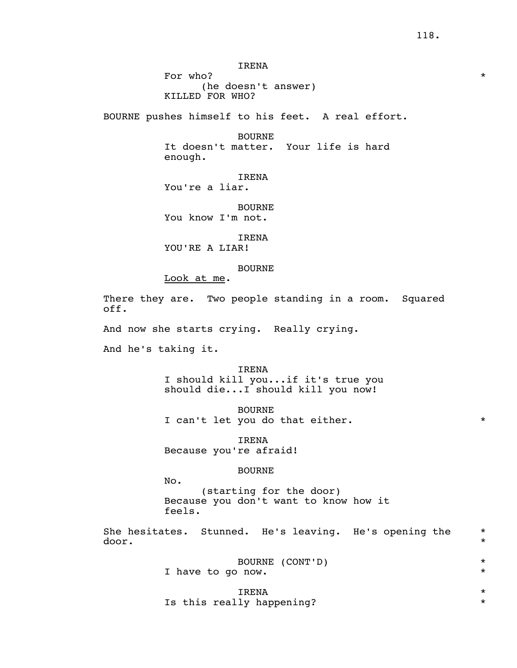IRENA

For who? (he doesn't answer) KILLED FOR WHO?

BOURNE pushes himself to his feet. A real effort.

 BOURNE It doesn't matter. Your life is hard enough.

 IRENA You're a liar.

 BOURNE You know I'm not.

IRENA

YOU'RE A LIAR!

#### BOURNE

Look at me.

There they are. Two people standing in a room. Squared off.

And now she starts crying. Really crying.

And he's taking it.

 IRENA I should kill you...if it's true you should die...I should kill you now!

 BOURNE I can't let you do that either. \* \*

 IRENA Because you're afraid!

## BOURNE

No.

 (starting for the door) Because you don't want to know how it feels.

 She hesitates. Stunned. He's leaving. He's opening the \* door.

|                   | BOURNE (CONT'D) |  |
|-------------------|-----------------|--|
| I have to go now. |                 |  |

 IRENA \* Is this really happening?  $*$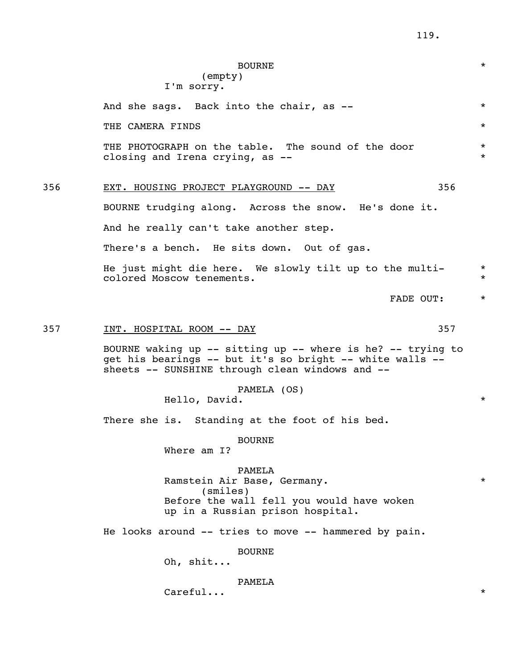# BOURNE \* (empty) I'm sorry. And she sags. Back into the chair, as --  $*$ THE CAMERA FINDS  $\qquad$ THE PHOTOGRAPH on the table. The sound of the door  $*$  closing and Irena crying, as -- \* 356 EXT. HOUSING PROJECT PLAYGROUND -- DAY 356 BOURNE trudging along. Across the snow. He's done it. And he really can't take another step. There's a bench. He sits down. Out of gas. He just might die here. We slowly tilt up to the multi- \* colored Moscow tenements. \* FADE OUT:  $\star$ 357 INT. HOSPITAL ROOM -- DAY 357 BOURNE waking up -- sitting up -- where is he? -- trying to get his bearings -- but it's so bright -- white walls - sheets -- SUNSHINE through clean windows and -- PAMELA (OS) Hello, David. \* There she is. Standing at the foot of his bed. BOURNE Where am I? PAMELA Ramstein Air Base, Germany. \* (smiles) Before the wall fell you would have woken up in a Russian prison hospital. He looks around -- tries to move -- hammered by pain. BOURNE Oh, shit... PAMELA  $\text{Careful...}$  \*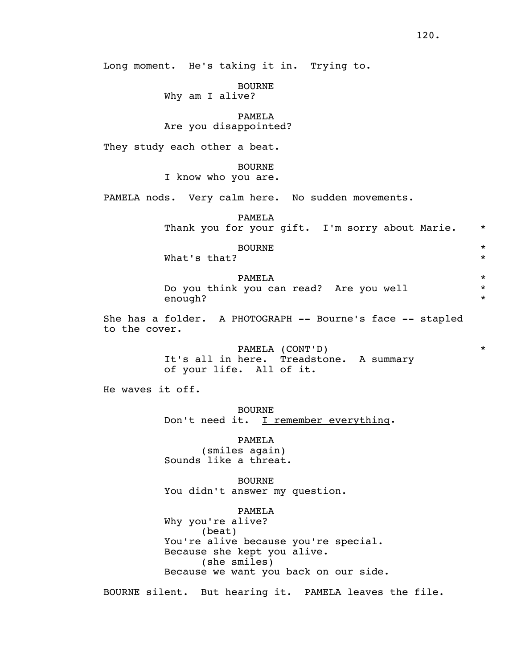Long moment. He's taking it in. Trying to.

BOURNE

Why am I alive?

# PAMELA

## Are you disappointed?

They study each other a beat.

## BOURNE I know who you are.

PAMELA nods. Very calm here. No sudden movements.

 PAMELA Thank you for your gift. I'm sorry about Marie. \*

| <b>BOURNE</b><br>What's that? |            |
|-------------------------------|------------|
| PAMELA                        | $^{\star}$ |

|         | Do you think you can read? Are you well |  |
|---------|-----------------------------------------|--|
| enough? |                                         |  |

 She has a folder. A PHOTOGRAPH -- Bourne's face -- stapled to the cover.

> PAMELA (CONT'D) \* It's all in here. Treadstone. A summary of your life. All of it.

He waves it off.

 BOURNE Don't need it. I remember everything.

 PAMELA (smiles again) Sounds like a threat.

 BOURNE You didn't answer my question.

 PAMELA Why you're alive? (beat) You're alive because you're special. Because she kept you alive. (she smiles) Because we want you back on our side.

BOURNE silent. But hearing it. PAMELA leaves the file.